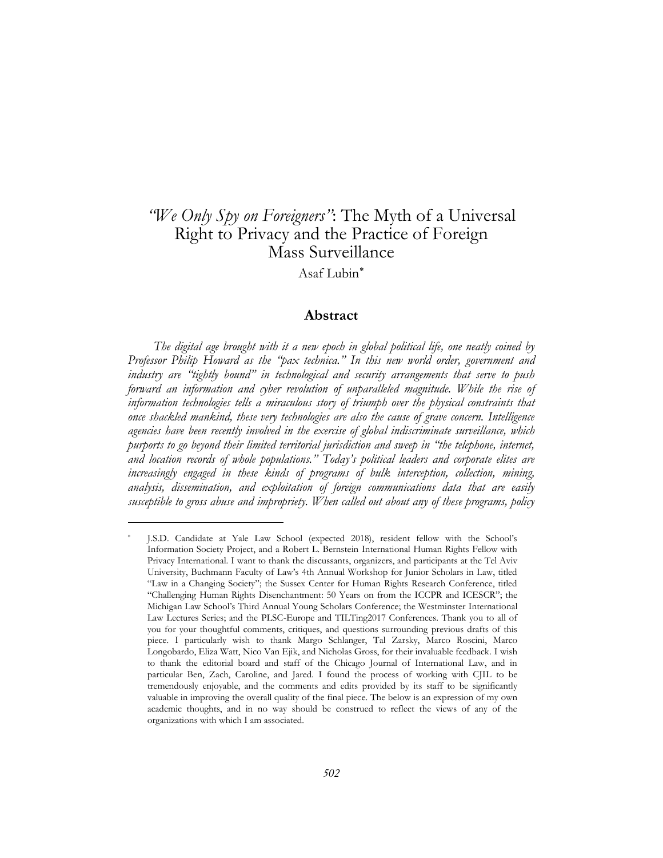# *"We Only Spy on Foreigners"*: The Myth of a Universal Right to Privacy and the Practice of Foreign Mass Surveillance

Asaf Lubin

# **Abstract**

*The digital age brought with it a new epoch in global political life, one neatly coined by Professor Philip Howard as the "pax technica." In this new world order, government and industry are "tightly bound" in technological and security arrangements that serve to push forward an information and cyber revolution of unparalleled magnitude. While the rise of information technologies tells a miraculous story of triumph over the physical constraints that once shackled mankind, these very technologies are also the cause of grave concern. Intelligence agencies have been recently involved in the exercise of global indiscriminate surveillance, which purports to go beyond their limited territorial jurisdiction and sweep in "the telephone, internet, and location records of whole populations." Today's political leaders and corporate elites are increasingly engaged in these kinds of programs of bulk interception, collection, mining, analysis, dissemination, and exploitation of foreign communications data that are easily susceptible to gross abuse and impropriety. When called out about any of these programs, policy* 

<sup>\*</sup> J.S.D. Candidate at Yale Law School (expected 2018), resident fellow with the School's Information Society Project, and a Robert L. Bernstein International Human Rights Fellow with Privacy International. I want to thank the discussants, organizers, and participants at the Tel Aviv University, Buchmann Faculty of Law's 4th Annual Workshop for Junior Scholars in Law, titled "Law in a Changing Society"; the Sussex Center for Human Rights Research Conference, titled "Challenging Human Rights Disenchantment: 50 Years on from the ICCPR and ICESCR"; the Michigan Law School's Third Annual Young Scholars Conference; the Westminster International Law Lectures Series; and the PLSC-Europe and TILTing2017 Conferences. Thank you to all of you for your thoughtful comments, critiques, and questions surrounding previous drafts of this piece. I particularly wish to thank Margo Schlanger, Tal Zarsky, Marco Roscini, Marco Longobardo, Eliza Watt, Nico Van Ejik, and Nicholas Gross, for their invaluable feedback. I wish to thank the editorial board and staff of the Chicago Journal of International Law, and in particular Ben, Zach, Caroline, and Jared. I found the process of working with CJIL to be tremendously enjoyable, and the comments and edits provided by its staff to be significantly valuable in improving the overall quality of the final piece. The below is an expression of my own academic thoughts, and in no way should be construed to reflect the views of any of the organizations with which I am associated.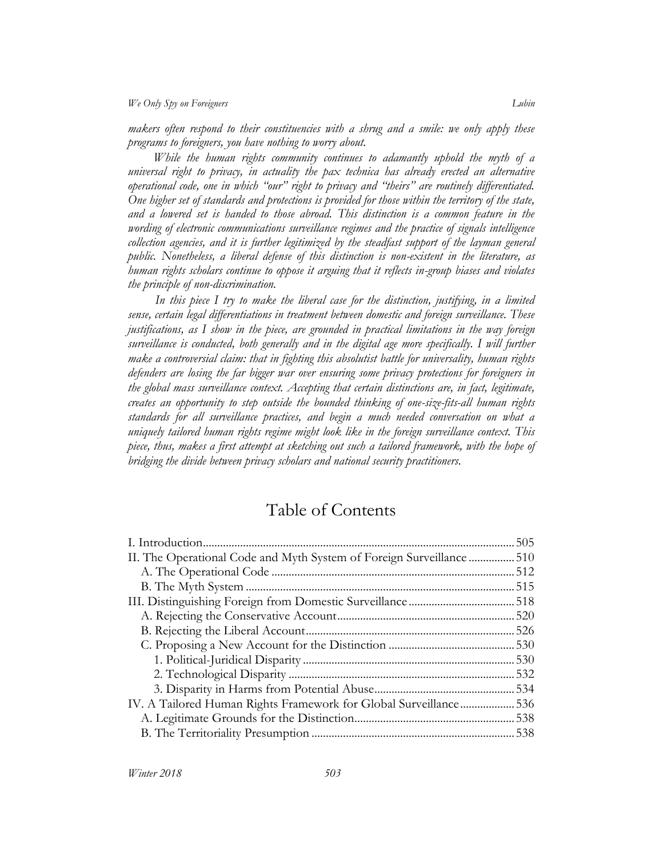#### *We Only Spy on Foreigners Lubin*

*makers often respond to their constituencies with a shrug and a smile: we only apply these programs to foreigners, you have nothing to worry about.* 

*While the human rights community continues to adamantly uphold the myth of a universal right to privacy, in actuality the pax technica has already erected an alternative operational code, one in which "our" right to privacy and "theirs" are routinely differentiated. One higher set of standards and protections is provided for those within the territory of the state, and a lowered set is handed to those abroad. This distinction is a common feature in the wording of electronic communications surveillance regimes and the practice of signals intelligence collection agencies, and it is further legitimized by the steadfast support of the layman general public. Nonetheless, a liberal defense of this distinction is non-existent in the literature, as human rights scholars continue to oppose it arguing that it reflects in-group biases and violates the principle of non-discrimination.*

In this piece I try to make the liberal case for the distinction, justifying, in a limited *sense, certain legal differentiations in treatment between domestic and foreign surveillance. These justifications, as I show in the piece, are grounded in practical limitations in the way foreign surveillance is conducted, both generally and in the digital age more specifically. I will further make a controversial claim: that in fighting this absolutist battle for universality, human rights defenders are losing the far bigger war over ensuring some privacy protections for foreigners in the global mass surveillance context. Accepting that certain distinctions are, in fact, legitimate, creates an opportunity to step outside the bounded thinking of one-size-fits-all human rights standards for all surveillance practices, and begin a much needed conversation on what a uniquely tailored human rights regime might look like in the foreign surveillance context. This piece, thus, makes a first attempt at sketching out such a tailored framework, with the hope of bridging the divide between privacy scholars and national security practitioners.*

# Table of Contents

|                                                                       | 505   |
|-----------------------------------------------------------------------|-------|
| II. The Operational Code and Myth System of Foreign Surveillance  510 |       |
|                                                                       | 512   |
|                                                                       | 515   |
|                                                                       |       |
|                                                                       | 520   |
|                                                                       |       |
|                                                                       |       |
|                                                                       | .530  |
|                                                                       | . 532 |
|                                                                       | 534   |
| IV. A Tailored Human Rights Framework for Global Surveillance536      |       |
|                                                                       |       |
|                                                                       |       |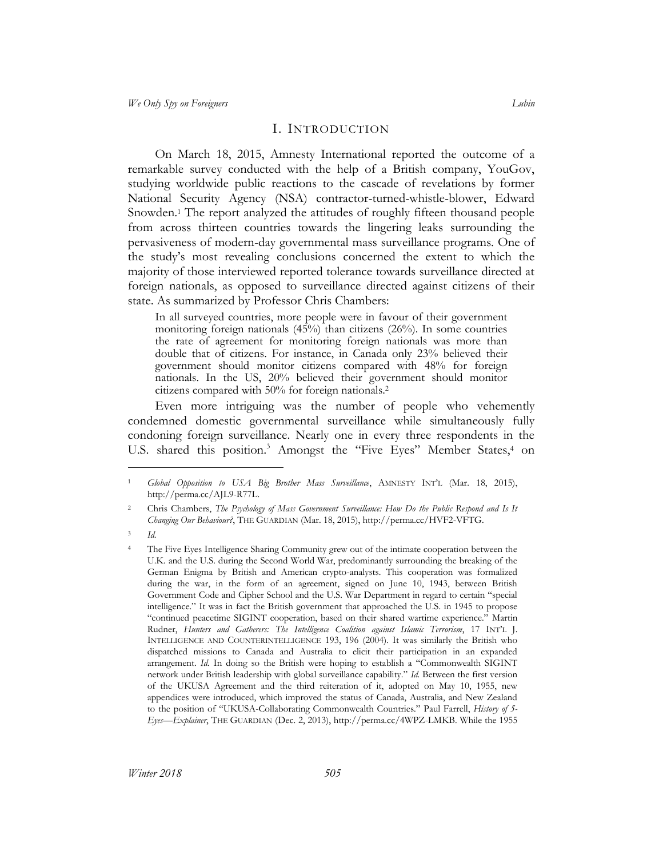#### I. INTRODUCTION

<span id="page-3-0"></span>On March 18, 2015, Amnesty International reported the outcome of a remarkable survey conducted with the help of a British company, YouGov, studying worldwide public reactions to the cascade of revelations by former National Security Agency (NSA) contractor-turned-whistle-blower, Edward Snowden.<sup>1</sup> The report analyzed the attitudes of roughly fifteen thousand people from across thirteen countries towards the lingering leaks surrounding the pervasiveness of modern-day governmental mass surveillance programs. One of the study's most revealing conclusions concerned the extent to which the majority of those interviewed reported tolerance towards surveillance directed at foreign nationals, as opposed to surveillance directed against citizens of their state. As summarized by Professor Chris Chambers:

<span id="page-3-1"></span>In all surveyed countries, more people were in favour of their government monitoring foreign nationals  $(45\%)$  than citizens  $(26\%)$ . In some countries the rate of agreement for monitoring foreign nationals was more than double that of citizens. For instance, in Canada only 23% believed their government should monitor citizens compared with 48% for foreign nationals. In the US, 20% believed their government should monitor citizens compared with 50% for foreign nationals.<sup>2</sup>

Even more intriguing was the number of people who vehemently condemned domestic governmental surveillance while simultaneously fully condoning foreign surveillance. Nearly one in every three respondents in the U.S. shared this position.<sup>3</sup> Amongst the "Five Eyes" Member States,<sup>4</sup> on

<sup>3</sup> *Id.*

<sup>1</sup> *Global Opposition to USA Big Brother Mass Surveillance*, AMNESTY INT'L (Mar. 18, 2015), http://perma.cc/AJL9-R77L.

<sup>2</sup> Chris Chambers, *The Psychology of Mass Government Surveillance: How Do the Public Respond and Is It Changing Our Behaviour?*, THE GUARDIAN (Mar. 18, 2015), http://perma.cc/HVF2-VFTG.

<sup>&</sup>lt;sup>4</sup> The Five Eyes Intelligence Sharing Community grew out of the intimate cooperation between the U.K. and the U.S. during the Second World War, predominantly surrounding the breaking of the German Enigma by British and American crypto-analysts. This cooperation was formalized during the war, in the form of an agreement, signed on June 10, 1943, between British Government Code and Cipher School and the U.S. War Department in regard to certain "special intelligence." It was in fact the British government that approached the U.S. in 1945 to propose "continued peacetime SIGINT cooperation, based on their shared wartime experience." Martin Rudner, *Hunters and Gatherers: The Intelligence Coalition against Islamic Terrorism*, 17 INT'L J. INTELLIGENCE AND COUNTERINTELLIGENCE 193, 196 (2004). It was similarly the British who dispatched missions to Canada and Australia to elicit their participation in an expanded arrangement. *Id.* In doing so the British were hoping to establish a "Commonwealth SIGINT network under British leadership with global surveillance capability." *Id.* Between the first version of the UKUSA Agreement and the third reiteration of it, adopted on May 10, 1955, new appendices were introduced, which improved the status of Canada, Australia, and New Zealand to the position of "UKUSA-Collaborating Commonwealth Countries." Paul Farrell, *History of 5- Eyes—Explainer*, THE GUARDIAN (Dec. 2, 2013), http://perma.cc/4WPZ-LMKB. While the 1955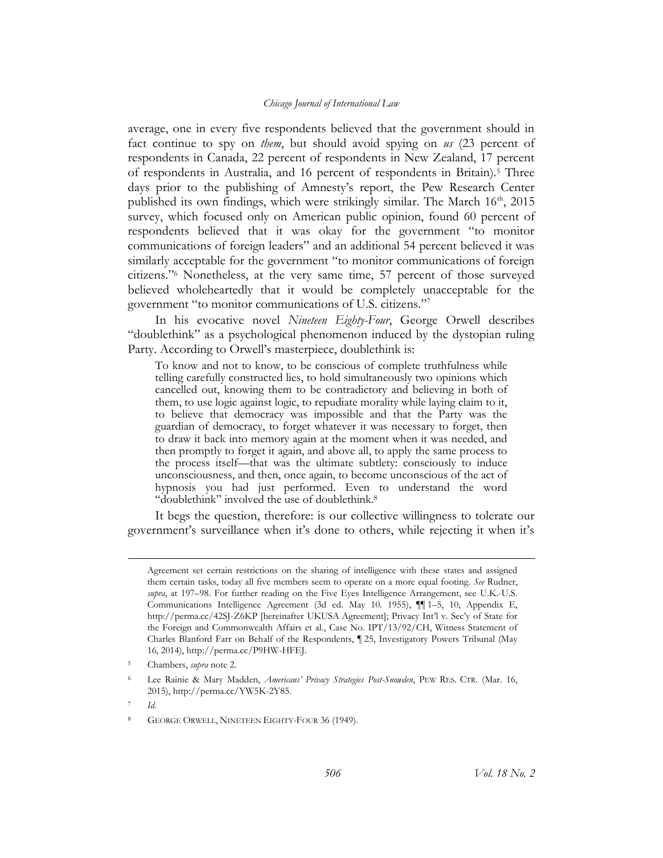average, one in every five respondents believed that the government should in fact continue to spy on *them*, but should avoid spying on *us* (23 percent of respondents in Canada, 22 percent of respondents in New Zealand, 17 percent of respondents in Australia, and 16 percent of respondents in Britain).<sup>5</sup> Three days prior to the publishing of Amnesty's report, the Pew Research Center published its own findings, which were strikingly similar. The March  $16<sup>th</sup>$ , 2015 survey, which focused only on American public opinion, found 60 percent of respondents believed that it was okay for the government "to monitor communications of foreign leaders" and an additional 54 percent believed it was similarly acceptable for the government "to monitor communications of foreign citizens."<sup>6</sup> Nonetheless, at the very same time, 57 percent of those surveyed believed wholeheartedly that it would be completely unacceptable for the government "to monitor communications of U.S. citizens."<sup>7</sup>

In his evocative novel *Nineteen Eighty-Four*, George Orwell describes "doublethink" as a psychological phenomenon induced by the dystopian ruling Party. According to Orwell's masterpiece, doublethink is:

To know and not to know, to be conscious of complete truthfulness while telling carefully constructed lies, to hold simultaneously two opinions which cancelled out, knowing them to be contradictory and believing in both of them, to use logic against logic, to repudiate morality while laying claim to it, to believe that democracy was impossible and that the Party was the guardian of democracy, to forget whatever it was necessary to forget, then to draw it back into memory again at the moment when it was needed, and then promptly to forget it again, and above all, to apply the same process to the process itself—that was the ultimate subtlety: consciously to induce unconsciousness, and then, once again, to become unconscious of the act of hypnosis you had just performed. Even to understand the word "doublethink" involved the use of doublethink.<sup>8</sup>

It begs the question, therefore: is our collective willingness to tolerate our government's surveillance when it's done to others, while rejecting it when it's

<u>.</u>

Agreement set certain restrictions on the sharing of intelligence with these states and assigned them certain tasks, today all five members seem to operate on a more equal footing. *See* Rudner, *supra*, at 197–98. For further reading on the Five Eyes Intelligence Arrangement, see U.K.-U.S. Communications Intelligence Agreement (3d ed. May 10. 1955), ¶¶ 1–5, 10, Appendix E, http://perma.cc/42SJ-Z6KP [hereinafter UKUSA Agreement]; Privacy Int'l v. Sec'y of State for the Foreign and Commonwealth Affairs et al., Case No. IPT/13/92/CH, Witness Statement of Charles Blanford Farr on Behalf of the Respondents, ¶ 25, Investigatory Powers Tribunal (May 16, 2014), http://perma.cc/P9HW-HFEJ.

<sup>5</sup> Chambers, *supra* not[e 2.](#page-3-1) 

<sup>6</sup> Lee Rainie & Mary Madden, *Americans' Privacy Strategies Post-Snowden*, PEW RES. CTR. (Mar. 16, 2015), http://perma.cc/YW5K-2Y85.

<sup>7</sup> *Id.*

<sup>8</sup> GEORGE ORWELL, NINETEEN EIGHTY-FOUR 36 (1949).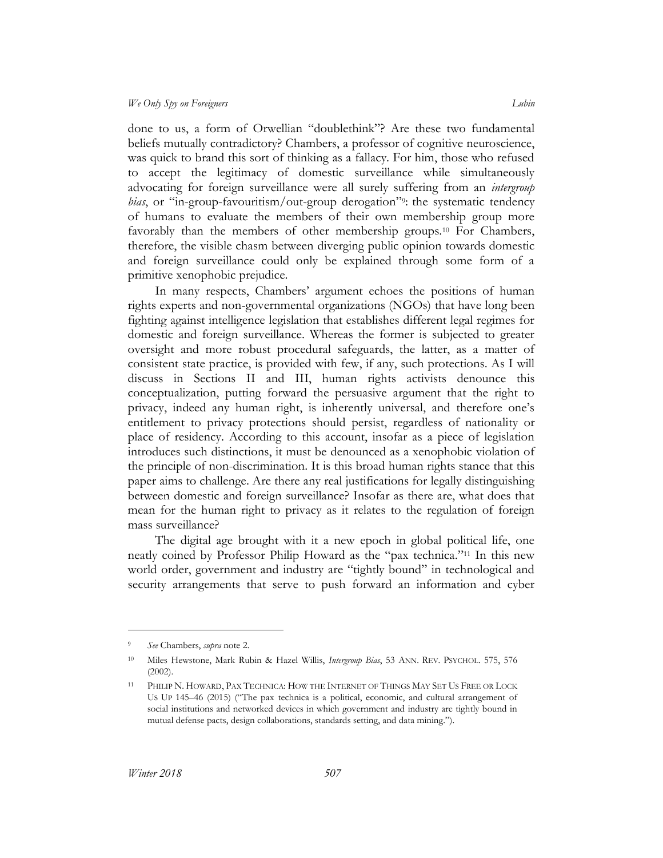done to us, a form of Orwellian "doublethink"? Are these two fundamental beliefs mutually contradictory? Chambers, a professor of cognitive neuroscience, was quick to brand this sort of thinking as a fallacy. For him, those who refused to accept the legitimacy of domestic surveillance while simultaneously advocating for foreign surveillance were all surely suffering from an *intergroup*  bias, or "in-group-favouritism/out-group derogation"<sup>9</sup>: the systematic tendency of humans to evaluate the members of their own membership group more favorably than the members of other membership groups.<sup>10</sup> For Chambers, therefore, the visible chasm between diverging public opinion towards domestic and foreign surveillance could only be explained through some form of a primitive xenophobic prejudice.

In many respects, Chambers' argument echoes the positions of human rights experts and non-governmental organizations (NGOs) that have long been fighting against intelligence legislation that establishes different legal regimes for domestic and foreign surveillance. Whereas the former is subjected to greater oversight and more robust procedural safeguards, the latter, as a matter of consistent state practice, is provided with few, if any, such protections. As I will discuss in Sections II and III, human rights activists denounce this conceptualization, putting forward the persuasive argument that the right to privacy, indeed any human right, is inherently universal, and therefore one's entitlement to privacy protections should persist, regardless of nationality or place of residency. According to this account, insofar as a piece of legislation introduces such distinctions, it must be denounced as a xenophobic violation of the principle of non-discrimination. It is this broad human rights stance that this paper aims to challenge. Are there any real justifications for legally distinguishing between domestic and foreign surveillance? Insofar as there are, what does that mean for the human right to privacy as it relates to the regulation of foreign mass surveillance?

The digital age brought with it a new epoch in global political life, one neatly coined by Professor Philip Howard as the "pax technica*.*"<sup>11</sup> In this new world order, government and industry are "tightly bound" in technological and security arrangements that serve to push forward an information and cyber

<sup>9</sup> *See* Chambers, *supra* not[e 2.](#page-3-1)

<sup>10</sup> Miles Hewstone, Mark Rubin & Hazel Willis, *Intergroup Bias*, 53 ANN. REV. PSYCHOL. 575, 576 (2002).

<sup>11</sup> PHILIP N. HOWARD, PAX TECHNICA: HOW THE INTERNET OF THINGS MAY SET US FREE OR LOCK US UP 145–46 (2015) ("The pax technica is a political, economic, and cultural arrangement of social institutions and networked devices in which government and industry are tightly bound in mutual defense pacts, design collaborations, standards setting, and data mining.").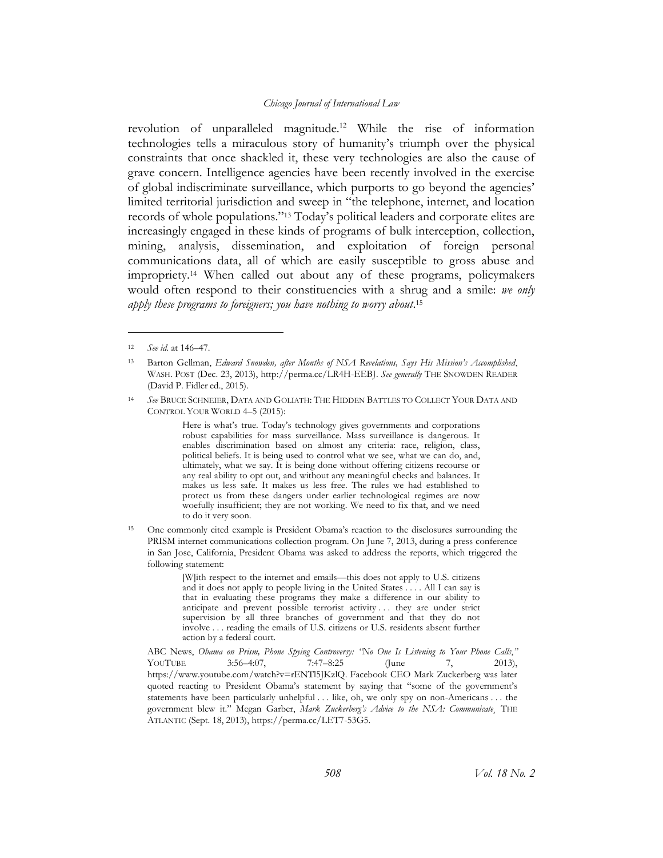revolution of unparalleled magnitude.<sup>12</sup> While the rise of information technologies tells a miraculous story of humanity's triumph over the physical constraints that once shackled it, these very technologies are also the cause of grave concern. Intelligence agencies have been recently involved in the exercise of global indiscriminate surveillance, which purports to go beyond the agencies' limited territorial jurisdiction and sweep in "the telephone, internet, and location records of whole populations."<sup>13</sup> Today's political leaders and corporate elites are increasingly engaged in these kinds of programs of bulk interception, collection, mining, analysis, dissemination, and exploitation of foreign personal communications data, all of which are easily susceptible to gross abuse and impropriety.<sup>14</sup> When called out about any of these programs, policymakers would often respond to their constituencies with a shrug and a smile: *we only apply these programs to foreigners; you have nothing to worry about*. 15

 $\overline{a}$ 

Here is what's true. Today's technology gives governments and corporations robust capabilities for mass surveillance. Mass surveillance is dangerous. It enables discrimination based on almost any criteria: race, religion, class, political beliefs. It is being used to control what we see, what we can do, and, ultimately, what we say. It is being done without offering citizens recourse or any real ability to opt out, and without any meaningful checks and balances. It makes us less safe. It makes us less free. The rules we had established to protect us from these dangers under earlier technological regimes are now woefully insufficient; they are not working. We need to fix that, and we need to do it very soon.

<sup>15</sup> One commonly cited example is President Obama's reaction to the disclosures surrounding the PRISM internet communications collection program. On June 7, 2013, during a press conference in San Jose, California, President Obama was asked to address the reports, which triggered the following statement:

> [W]ith respect to the internet and emails—this does not apply to U.S. citizens and it does not apply to people living in the United States . . . . All I can say is that in evaluating these programs they make a difference in our ability to anticipate and prevent possible terrorist activity . . . they are under strict supervision by all three branches of government and that they do not involve . . . reading the emails of U.S. citizens or U.S. residents absent further action by a federal court.

ABC News, *Obama on Prism, Phone Spying Controversy: "No One Is Listening to Your Phone Calls*,*"* YOUTUBE 3:56–4:07, 7:47–8:25 (June 7, 2013), https://www.youtube.com/watch?v=rENTl5JKzlQ. Facebook CEO Mark Zuckerberg was later quoted reacting to President Obama's statement by saying that "some of the government's statements have been particularly unhelpful . . . like, oh, we only spy on non-Americans . . . the government blew it." Megan Garber, Mark Zuckerberg's Advice to the NSA: Communicate, THE ATLANTIC (Sept. 18, 2013), https://perma.cc/LET7-53G5.

<sup>12</sup> *See id.* at 146–47.

<sup>13</sup> Barton Gellman, *Edward Snowden, after Months of NSA Revelations, Says His Mission's Accomplished*, WASH. POST (Dec. 23, 2013), http://perma.cc/LR4H-EEBJ. *See generally* THE SNOWDEN READER (David P. Fidler ed., 2015).

<sup>14</sup> *See* BRUCE SCHNEIER, DATA AND GOLIATH: THE HIDDEN BATTLES TO COLLECT YOUR DATA AND CONTROL YOUR WORLD 4–5 (2015):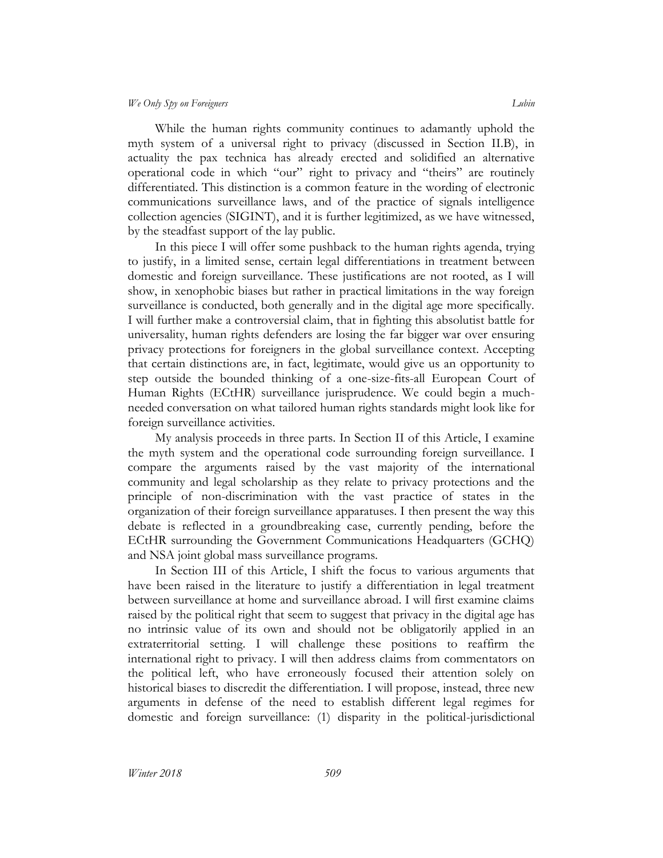#### *We Only Spy on Foreigners Lubin*

While the human rights community continues to adamantly uphold the myth system of a universal right to privacy (discussed in Section II.B), in actuality the pax technica has already erected and solidified an alternative operational code in which "our" right to privacy and "theirs" are routinely differentiated. This distinction is a common feature in the wording of electronic communications surveillance laws, and of the practice of signals intelligence collection agencies (SIGINT), and it is further legitimized, as we have witnessed, by the steadfast support of the lay public.

In this piece I will offer some pushback to the human rights agenda, trying to justify, in a limited sense, certain legal differentiations in treatment between domestic and foreign surveillance. These justifications are not rooted, as I will show, in xenophobic biases but rather in practical limitations in the way foreign surveillance is conducted, both generally and in the digital age more specifically. I will further make a controversial claim, that in fighting this absolutist battle for universality, human rights defenders are losing the far bigger war over ensuring privacy protections for foreigners in the global surveillance context. Accepting that certain distinctions are, in fact, legitimate, would give us an opportunity to step outside the bounded thinking of a one-size-fits-all European Court of Human Rights (ECtHR) surveillance jurisprudence. We could begin a muchneeded conversation on what tailored human rights standards might look like for foreign surveillance activities.

My analysis proceeds in three parts. In Section II of this Article, I examine the myth system and the operational code surrounding foreign surveillance. I compare the arguments raised by the vast majority of the international community and legal scholarship as they relate to privacy protections and the principle of non-discrimination with the vast practice of states in the organization of their foreign surveillance apparatuses. I then present the way this debate is reflected in a groundbreaking case, currently pending, before the ECtHR surrounding the Government Communications Headquarters (GCHQ) and NSA joint global mass surveillance programs.

In Section III of this Article, I shift the focus to various arguments that have been raised in the literature to justify a differentiation in legal treatment between surveillance at home and surveillance abroad. I will first examine claims raised by the political right that seem to suggest that privacy in the digital age has no intrinsic value of its own and should not be obligatorily applied in an extraterritorial setting. I will challenge these positions to reaffirm the international right to privacy. I will then address claims from commentators on the political left, who have erroneously focused their attention solely on historical biases to discredit the differentiation. I will propose, instead, three new arguments in defense of the need to establish different legal regimes for domestic and foreign surveillance: (1) disparity in the political-jurisdictional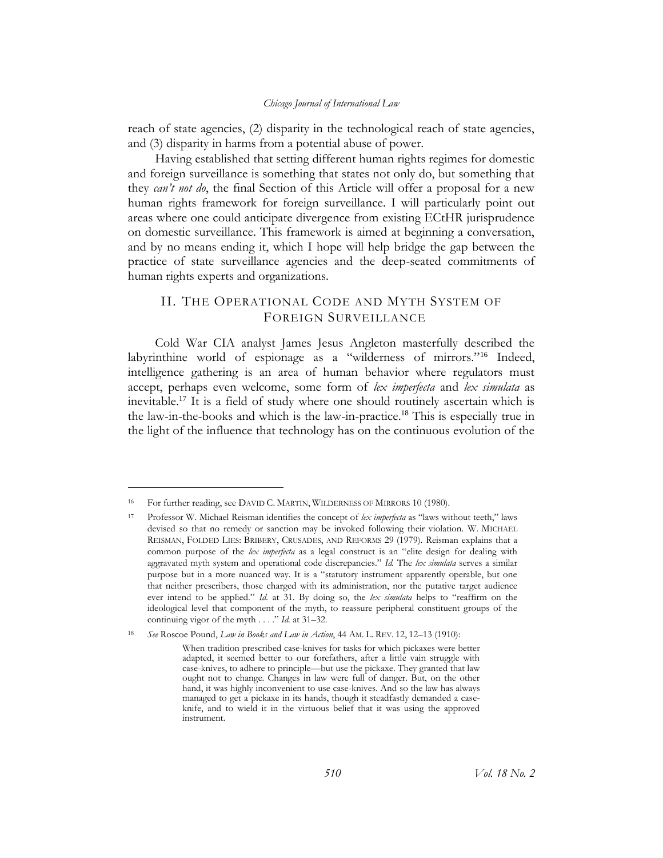reach of state agencies, (2) disparity in the technological reach of state agencies, and (3) disparity in harms from a potential abuse of power.

Having established that setting different human rights regimes for domestic and foreign surveillance is something that states not only do, but something that they *can't not do*, the final Section of this Article will offer a proposal for a new human rights framework for foreign surveillance. I will particularly point out areas where one could anticipate divergence from existing ECtHR jurisprudence on domestic surveillance. This framework is aimed at beginning a conversation, and by no means ending it, which I hope will help bridge the gap between the practice of state surveillance agencies and the deep-seated commitments of human rights experts and organizations.

# <span id="page-8-0"></span>II. THE OPERATIONAL CODE AND MYTH SYSTEM OF FOREIGN SURVEILLANCE

<span id="page-8-1"></span>Cold War CIA analyst James Jesus Angleton masterfully described the labyrinthine world of espionage as a "wilderness of mirrors."<sup>16</sup> Indeed, intelligence gathering is an area of human behavior where regulators must accept, perhaps even welcome, some form of *lex imperfecta* and *lex simulata* as inevitable.<sup>17</sup> It is a field of study where one should routinely ascertain which is the law-in-the-books and which is the law-in-practice.<sup>18</sup> This is especially true in the light of the influence that technology has on the continuous evolution of the

<sup>16</sup> For further reading, see DAVID C. MARTIN, WILDERNESS OF MIRRORS 10 (1980).

<sup>17</sup> Professor W. Michael Reisman identifies the concept of *lex imperfecta* as "laws without teeth," laws devised so that no remedy or sanction may be invoked following their violation. W. MICHAEL REISMAN, FOLDED LIES: BRIBERY, CRUSADES, AND REFORMS 29 (1979). Reisman explains that a common purpose of the *lex imperfecta* as a legal construct is an "elite design for dealing with aggravated myth system and operational code discrepancies." *Id.* The *lex simulata* serves a similar purpose but in a more nuanced way. It is a "statutory instrument apparently operable, but one that neither prescribers, those charged with its administration, nor the putative target audience ever intend to be applied." *Id.* at 31. By doing so, the *lex simulata* helps to "reaffirm on the ideological level that component of the myth, to reassure peripheral constituent groups of the continuing vigor of the myth . . . ." *Id.* at 31–32.

<sup>18</sup> *See* Roscoe Pound, *Law in Books and Law in Action*, 44 AM. L. REV. 12, 12–13 (1910):

When tradition prescribed case-knives for tasks for which pickaxes were better adapted, it seemed better to our forefathers, after a little vain struggle with case-knives, to adhere to principle—but use the pickaxe. They granted that law ought not to change. Changes in law were full of danger. But, on the other hand, it was highly inconvenient to use case-knives. And so the law has always managed to get a pickaxe in its hands, though it steadfastly demanded a caseknife, and to wield it in the virtuous belief that it was using the approved instrument.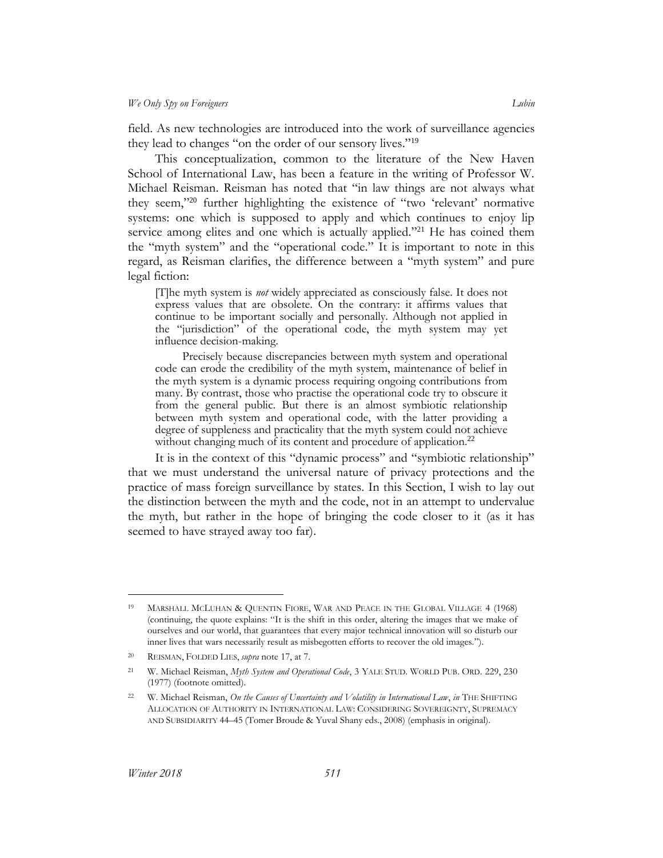field. As new technologies are introduced into the work of surveillance agencies they lead to changes "on the order of our sensory lives."<sup>19</sup>

This conceptualization, common to the literature of the New Haven School of International Law, has been a feature in the writing of Professor W. Michael Reisman. Reisman has noted that "in law things are not always what they seem,"<sup>20</sup> further highlighting the existence of "two 'relevant' normative systems: one which is supposed to apply and which continues to enjoy lip service among elites and one which is actually applied."<sup>21</sup> He has coined them the "myth system" and the "operational code." It is important to note in this regard, as Reisman clarifies, the difference between a "myth system" and pure legal fiction:

<span id="page-9-0"></span>[T]he myth system is *not* widely appreciated as consciously false. It does not express values that are obsolete. On the contrary: it affirms values that continue to be important socially and personally. Although not applied in the "jurisdiction" of the operational code, the myth system may yet influence decision-making.

Precisely because discrepancies between myth system and operational code can erode the credibility of the myth system, maintenance of belief in the myth system is a dynamic process requiring ongoing contributions from many. By contrast, those who practise the operational code try to obscure it from the general public. But there is an almost symbiotic relationship between myth system and operational code, with the latter providing a degree of suppleness and practicality that the myth system could not achieve without changing much of its content and procedure of application.<sup>22</sup>

It is in the context of this "dynamic process" and "symbiotic relationship" that we must understand the universal nature of privacy protections and the practice of mass foreign surveillance by states. In this Section, I wish to lay out the distinction between the myth and the code, not in an attempt to undervalue the myth, but rather in the hope of bringing the code closer to it (as it has seemed to have strayed away too far).

<sup>19</sup> MARSHALL MCLUHAN & QUENTIN FIORE, WAR AND PEACE IN THE GLOBAL VILLAGE 4 (1968) (continuing, the quote explains: "It is the shift in this order, altering the images that we make of ourselves and our world, that guarantees that every major technical innovation will so disturb our inner lives that wars necessarily result as misbegotten efforts to recover the old images.").

<sup>20</sup> REISMAN, FOLDED LIES, *supra* not[e 17,](#page-8-1) at 7.

<sup>21</sup> W. Michael Reisman, *Myth System and Operational Code*, 3 YALE STUD. WORLD PUB. ORD. 229, 230 (1977) (footnote omitted).

<sup>22</sup> W. Michael Reisman, *On the Causes of Uncertainty and Volatility in International Law*, *in* THE SHIFTING ALLOCATION OF AUTHORITY IN INTERNATIONAL LAW: CONSIDERING SOVEREIGNTY, SUPREMACY AND SUBSIDIARITY 44–45 (Tomer Broude & Yuval Shany eds., 2008) (emphasis in original).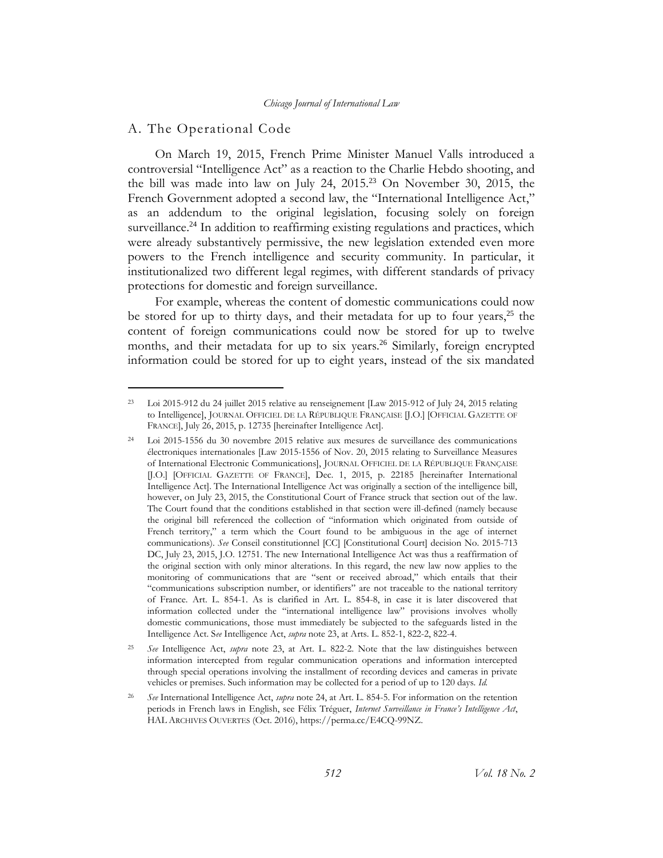# <span id="page-10-0"></span>A. The Operational Code

 $\overline{a}$ 

<span id="page-10-2"></span><span id="page-10-1"></span>On March 19, 2015, French Prime Minister Manuel Valls introduced a controversial "Intelligence Act" as a reaction to the Charlie Hebdo shooting, and the bill was made into law on July 24, 2015.<sup>23</sup> On November 30, 2015, the French Government adopted a second law, the "International Intelligence Act," as an addendum to the original legislation, focusing solely on foreign surveillance.<sup>24</sup> In addition to reaffirming existing regulations and practices, which were already substantively permissive, the new legislation extended even more powers to the French intelligence and security community. In particular, it institutionalized two different legal regimes, with different standards of privacy protections for domestic and foreign surveillance.

For example, whereas the content of domestic communications could now be stored for up to thirty days, and their metadata for up to four years, $^{25}$  the content of foreign communications could now be stored for up to twelve months, and their metadata for up to six years.<sup>26</sup> Similarly, foreign encrypted information could be stored for up to eight years, instead of the six mandated

<sup>23</sup> Loi 2015-912 du 24 juillet 2015 relative au renseignement [Law 2015-912 of July 24, 2015 relating to Intelligence], JOURNAL OFFICIEL DE LA RÉPUBLIQUE FRANÇAISE [J.O.] [OFFICIAL GAZETTE OF FRANCE], July 26, 2015, p. 12735 [hereinafter Intelligence Act].

<sup>24</sup> Loi 2015-1556 du 30 novembre 2015 relative aux mesures de surveillance des communications électroniques internationales [Law 2015-1556 of Nov. 20, 2015 relating to Surveillance Measures of International Electronic Communications], JOURNAL OFFICIEL DE LA RÉPUBLIQUE FRANÇAISE [J.O.] [OFFICIAL GAZETTE OF FRANCE], Dec. 1, 2015, p. 22185 [hereinafter International Intelligence Act]. The International Intelligence Act was originally a section of the intelligence bill, however, on July 23, 2015, the Constitutional Court of France struck that section out of the law. The Court found that the conditions established in that section were ill-defined (namely because the original bill referenced the collection of "information which originated from outside of French territory," a term which the Court found to be ambiguous in the age of internet communications). *See* Conseil constitutionnel [CC] [Constitutional Court] decision No. 2015-713 DC, July 23, 2015, J.O. 12751. The new International Intelligence Act was thus a reaffirmation of the original section with only minor alterations. In this regard, the new law now applies to the monitoring of communications that are "sent or received abroad," which entails that their "communications subscription number, or identifiers" are not traceable to the national territory of France. Art. L. 854-1. As is clarified in Art. L. 854-8, in case it is later discovered that information collected under the "international intelligence law" provisions involves wholly domestic communications, those must immediately be subjected to the safeguards listed in the Intelligence Act. S*ee* Intelligence Act, *supra* not[e 23,](#page-10-1) at Arts. L. 852-1, 822-2, 822-4.

<sup>25</sup> *See* Intelligence Act, *supra* note [23,](#page-10-1) at Art. L. 822-2. Note that the law distinguishes between information intercepted from regular communication operations and information intercepted through special operations involving the installment of recording devices and cameras in private vehicles or premises. Such information may be collected for a period of up to 120 days. *Id.* 

<sup>26</sup> *See* International Intelligence Act, *supra* not[e 24,](#page-10-2) at Art. L. 854-5. For information on the retention periods in French laws in English, see Félix Tréguer, *Internet Surveillance in France's Intelligence Act*, HAL ARCHIVES OUVERTES (Oct. 2016), https://perma.cc/E4CQ-99NZ.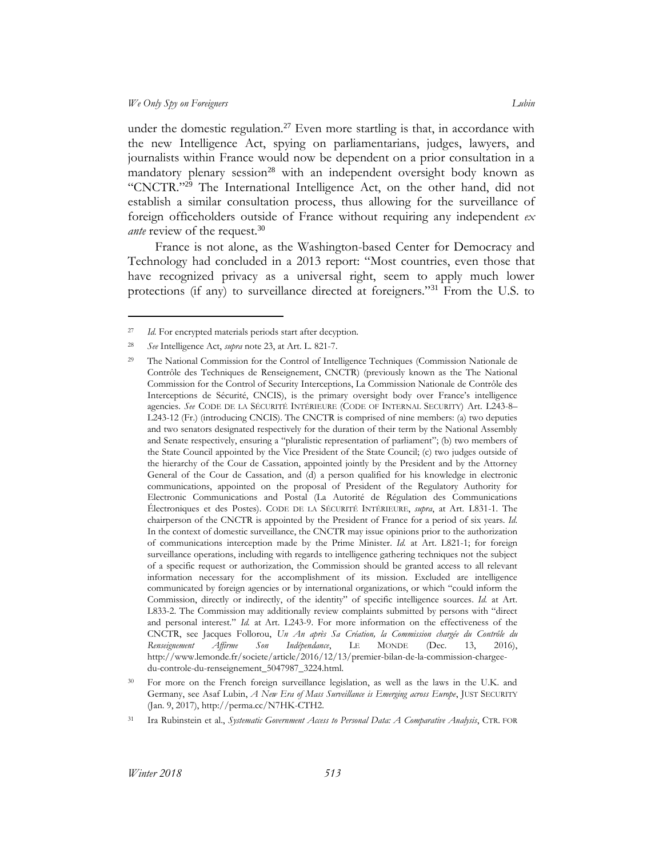<span id="page-11-0"></span> $\overline{a}$ 

under the domestic regulation.<sup>27</sup> Even more startling is that, in accordance with the new Intelligence Act, spying on parliamentarians, judges, lawyers, and journalists within France would now be dependent on a prior consultation in a mandatory plenary session<sup>28</sup> with an independent oversight body known as "CNCTR."<sup>29</sup> The International Intelligence Act, on the other hand, did not establish a similar consultation process, thus allowing for the surveillance of foreign officeholders outside of France without requiring any independent *ex ante* review of the request.<sup>30</sup>

<span id="page-11-1"></span>France is not alone, as the Washington-based Center for Democracy and Technology had concluded in a 2013 report: "Most countries, even those that have recognized privacy as a universal right, seem to apply much lower protections (if any) to surveillance directed at foreigners."<sup>31</sup> From the U.S. to

<sup>27</sup> *Id.* For encrypted materials periods start after decyption.

<sup>28</sup> *See* Intelligence Act, *supra* note [23,](#page-10-1) at Art. L. 821-7.

<sup>&</sup>lt;sup>29</sup> The National Commission for the Control of Intelligence Techniques (Commission Nationale de Contrôle des Techniques de Renseignement, CNCTR) (previously known as the The National Commission for the Control of Security Interceptions, La Commission Nationale de Contrôle des Interceptions de Sécurité, CNCIS), is the primary oversight body over France's intelligence agencies. *See* CODE DE LA SÉCURITÉ INTÉRIEURE (CODE OF INTERNAL SECURITY) Art. L243-8– L243-12 (Fr.) (introducing CNCIS). The CNCTR is comprised of nine members: (a) two deputies and two senators designated respectively for the duration of their term by the National Assembly and Senate respectively, ensuring a "pluralistic representation of parliament"; (b) two members of the State Council appointed by the Vice President of the State Council; (c) two judges outside of the hierarchy of the Cour de Cassation, appointed jointly by the President and by the Attorney General of the Cour de Cassation, and (d) a person qualified for his knowledge in electronic communications, appointed on the proposal of President of the Regulatory Authority for Electronic Communications and Postal (La Autorité de Régulation des Communications Électroniques et des Postes). CODE DE LA SÉCURITÉ INTÉRIEURE, *supra*, at Art. L831-1. The chairperson of the CNCTR is appointed by the President of France for a period of six years. *Id.*  In the context of domestic surveillance, the CNCTR may issue opinions prior to the authorization of communications interception made by the Prime Minister. *Id.* at Art. L821-1; for foreign surveillance operations, including with regards to intelligence gathering techniques not the subject of a specific request or authorization, the Commission should be granted access to all relevant information necessary for the accomplishment of its mission. Excluded are intelligence communicated by foreign agencies or by international organizations, or which "could inform the Commission, directly or indirectly, of the identity" of specific intelligence sources. *Id.* at Art. L833-2. The Commission may additionally review complaints submitted by persons with "direct and personal interest." *Id.* at Art. L243-9. For more information on the effectiveness of the CNCTR, see Jacques Follorou, *Un An après Sa Création, la Commission chargée du Contrôle du Renseignement Affirme Son Indépendance*, LE MONDE (Dec. 13, 2016), http://www.lemonde.fr/societe/article/2016/12/13/premier-bilan-de-la-commission-chargeedu-controle-du-renseignement\_5047987\_3224.html.

<sup>30</sup> For more on the French foreign surveillance legislation, as well as the laws in the U.K. and Germany, see Asaf Lubin, *A New Era of Mass Surveillance is Emerging across Europe*, JUST SECURITY (Jan. 9, 2017), http://perma.cc/N7HK-CTH2.

<sup>31</sup> Ira Rubinstein et al., *Systematic Government Access to Personal Data: A Comparative Analysis*, CTR. FOR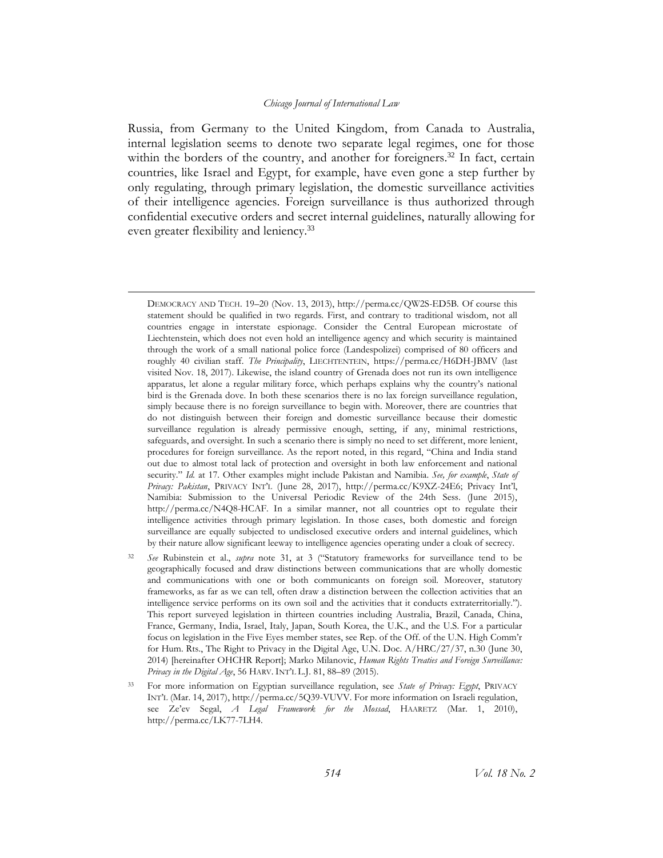<span id="page-12-0"></span>Russia, from Germany to the United Kingdom, from Canada to Australia, internal legislation seems to denote two separate legal regimes, one for those within the borders of the country, and another for foreigners.<sup>32</sup> In fact, certain countries, like Israel and Egypt, for example, have even gone a step further by only regulating, through primary legislation, the domestic surveillance activities of their intelligence agencies. Foreign surveillance is thus authorized through confidential executive orders and secret internal guidelines, naturally allowing for even greater flexibility and leniency.<sup>33</sup>

<u>.</u>

- <sup>32</sup> *See* Rubinstein et al., *supra* note [31,](#page-11-0) at 3 ("Statutory frameworks for surveillance tend to be geographically focused and draw distinctions between communications that are wholly domestic and communications with one or both communicants on foreign soil. Moreover, statutory frameworks, as far as we can tell, often draw a distinction between the collection activities that an intelligence service performs on its own soil and the activities that it conducts extraterritorially."). This report surveyed legislation in thirteen countries including Australia, Brazil, Canada, China, France, Germany, India, Israel, Italy, Japan, South Korea, the U.K., and the U.S. For a particular focus on legislation in the Five Eyes member states, see Rep. of the Off. of the U.N. High Comm'r for Hum. Rts., The Right to Privacy in the Digital Age, U.N. Doc. A/HRC/27/37, n.30 (June 30, 2014) [hereinafter OHCHR Report]; Marko Milanovic, *Human Rights Treaties and Foreign Surveillance: Privacy in the Digital Age*, 56 HARV. INT'L L.J. 81, 88–89 (2015).
- <sup>33</sup> For more information on Egyptian surveillance regulation, see *State of Privacy: Egypt*, PRIVACY INT'L (Mar. 14, 2017), http://perma.cc/5Q39-VUVV. For more information on Israeli regulation, see Ze'ev Segal, *A Legal Framework for the Mossad*, HAARETZ (Mar. 1, 2010), http://perma.cc/LK77-7LH4.

DEMOCRACY AND TECH. 19–20 (Nov. 13, 2013), http://perma.cc/QW2S-ED5B. Of course this statement should be qualified in two regards. First, and contrary to traditional wisdom, not all countries engage in interstate espionage. Consider the Central European microstate of Liechtenstein, which does not even hold an intelligence agency and which security is maintained through the work of a small national police force (Landespolizei) comprised of 80 officers and roughly 40 civilian staff. *The Principality*, LIECHTENTEIN, https://perma.cc/H6DH-JBMV (last visited Nov. 18, 2017). Likewise, the island country of Grenada does not run its own intelligence apparatus, let alone a regular military force, which perhaps explains why the country's national bird is the Grenada dove. In both these scenarios there is no lax foreign surveillance regulation, simply because there is no foreign surveillance to begin with. Moreover, there are countries that do not distinguish between their foreign and domestic surveillance because their domestic surveillance regulation is already permissive enough, setting, if any, minimal restrictions, safeguards, and oversight. In such a scenario there is simply no need to set different, more lenient, procedures for foreign surveillance. As the report noted, in this regard, "China and India stand out due to almost total lack of protection and oversight in both law enforcement and national security." *Id.* at 17. Other examples might include Pakistan and Namibia. *See, for example*, *State of Privacy: Pakistan*, PRIVACY INT'L (June 28, 2017), http://perma.cc/K9XZ-24E6; Privacy Int'l, Namibia: Submission to the Universal Periodic Review of the 24th Sess. (June 2015), http://perma.cc/N4Q8-HCAF. In a similar manner, not all countries opt to regulate their intelligence activities through primary legislation. In those cases, both domestic and foreign surveillance are equally subjected to undisclosed executive orders and internal guidelines, which by their nature allow significant leeway to intelligence agencies operating under a cloak of secrecy.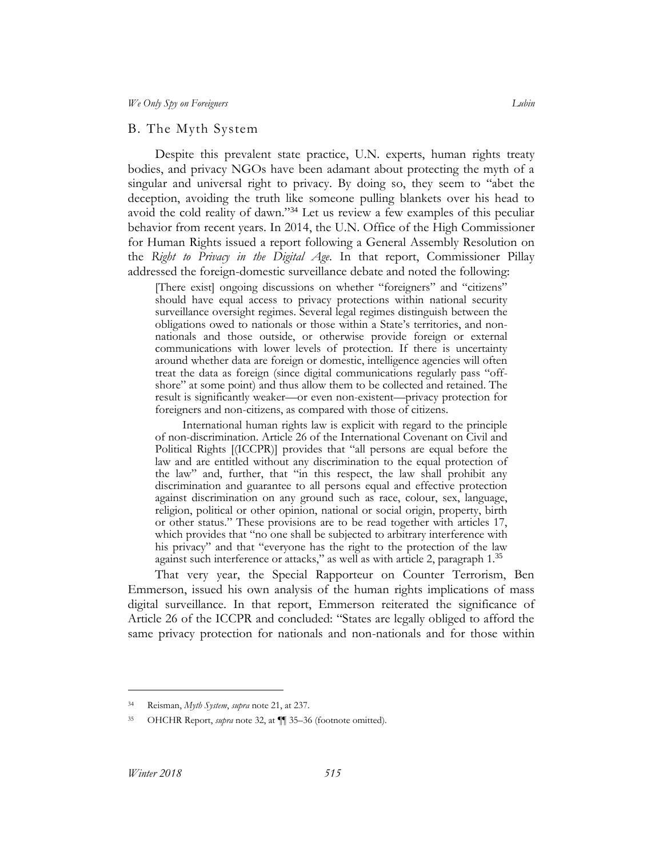#### <span id="page-13-0"></span>B. The Myth System

Despite this prevalent state practice, U.N. experts, human rights treaty bodies, and privacy NGOs have been adamant about protecting the myth of a singular and universal right to privacy. By doing so, they seem to "abet the deception, avoiding the truth like someone pulling blankets over his head to avoid the cold reality of dawn."<sup>34</sup> Let us review a few examples of this peculiar behavior from recent years. In 2014, the U.N. Office of the High Commissioner for Human Rights issued a report following a General Assembly Resolution on the *Right to Privacy in the Digital Age*. In that report, Commissioner Pillay addressed the foreign-domestic surveillance debate and noted the following:

[There exist] ongoing discussions on whether "foreigners" and "citizens" should have equal access to privacy protections within national security surveillance oversight regimes. Several legal regimes distinguish between the obligations owed to nationals or those within a State's territories, and nonnationals and those outside, or otherwise provide foreign or external communications with lower levels of protection. If there is uncertainty around whether data are foreign or domestic, intelligence agencies will often treat the data as foreign (since digital communications regularly pass "offshore" at some point) and thus allow them to be collected and retained. The result is significantly weaker—or even non-existent—privacy protection for foreigners and non-citizens, as compared with those of citizens.

International human rights law is explicit with regard to the principle of non-discrimination. Article 26 of the International Covenant on Civil and Political Rights [(ICCPR)] provides that "all persons are equal before the law and are entitled without any discrimination to the equal protection of the law" and, further, that "in this respect, the law shall prohibit any discrimination and guarantee to all persons equal and effective protection against discrimination on any ground such as race, colour, sex, language, religion, political or other opinion, national or social origin, property, birth or other status." These provisions are to be read together with articles 17, which provides that "no one shall be subjected to arbitrary interference with his privacy" and that "everyone has the right to the protection of the law against such interference or attacks," as well as with article 2, paragraph 1.<sup>35</sup>

That very year, the Special Rapporteur on Counter Terrorism, Ben Emmerson, issued his own analysis of the human rights implications of mass digital surveillance. In that report, Emmerson reiterated the significance of Article 26 of the ICCPR and concluded: "States are legally obliged to afford the same privacy protection for nationals and non-nationals and for those within

<sup>34</sup> Reisman, *Myth System*, *supra* not[e 21,](#page-9-0) at 237.

<sup>35</sup> OHCHR Report, *supra* not[e 32,](#page-12-0) at ¶¶ 35–36 (footnote omitted).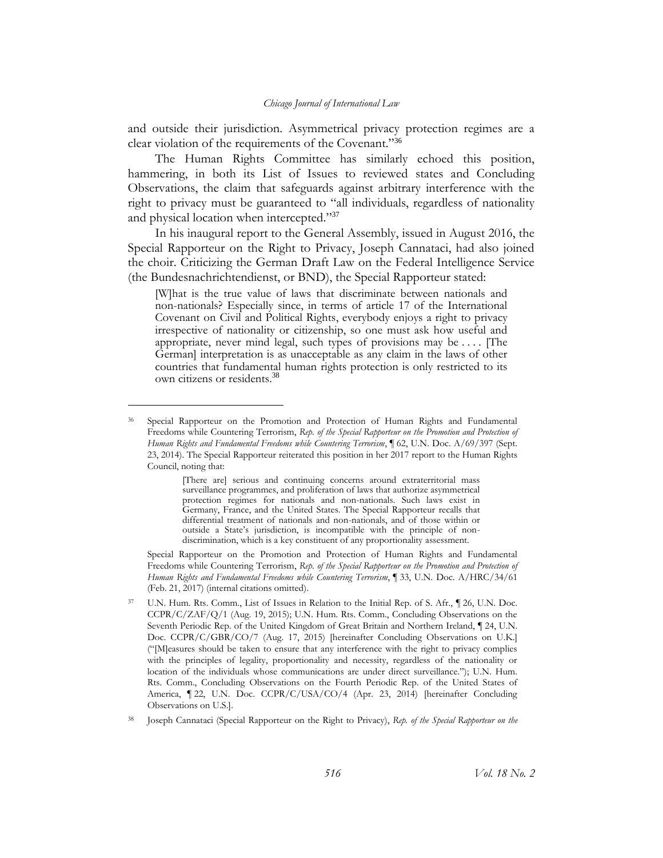<span id="page-14-1"></span>and outside their jurisdiction. Asymmetrical privacy protection regimes are a clear violation of the requirements of the Covenant."<sup>36</sup>

The Human Rights Committee has similarly echoed this position, hammering, in both its List of Issues to reviewed states and Concluding Observations, the claim that safeguards against arbitrary interference with the right to privacy must be guaranteed to "all individuals, regardless of nationality and physical location when intercepted."<sup>37</sup>

In his inaugural report to the General Assembly, issued in August 2016, the Special Rapporteur on the Right to Privacy, Joseph Cannataci, had also joined the choir. Criticizing the German Draft Law on the Federal Intelligence Service (the Bundesnachrichtendienst, or BND), the Special Rapporteur stated:

<span id="page-14-0"></span>[W]hat is the true value of laws that discriminate between nationals and non-nationals? Especially since, in terms of article 17 of the International Covenant on Civil and Political Rights, everybody enjoys a right to privacy irrespective of nationality or citizenship, so one must ask how useful and appropriate, never mind legal, such types of provisions may be . . . . [The German] interpretation is as unacceptable as any claim in the laws of other countries that fundamental human rights protection is only restricted to its own citizens or residents.<sup>38</sup>

 $\overline{a}$ 

[There are] serious and continuing concerns around extraterritorial mass surveillance programmes, and proliferation of laws that authorize asymmetrical protection regimes for nationals and non-nationals. Such laws exist in Germany, France, and the United States. The Special Rapporteur recalls that differential treatment of nationals and non-nationals, and of those within or outside a State's jurisdiction, is incompatible with the principle of nondiscrimination, which is a key constituent of any proportionality assessment.

Special Rapporteur on the Promotion and Protection of Human Rights and Fundamental Freedoms while Countering Terrorism, *Rep. of the Special Rapporteur on the Promotion and Protection of Human Rights and Fundamental Freedoms while Countering Terrorism*, ¶ 33, U.N. Doc. A/HRC/34/61 (Feb. 21, 2017) (internal citations omitted).

<sup>36</sup> Special Rapporteur on the Promotion and Protection of Human Rights and Fundamental Freedoms while Countering Terrorism, *Rep. of the Special Rapporteur on the Promotion and Protection of Human Rights and Fundamental Freedoms while Countering Terrorism*, ¶ 62, U.N. Doc. A/69/397 (Sept. 23, 2014). The Special Rapporteur reiterated this position in her 2017 report to the Human Rights Council, noting that:

<sup>37</sup> U.N. Hum. Rts. Comm., List of Issues in Relation to the Initial Rep. of S. Afr., ¶ 26, U.N. Doc. CCPR/C/ZAF/Q/1 (Aug. 19, 2015); U.N. Hum. Rts. Comm., Concluding Observations on the Seventh Periodic Rep. of the United Kingdom of Great Britain and Northern Ireland, ¶ 24, U.N. Doc. CCPR/C/GBR/CO/7 (Aug. 17, 2015) [hereinafter Concluding Observations on U.K.] ("[M]easures should be taken to ensure that any interference with the right to privacy complies with the principles of legality, proportionality and necessity, regardless of the nationality or location of the individuals whose communications are under direct surveillance."); U.N. Hum. Rts. Comm., Concluding Observations on the Fourth Periodic Rep. of the United States of America, ¶ 22, U.N. Doc. CCPR/C/USA/CO/4 (Apr. 23, 2014) [hereinafter Concluding Observations on U.S.].

<sup>38</sup> Joseph Cannataci (Special Rapporteur on the Right to Privacy), *Rep. of the Special Rapporteur on the*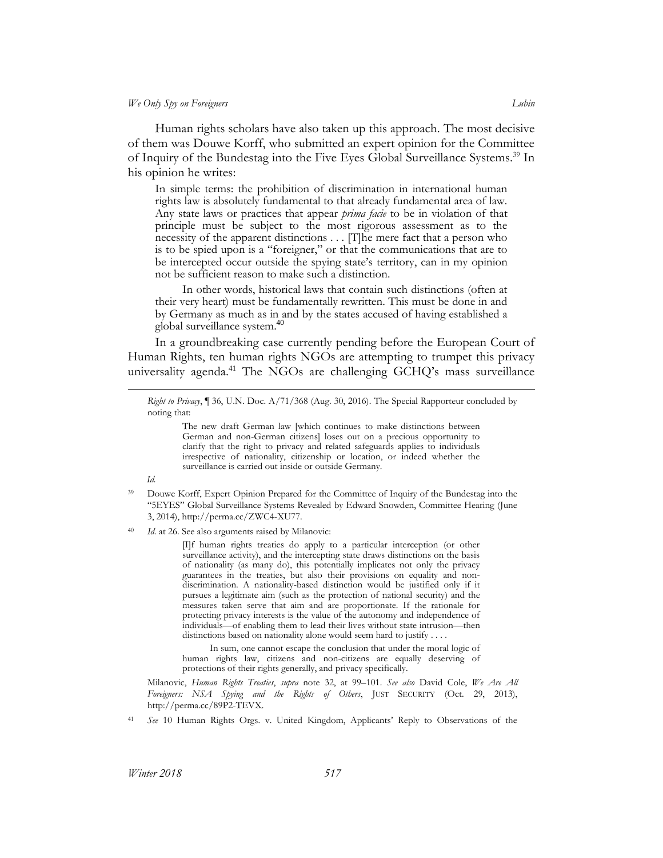Human rights scholars have also taken up this approach. The most decisive of them was Douwe Korff, who submitted an expert opinion for the Committee of Inquiry of the Bundestag into the Five Eyes Global Surveillance Systems.<sup>39</sup> In his opinion he writes:

<span id="page-15-1"></span>In simple terms: the prohibition of discrimination in international human rights law is absolutely fundamental to that already fundamental area of law. Any state laws or practices that appear *prima facie* to be in violation of that principle must be subject to the most rigorous assessment as to the necessity of the apparent distinctions . . . [T]he mere fact that a person who is to be spied upon is a "foreigner," or that the communications that are to be intercepted occur outside the spying state's territory, can in my opinion not be sufficient reason to make such a distinction.

<span id="page-15-2"></span>In other words, historical laws that contain such distinctions (often at their very heart) must be fundamentally rewritten. This must be done in and by Germany as much as in and by the states accused of having established a global surveillance system.<sup>40</sup>

In a groundbreaking case currently pending before the European Court of Human Rights, ten human rights NGOs are attempting to trumpet this privacy universality agenda.<sup>41</sup> The NGOs are challenging GCHQ's mass surveillance

*Right to Privacy*, ¶ 36, U.N. Doc. A/71/368 (Aug. 30, 2016). The Special Rapporteur concluded by noting that:

<span id="page-15-0"></span>The new draft German law [which continues to make distinctions between German and non-German citizens] loses out on a precious opportunity to clarify that the right to privacy and related safeguards applies to individuals irrespective of nationality, citizenship or location, or indeed whether the surveillance is carried out inside or outside Germany.

*Id.*

-

<sup>40</sup> *Id.* at 26. See also arguments raised by Milanovic:

[I]f human rights treaties do apply to a particular interception (or other surveillance activity), and the intercepting state draws distinctions on the basis of nationality (as many do), this potentially implicates not only the privacy guarantees in the treaties, but also their provisions on equality and nondiscrimination. A nationality-based distinction would be justified only if it pursues a legitimate aim (such as the protection of national security) and the measures taken serve that aim and are proportionate. If the rationale for protecting privacy interests is the value of the autonomy and independence of individuals—of enabling them to lead their lives without state intrusion—then distinctions based on nationality alone would seem hard to justify . . . .

In sum, one cannot escape the conclusion that under the moral logic of human rights law, citizens and non-citizens are equally deserving of protections of their rights generally, and privacy specifically.

Milanovic, *Human Rights Treaties*, *supra* note [32,](#page-12-0) at 99–101. *See also* David Cole, *We Are All Foreigners: NSA Spying and the Rights of Others*, JUST SECURITY (Oct. 29, 2013), http://perma.cc/89P2-TEVX.

<sup>41</sup> *See* 10 Human Rights Orgs. v. United Kingdom, Applicants' Reply to Observations of the

<sup>&</sup>lt;sup>39</sup> Douwe Korff, Expert Opinion Prepared for the Committee of Inquiry of the Bundestag into the "5EYES" Global Surveillance Systems Revealed by Edward Snowden, Committee Hearing (June 3, 2014), http://perma.cc/ZWC4-XU77.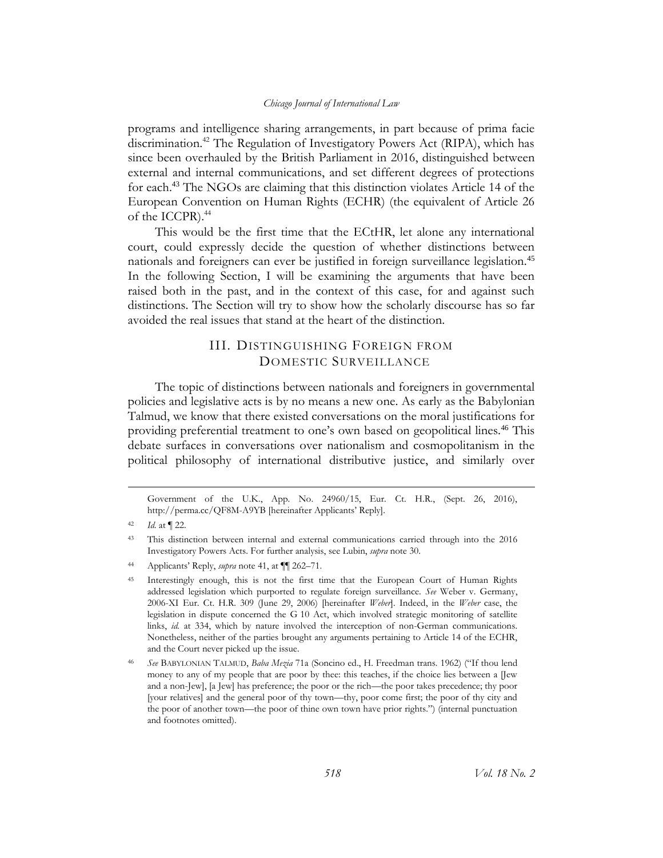programs and intelligence sharing arrangements, in part because of prima facie discrimination.<sup>42</sup> The Regulation of Investigatory Powers Act (RIPA), which has since been overhauled by the British Parliament in 2016, distinguished between external and internal communications, and set different degrees of protections for each.<sup>43</sup> The NGOs are claiming that this distinction violates Article 14 of the European Convention on Human Rights (ECHR) (the equivalent of Article 26 of the ICCPR).<sup>44</sup>

This would be the first time that the ECtHR, let alone any international court, could expressly decide the question of whether distinctions between nationals and foreigners can ever be justified in foreign surveillance legislation.<sup>45</sup> In the following Section, I will be examining the arguments that have been raised both in the past, and in the context of this case, for and against such distinctions. The Section will try to show how the scholarly discourse has so far avoided the real issues that stand at the heart of the distinction.

# <span id="page-16-1"></span>III. DISTINGUISHING FOREIGN FROM DOMESTIC SURVEILLANCE

<span id="page-16-0"></span>The topic of distinctions between nationals and foreigners in governmental policies and legislative acts is by no means a new one. As early as the Babylonian Talmud, we know that there existed conversations on the moral justifications for providing preferential treatment to one's own based on geopolitical lines.<sup>46</sup> This debate surfaces in conversations over nationalism and cosmopolitanism in the political philosophy of international distributive justice, and similarly over

<u>.</u>

Government of the U.K., App. No. 24960/15, Eur. Ct. H.R., (Sept. 26, 2016), http://perma.cc/QF8M-A9YB [hereinafter Applicants' Reply].

<sup>42</sup> *Id.* at ¶ 22.

<sup>&</sup>lt;sup>43</sup> This distinction between internal and external communications carried through into the 2016 Investigatory Powers Acts. For further analysis, see Lubin, *supra* note [30.](#page-11-1)

<sup>44</sup> Applicants' Reply, *supra* note [41,](#page-15-0) at ¶¶ 262–71.

<sup>45</sup> Interestingly enough, this is not the first time that the European Court of Human Rights addressed legislation which purported to regulate foreign surveillance. *See* Weber v. Germany, 2006-XI Eur. Ct. H.R. 309 (June 29, 2006) [hereinafter *Weber*]. Indeed, in the *Weber* case, the legislation in dispute concerned the G 10 Act, which involved strategic monitoring of satellite links, *id.* at 334, which by nature involved the interception of non-German communications. Nonetheless, neither of the parties brought any arguments pertaining to Article 14 of the ECHR, and the Court never picked up the issue.

<sup>46</sup> *See* BABYLONIAN TALMUD, *Baba Mezia* 71a (Soncino ed., H. Freedman trans. 1962) ("If thou lend money to any of my people that are poor by thee: this teaches, if the choice lies between a [Jew and a non-Jew], [a Jew] has preference; the poor or the rich—the poor takes precedence; thy poor [your relatives] and the general poor of thy town—thy, poor come first; the poor of thy city and the poor of another town—the poor of thine own town have prior rights.") (internal punctuation and footnotes omitted).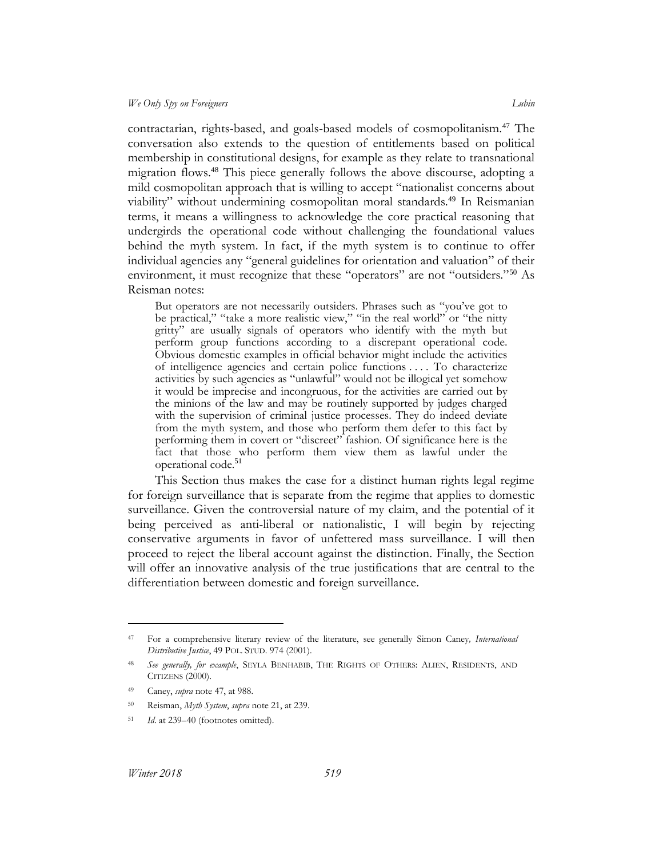<span id="page-17-0"></span>contractarian, rights-based, and goals-based models of cosmopolitanism.<sup>47</sup> The conversation also extends to the question of entitlements based on political membership in constitutional designs, for example as they relate to transnational migration flows.<sup>48</sup> This piece generally follows the above discourse, adopting a mild cosmopolitan approach that is willing to accept "nationalist concerns about viability" without undermining cosmopolitan moral standards.<sup>49</sup> In Reismanian terms, it means a willingness to acknowledge the core practical reasoning that undergirds the operational code without challenging the foundational values behind the myth system. In fact, if the myth system is to continue to offer individual agencies any "general guidelines for orientation and valuation" of their environment, it must recognize that these "operators" are not "outsiders."<sup>50</sup> As Reisman notes:

But operators are not necessarily outsiders. Phrases such as "you've got to be practical," "take a more realistic view," "in the real world" or "the nitty gritty" are usually signals of operators who identify with the myth but perform group functions according to a discrepant operational code. Obvious domestic examples in official behavior might include the activities of intelligence agencies and certain police functions . . . . To characterize activities by such agencies as "unlawful" would not be illogical yet somehow it would be imprecise and incongruous, for the activities are carried out by the minions of the law and may be routinely supported by judges charged with the supervision of criminal justice processes. They do indeed deviate from the myth system, and those who perform them defer to this fact by performing them in covert or "discreet" fashion. Of significance here is the fact that those who perform them view them as lawful under the operational code.<sup>51</sup>

This Section thus makes the case for a distinct human rights legal regime for foreign surveillance that is separate from the regime that applies to domestic surveillance. Given the controversial nature of my claim, and the potential of it being perceived as anti-liberal or nationalistic, I will begin by rejecting conservative arguments in favor of unfettered mass surveillance. I will then proceed to reject the liberal account against the distinction. Finally, the Section will offer an innovative analysis of the true justifications that are central to the differentiation between domestic and foreign surveillance.

<sup>47</sup> For a comprehensive literary review of the literature, see generally Simon Caney*, International Distributive Justice*, 49 POL. STUD. 974 (2001).

<sup>48</sup> *See generally, for example*, SEYLA BENHABIB, THE RIGHTS OF OTHERS: ALIEN, RESIDENTS, AND CITIZENS (2000).

<sup>49</sup> Caney, *supra* not[e 47,](#page-17-0) at 988.

<sup>50</sup> Reisman, *Myth System*, *supra* not[e 21,](#page-9-0) at 239.

<sup>51</sup> *Id*. at 239–40 (footnotes omitted).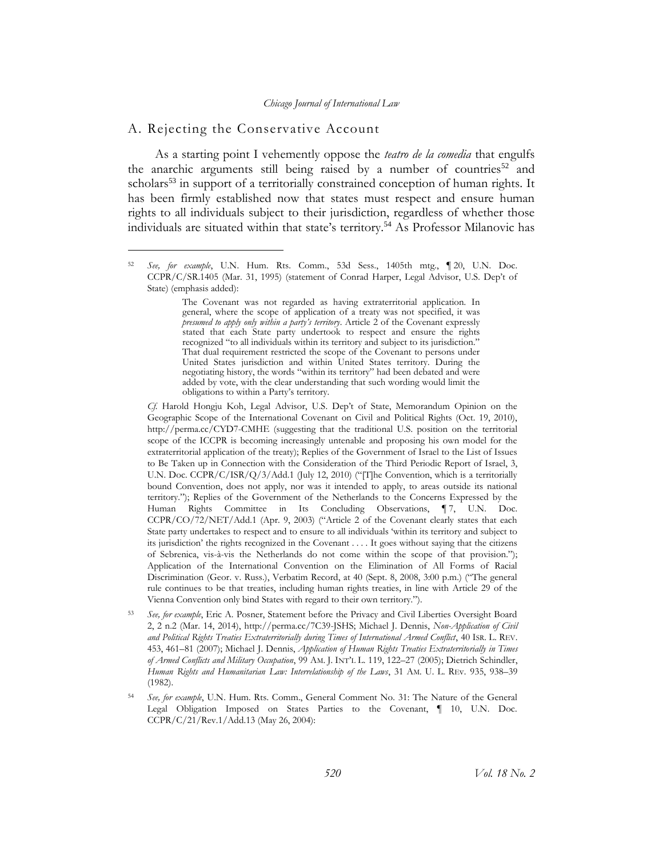## <span id="page-18-0"></span>A. Rejecting the Conservative Account

 $\overline{a}$ 

<span id="page-18-1"></span>As a starting point I vehemently oppose the *teatro de la comedia* that engulfs the anarchic arguments still being raised by a number of countries<sup>52</sup> and scholars<sup>53</sup> in support of a territorially constrained conception of human rights. It has been firmly established now that states must respect and ensure human rights to all individuals subject to their jurisdiction, regardless of whether those individuals are situated within that state's territory.<sup>54</sup> As Professor Milanovic has

<sup>52</sup> *See, for example*, U.N. Hum. Rts. Comm., 53d Sess., 1405th mtg., ¶ 20, U.N. Doc. CCPR/C/SR.1405 (Mar. 31, 1995) (statement of Conrad Harper, Legal Advisor, U.S. Dep't of State) (emphasis added):

The Covenant was not regarded as having extraterritorial application. In general, where the scope of application of a treaty was not specified, it was *presumed to apply only within a party's territory*. Article 2 of the Covenant expressly stated that each State party undertook to respect and ensure the rights recognized "to all individuals within its territory and subject to its jurisdiction." That dual requirement restricted the scope of the Covenant to persons under United States jurisdiction and within United States territory. During the negotiating history, the words "within its territory" had been debated and were added by vote, with the clear understanding that such wording would limit the obligations to within a Party's territory.

*Cf.* Harold Hongju Koh, Legal Advisor, U.S. Dep't of State, Memorandum Opinion on the Geographic Scope of the International Covenant on Civil and Political Rights (Oct. 19, 2010), http://perma.cc/CYD7-CMHE (suggesting that the traditional U.S. position on the territorial scope of the ICCPR is becoming increasingly untenable and proposing his own model for the extraterritorial application of the treaty); Replies of the Government of Israel to the List of Issues to Be Taken up in Connection with the Consideration of the Third Periodic Report of Israel, 3, U.N. Doc. CCPR/C/ISR/Q/3/Add.1 (July 12, 2010) ("[T]he Convention, which is a territorially bound Convention, does not apply, nor was it intended to apply, to areas outside its national territory."); Replies of the Government of the Netherlands to the Concerns Expressed by the Human Rights Committee in Its Concluding Observations, ¶7, U.N. Doc. CCPR/CO/72/NET/Add.1 (Apr. 9, 2003) ("Article 2 of the Covenant clearly states that each State party undertakes to respect and to ensure to all individuals 'within its territory and subject to its jurisdiction' the rights recognized in the Covenant . . . . It goes without saying that the citizens of Sebrenica, vis-à-vis the Netherlands do not come within the scope of that provision."); Application of the International Convention on the Elimination of All Forms of Racial Discrimination (Geor. v. Russ.), Verbatim Record, at 40 (Sept. 8, 2008, 3:00 p.m.) ("The general rule continues to be that treaties, including human rights treaties, in line with Article 29 of the Vienna Convention only bind States with regard to their own territory.").

<sup>53</sup> *See, for example*, Eric A. Posner, Statement before the Privacy and Civil Liberties Oversight Board 2, 2 n.2 (Mar. 14, 2014), http://perma.cc/7C39-JSHS; Michael J. Dennis, *Non-Application of Civil and Political Rights Treaties Extraterritorially during Times of International Armed Conflict*, 40 ISR. L. REV. 453, 461–81 (2007); Michael J. Dennis, *Application of Human Rights Treaties Extraterritorially in Times of Armed Conflicts and Military Occupation*, 99 AM. J. INT'L L. 119, 122–27 (2005); Dietrich Schindler, *Human Rights and Humanitarian Law: Interrelationship of the Laws*, 31 AM. U. L. REv. 935, 938–39 (1982).

<sup>54</sup> *See, for example*, U.N. Hum. Rts. Comm., General Comment No. 31: The Nature of the General Legal Obligation Imposed on States Parties to the Covenant, ¶ 10, U.N. Doc. CCPR/C/21/Rev.1/Add.13 (May 26, 2004):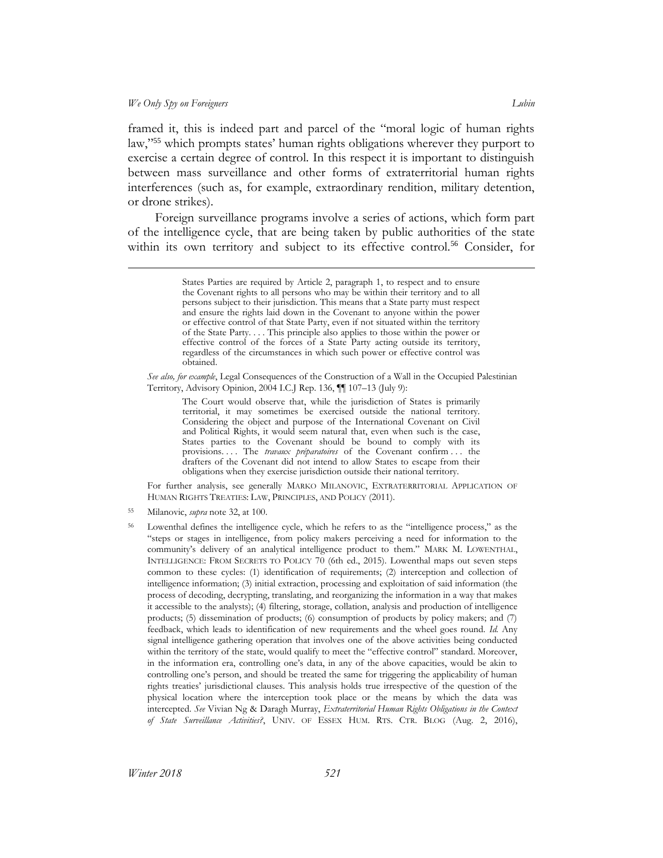-

framed it, this is indeed part and parcel of the "moral logic of human rights law,"<sup>55</sup> which prompts states' human rights obligations wherever they purport to exercise a certain degree of control. In this respect it is important to distinguish between mass surveillance and other forms of extraterritorial human rights interferences (such as, for example, extraordinary rendition, military detention, or drone strikes).

Foreign surveillance programs involve a series of actions, which form part of the intelligence cycle, that are being taken by public authorities of the state within its own territory and subject to its effective control.<sup>56</sup> Consider, for

*See also, for example*, Legal Consequences of the Construction of a Wall in the Occupied Palestinian Territory, Advisory Opinion, 2004 I.C.J Rep. 136, ¶¶ 107–13 (July 9):

The Court would observe that, while the jurisdiction of States is primarily territorial, it may sometimes be exercised outside the national territory. Considering the object and purpose of the International Covenant on Civil and Political Rights, it would seem natural that, even when such is the case, States parties to the Covenant should be bound to comply with its provisions. . . . The *travaux préparatoires* of the Covenant confirm . . . the drafters of the Covenant did not intend to allow States to escape from their obligations when they exercise jurisdiction outside their national territory.

For further analysis, see generally MARKO MILANOVIC, EXTRATERRITORIAL APPLICATION OF HUMAN RIGHTS TREATIES: LAW, PRINCIPLES, AND POLICY (2011).

- <sup>55</sup> Milanovic, *supra* not[e 32,](#page-12-0) at 100.
- <sup>56</sup> Lowenthal defines the intelligence cycle, which he refers to as the "intelligence process," as the "steps or stages in intelligence, from policy makers perceiving a need for information to the community's delivery of an analytical intelligence product to them." MARK M. LOWENTHAL, INTELLIGENCE: FROM SECRETS TO POLICY 70 (6th ed., 2015). Lowenthal maps out seven steps common to these cycles: (1) identification of requirements; (2) interception and collection of intelligence information; (3) initial extraction, processing and exploitation of said information (the process of decoding, decrypting, translating, and reorganizing the information in a way that makes it accessible to the analysts); (4) filtering, storage, collation, analysis and production of intelligence products; (5) dissemination of products; (6) consumption of products by policy makers; and (7) feedback, which leads to identification of new requirements and the wheel goes round. *Id.* Any signal intelligence gathering operation that involves one of the above activities being conducted within the territory of the state, would qualify to meet the "effective control" standard. Moreover, in the information era, controlling one's data, in any of the above capacities, would be akin to controlling one's person, and should be treated the same for triggering the applicability of human rights treaties' jurisdictional clauses. This analysis holds true irrespective of the question of the physical location where the interception took place or the means by which the data was intercepted. *See* Vivian Ng & Daragh Murray, *Extraterritorial Human Rights Obligations in the Context of State Surveillance Activities?*, UNIV. OF ESSEX HUM. RTS. CTR. BLOG (Aug. 2, 2016),

States Parties are required by Article 2, paragraph 1, to respect and to ensure the Covenant rights to all persons who may be within their territory and to all persons subject to their jurisdiction. This means that a State party must respect and ensure the rights laid down in the Covenant to anyone within the power or effective control of that State Party, even if not situated within the territory of the State Party. . . . This principle also applies to those within the power or effective control of the forces of a State Party acting outside its territory, regardless of the circumstances in which such power or effective control was obtained.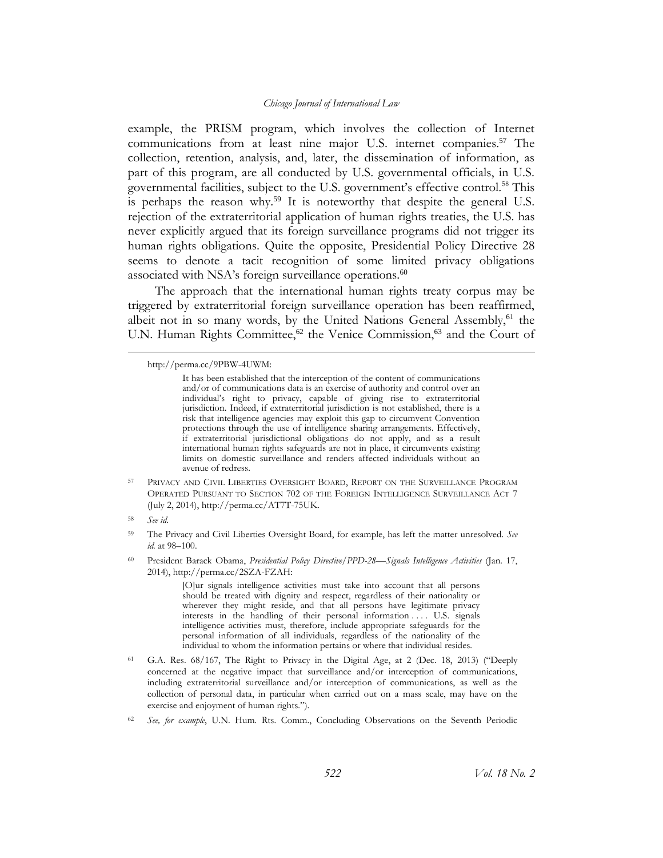example, the PRISM program, which involves the collection of Internet communications from at least nine major U.S. internet companies.<sup>57</sup> The collection, retention, analysis, and, later, the dissemination of information, as part of this program, are all conducted by U.S. governmental officials, in U.S. governmental facilities, subject to the U.S. government's effective control.<sup>58</sup> This is perhaps the reason why.<sup>59</sup> It is noteworthy that despite the general U.S. rejection of the extraterritorial application of human rights treaties, the U.S. has never explicitly argued that its foreign surveillance programs did not trigger its human rights obligations. Quite the opposite, Presidential Policy Directive 28 seems to denote a tacit recognition of some limited privacy obligations associated with NSA's foreign surveillance operations.<sup>60</sup>

The approach that the international human rights treaty corpus may be triggered by extraterritorial foreign surveillance operation has been reaffirmed, albeit not in so many words, by the United Nations General Assembly,<sup>61</sup> the U.N. Human Rights Committee,<sup>62</sup> the Venice Commission,<sup>63</sup> and the Court of

http://perma.cc/9PBW-4UWM:

It has been established that the interception of the content of communications and/or of communications data is an exercise of authority and control over an individual's right to privacy, capable of giving rise to extraterritorial jurisdiction. Indeed, if extraterritorial jurisdiction is not established, there is a risk that intelligence agencies may exploit this gap to circumvent Convention protections through the use of intelligence sharing arrangements. Effectively, if extraterritorial jurisdictional obligations do not apply, and as a result international human rights safeguards are not in place, it circumvents existing limits on domestic surveillance and renders affected individuals without an avenue of redress.

- <sup>57</sup> PRIVACY AND CIVIL LIBERTIES OVERSIGHT BOARD, REPORT ON THE SURVEILLANCE PROGRAM OPERATED PURSUANT TO SECTION 702 OF THE FOREIGN INTELLIGENCE SURVEILLANCE ACT 7 (July 2, 2014), http://perma.cc/AT7T-75UK.
- <sup>58</sup> *See id.*

-

- <sup>59</sup> The Privacy and Civil Liberties Oversight Board, for example, has left the matter unresolved. *See id.* at 98–100.
- <sup>60</sup> President Barack Obama, *Presidential Policy Directive/PPD-28—Signals Intelligence Activities* (Jan. 17, 2014), http://perma.cc/2SZA-FZAH:

[O]ur signals intelligence activities must take into account that all persons should be treated with dignity and respect, regardless of their nationality or wherever they might reside, and that all persons have legitimate privacy interests in the handling of their personal information .... U.S. signals intelligence activities must, therefore, include appropriate safeguards for the personal information of all individuals, regardless of the nationality of the individual to whom the information pertains or where that individual resides.

- <sup>61</sup> G.A. Res. 68/167, The Right to Privacy in the Digital Age, at 2 (Dec. 18, 2013) ("Deeply concerned at the negative impact that surveillance and/or interception of communications, including extraterritorial surveillance and/or interception of communications, as well as the collection of personal data, in particular when carried out on a mass scale, may have on the exercise and enjoyment of human rights.").
- <sup>62</sup> *See, for example*, U.N. Hum. Rts. Comm., Concluding Observations on the Seventh Periodic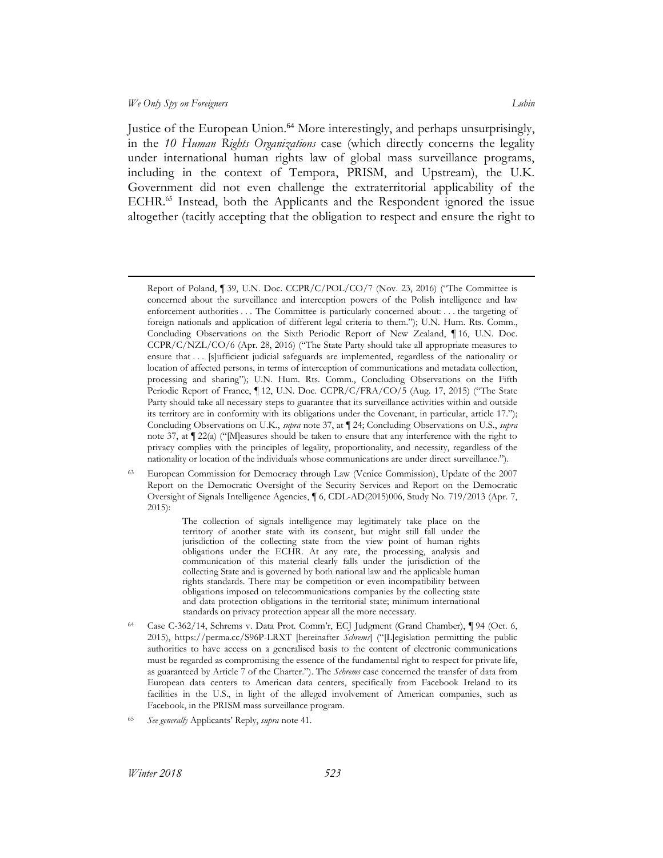#### *We Only Spy on Foreigners Lubin*

<u>.</u>

Justice of the European Union.<sup>64</sup> More interestingly, and perhaps unsurprisingly, in the *10 Human Rights Organizations* case (which directly concerns the legality under international human rights law of global mass surveillance programs, including in the context of Tempora, PRISM, and Upstream), the U.K. Government did not even challenge the extraterritorial applicability of the ECHR.<sup>65</sup> Instead, both the Applicants and the Respondent ignored the issue altogether (tacitly accepting that the obligation to respect and ensure the right to

The collection of signals intelligence may legitimately take place on the territory of another state with its consent, but might still fall under the jurisdiction of the collecting state from the view point of human rights obligations under the ECHR. At any rate, the processing, analysis and communication of this material clearly falls under the jurisdiction of the collecting State and is governed by both national law and the applicable human rights standards. There may be competition or even incompatibility between obligations imposed on telecommunications companies by the collecting state and data protection obligations in the territorial state; minimum international standards on privacy protection appear all the more necessary.

- <sup>64</sup> Case C-362/14, Schrems v. Data Prot. Comm'r, ECJ Judgment (Grand Chamber), ¶ 94 (Oct. 6, 2015), https://perma.cc/S96P-LRXT [hereinafter *Schrems*] ("[L]egislation permitting the public authorities to have access on a generalised basis to the content of electronic communications must be regarded as compromising the essence of the fundamental right to respect for private life, as guaranteed by Article 7 of the Charter."). The *Schrems* case concerned the transfer of data from European data centers to American data centers, specifically from Facebook Ireland to its facilities in the U.S., in light of the alleged involvement of American companies, such as Facebook, in the PRISM mass surveillance program.
- <sup>65</sup> *See generally* Applicants' Reply, *supra* not[e 41.](#page-15-0)

Report of Poland, ¶ 39, U.N. Doc. CCPR/C/POL/CO/7 (Nov. 23, 2016) ("The Committee is concerned about the surveillance and interception powers of the Polish intelligence and law enforcement authorities . . . The Committee is particularly concerned about: . . . the targeting of foreign nationals and application of different legal criteria to them."); U.N. Hum. Rts. Comm., Concluding Observations on the Sixth Periodic Report of New Zealand, ¶ 16, U.N. Doc. CCPR/C/NZL/CO/6 (Apr. 28, 2016) ("The State Party should take all appropriate measures to ensure that . . . [s]ufficient judicial safeguards are implemented, regardless of the nationality or location of affected persons, in terms of interception of communications and metadata collection, processing and sharing"); U.N. Hum. Rts. Comm., Concluding Observations on the Fifth Periodic Report of France, ¶ 12, U.N. Doc. CCPR/C/FRA/CO/5 (Aug. 17, 2015) ("The State Party should take all necessary steps to guarantee that its surveillance activities within and outside its territory are in conformity with its obligations under the Covenant, in particular, article 17."); Concluding Observations on U.K., *supra* note [37,](#page-14-0) at ¶ 24; Concluding Observations on U.S., *supra* note [37,](#page-14-0) at ¶ 22(a) ("[M]easures should be taken to ensure that any interference with the right to privacy complies with the principles of legality, proportionality, and necessity, regardless of the nationality or location of the individuals whose communications are under direct surveillance.").

<sup>63</sup> European Commission for Democracy through Law (Venice Commission), Update of the 2007 Report on the Democratic Oversight of the Security Services and Report on the Democratic Oversight of Signals Intelligence Agencies, ¶ 6, CDL-AD(2015)006, Study No. 719/2013 (Apr. 7, 2015):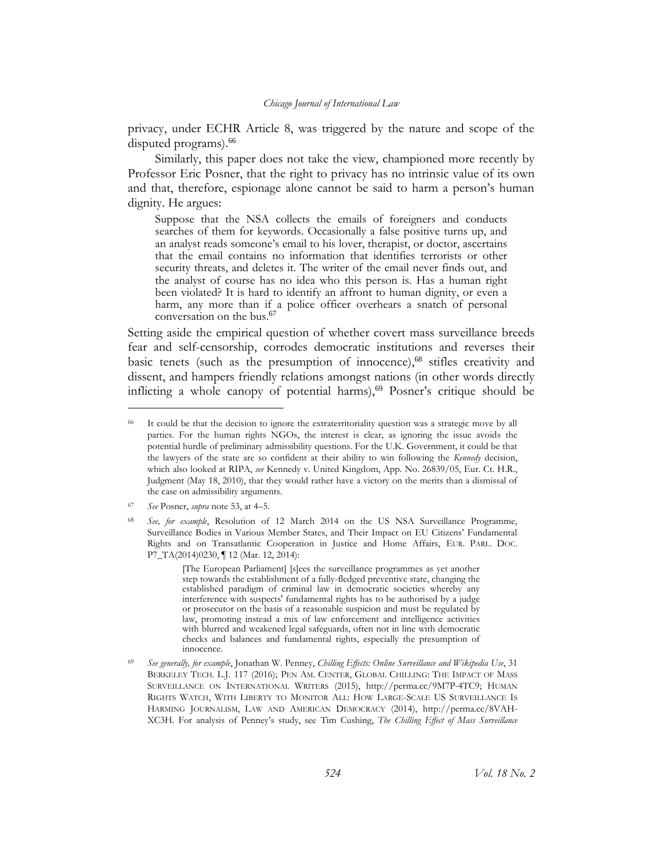privacy, under ECHR Article 8, was triggered by the nature and scope of the disputed programs).<sup>66</sup>

Similarly, this paper does not take the view, championed more recently by Professor Eric Posner, that the right to privacy has no intrinsic value of its own and that, therefore, espionage alone cannot be said to harm a person's human dignity. He argues:

Suppose that the NSA collects the emails of foreigners and conducts searches of them for keywords. Occasionally a false positive turns up, and an analyst reads someone's email to his lover, therapist, or doctor, ascertains that the email contains no information that identifies terrorists or other security threats, and deletes it. The writer of the email never finds out, and the analyst of course has no idea who this person is. Has a human right been violated? It is hard to identify an affront to human dignity, or even a harm, any more than if a police officer overhears a snatch of personal conversation on the bus.<sup>67</sup>

Setting aside the empirical question of whether covert mass surveillance breeds fear and self-censorship, corrodes democratic institutions and reverses their basic tenets (such as the presumption of innocence),<sup>68</sup> stifles creativity and dissent, and hampers friendly relations amongst nations (in other words directly inflicting a whole canopy of potential harms), $69$  Posner's critique should be

<span id="page-22-0"></span> $\overline{a}$ 

[The European Parliament] [s]ees the surveillance programmes as yet another step towards the establishment of a fully-fledged preventive state, changing the established paradigm of criminal law in democratic societies whereby any interference with suspects' fundamental rights has to be authorised by a judge or prosecutor on the basis of a reasonable suspicion and must be regulated by law, promoting instead a mix of law enforcement and intelligence activities with blurred and weakened legal safeguards, often not in line with democratic checks and balances and fundamental rights, especially the presumption of innocence.

<sup>66</sup> It could be that the decision to ignore the extraterritoriality question was a strategic move by all parties. For the human rights NGOs, the interest is clear, as ignoring the issue avoids the potential hurdle of preliminary admissibility questions. For the U.K. Government, it could be that the lawyers of the state are so confident at their ability to win following the *Kennedy* decision, which also looked at RIPA, *see* Kennedy v. United Kingdom, App. No. 26839/05, Eur. Ct. H.R., Judgment (May 18, 2010), that they would rather have a victory on the merits than a dismissal of the case on admissibility arguments.

<sup>67</sup> *See* Posner, *supra* note [53,](#page-18-1) at 4–5.

<sup>68</sup> *See, for example*, Resolution of 12 March 2014 on the US NSA Surveillance Programme, Surveillance Bodies in Various Member States, and Their Impact on EU Citizens' Fundamental Rights and on Transatlantic Cooperation in Justice and Home Affairs, EUR. PARL. DOC. P7\_TA(2014)0230, ¶ 12 (Mar. 12, 2014):

<sup>69</sup> *See generally, for example*, Jonathan W. Penney, *Chilling Effects: Online Surveillance and Wikipedia Use*, 31 BERKELEY TECH. L.J. 117 (2016); PEN AM. CENTER, GLOBAL CHILLING: THE IMPACT OF MASS SURVEILLANCE ON INTERNATIONAL WRITERS (2015), http://perma.cc/9M7P-4TC9; HUMAN RIGHTS WATCH, WITH LIBERTY TO MONITOR ALL: HOW LARGE-SCALE US SURVEILLANCE IS HARMING JOURNALISM, LAW AND AMERICAN DEMOCRACY (2014), http://perma.cc/8VAH-XC3H. For analysis of Penney's study, see Tim Cushing, *The Chilling Effect of Mass Surveillance*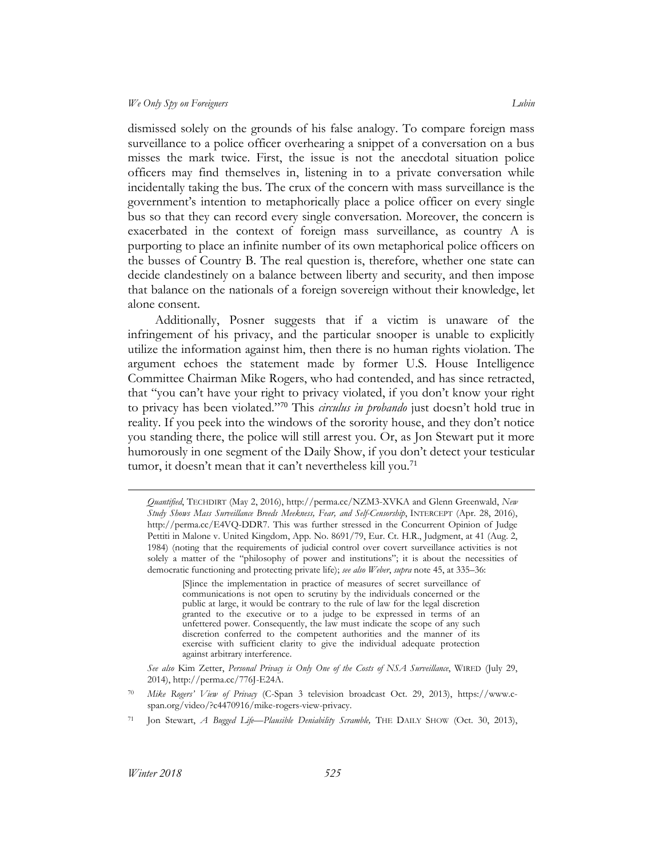dismissed solely on the grounds of his false analogy. To compare foreign mass surveillance to a police officer overhearing a snippet of a conversation on a bus misses the mark twice. First, the issue is not the anecdotal situation police officers may find themselves in, listening in to a private conversation while incidentally taking the bus. The crux of the concern with mass surveillance is the government's intention to metaphorically place a police officer on every single bus so that they can record every single conversation. Moreover, the concern is exacerbated in the context of foreign mass surveillance, as country A is purporting to place an infinite number of its own metaphorical police officers on the busses of Country B. The real question is, therefore, whether one state can decide clandestinely on a balance between liberty and security, and then impose that balance on the nationals of a foreign sovereign without their knowledge, let alone consent.

Additionally, Posner suggests that if a victim is unaware of the infringement of his privacy, and the particular snooper is unable to explicitly utilize the information against him, then there is no human rights violation. The argument echoes the statement made by former U.S. House Intelligence Committee Chairman Mike Rogers, who had contended, and has since retracted, that "you can't have your right to privacy violated, if you don't know your right to privacy has been violated."<sup>70</sup> This *circulus in probando* just doesn't hold true in reality. If you peek into the windows of the sorority house, and they don't notice you standing there, the police will still arrest you. Or, as Jon Stewart put it more humorously in one segment of the Daily Show, if you don't detect your testicular tumor, it doesn't mean that it can't nevertheless kill you.<sup>71</sup>

[S]ince the implementation in practice of measures of secret surveillance of communications is not open to scrutiny by the individuals concerned or the public at large, it would be contrary to the rule of law for the legal discretion granted to the executive or to a judge to be expressed in terms of an unfettered power. Consequently, the law must indicate the scope of any such discretion conferred to the competent authorities and the manner of its exercise with sufficient clarity to give the individual adequate protection against arbitrary interference.

*See also* Kim Zetter, *Personal Privacy is Only One of the Costs of NSA Surveillance*, WIRED (July 29, 2014), http://perma.cc/776J-E24A.

-

*Quantified*, TECHDIRT (May 2, 2016), http://perma.cc/NZM3-XVKA and Glenn Greenwald, *New Study Shows Mass Surveillance Breeds Meekness, Fear, and Self-Censorship*, INTERCEPT (Apr. 28, 2016), http://perma.cc/E4VQ-DDR7. This was further stressed in the Concurrent Opinion of Judge Pettiti in Malone v. United Kingdom, App. No. 8691/79, Eur. Ct. H.R., Judgment, at 41 (Aug. 2, 1984) (noting that the requirements of judicial control over covert surveillance activities is not solely a matter of the "philosophy of power and institutions"; it is about the necessities of democratic functioning and protecting private life); *see also Weber*, *supra* note [45,](#page-16-1) at 335–36:

<sup>70</sup> *Mike Rogers' View of Privacy* (C-Span 3 television broadcast Oct. 29, 2013), https://www.cspan.org/video/?c4470916/mike-rogers-view-privacy.

<sup>71</sup> Jon Stewart, *A Bugged Life—Plausible Deniability Scramble,* THE DAILY SHOW (Oct. 30, 2013),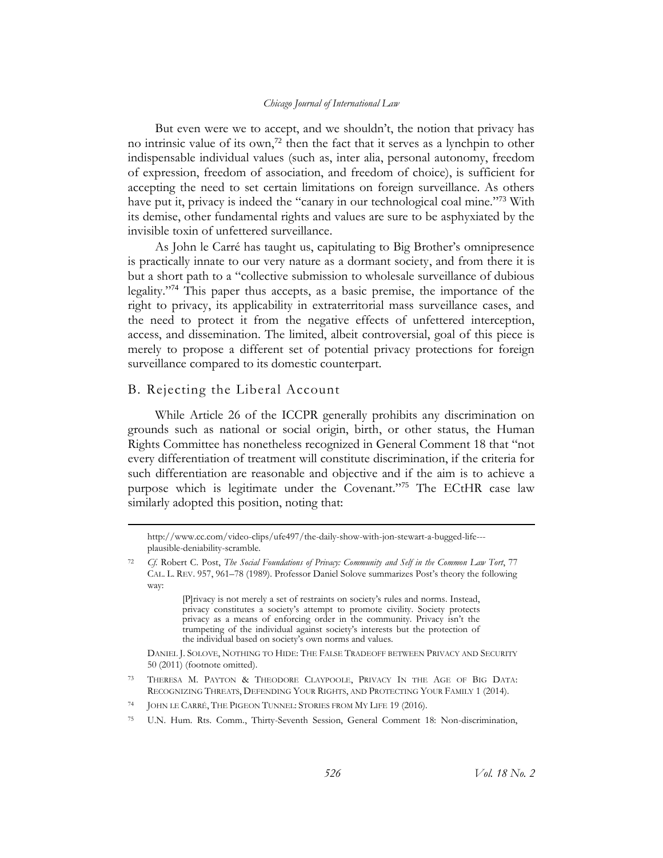But even were we to accept, and we shouldn't, the notion that privacy has no intrinsic value of its own,<sup>72</sup> then the fact that it serves as a lynchpin to other indispensable individual values (such as, inter alia, personal autonomy, freedom of expression, freedom of association, and freedom of choice), is sufficient for accepting the need to set certain limitations on foreign surveillance. As others have put it, privacy is indeed the "canary in our technological coal mine."<sup>73</sup> With its demise, other fundamental rights and values are sure to be asphyxiated by the invisible toxin of unfettered surveillance.

As John le Carré has taught us, capitulating to Big Brother's omnipresence is practically innate to our very nature as a dormant society, and from there it is but a short path to a "collective submission to wholesale surveillance of dubious legality."<sup>74</sup> This paper thus accepts, as a basic premise, the importance of the right to privacy, its applicability in extraterritorial mass surveillance cases, and the need to protect it from the negative effects of unfettered interception, access, and dissemination. The limited, albeit controversial, goal of this piece is merely to propose a different set of potential privacy protections for foreign surveillance compared to its domestic counterpart.

# <span id="page-24-0"></span>B. Rejecting the Liberal Account

-

While Article 26 of the ICCPR generally prohibits any discrimination on grounds such as national or social origin, birth, or other status, the Human Rights Committee has nonetheless recognized in General Comment 18 that "not every differentiation of treatment will constitute discrimination, if the criteria for such differentiation are reasonable and objective and if the aim is to achieve a purpose which is legitimate under the Covenant."<sup>75</sup> The ECtHR case law similarly adopted this position, noting that:

[P]rivacy is not merely a set of restraints on society's rules and norms. Instead, privacy constitutes a society's attempt to promote civility. Society protects privacy as a means of enforcing order in the community. Privacy isn't the trumpeting of the individual against society's interests but the protection of the individual based on society's own norms and values.

DANIEL J. SOLOVE, NOTHING TO HIDE: THE FALSE TRADEOFF BETWEEN PRIVACY AND SECURITY 50 (2011) (footnote omitted).

http://www.cc.com/video-clips/ufe497/the-daily-show-with-jon-stewart-a-bugged-life-- plausible-deniability-scramble.

<sup>72</sup> *Cf.* Robert C. Post, *The Social Foundations of Privacy: Community and Self in the Common Law Tort*, 77 CAL. L. REV. 957, 961–78 (1989). Professor Daniel Solove summarizes Post's theory the following way:

THERESA M. PAYTON & THEODORE CLAYPOOLE, PRIVACY IN THE AGE OF BIG DATA: RECOGNIZING THREATS, DEFENDING YOUR RIGHTS, AND PROTECTING YOUR FAMILY 1 (2014).

<sup>74</sup> JOHN LE CARRÉ, THE PIGEON TUNNEL: STORIES FROM MY LIFE 19 (2016).

<sup>75</sup> U.N. Hum. Rts. Comm., Thirty-Seventh Session, General Comment 18: Non-discrimination,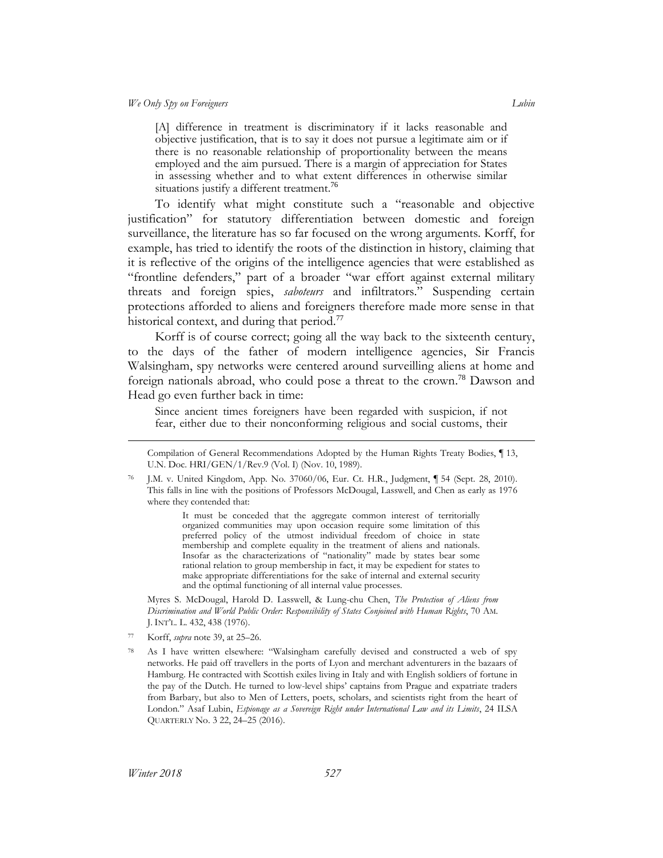<span id="page-25-0"></span>[A] difference in treatment is discriminatory if it lacks reasonable and objective justification, that is to say it does not pursue a legitimate aim or if there is no reasonable relationship of proportionality between the means employed and the aim pursued. There is a margin of appreciation for States in assessing whether and to what extent differences in otherwise similar situations justify a different treatment.<sup>76</sup>

To identify what might constitute such a "reasonable and objective justification" for statutory differentiation between domestic and foreign surveillance, the literature has so far focused on the wrong arguments. Korff, for example, has tried to identify the roots of the distinction in history, claiming that it is reflective of the origins of the intelligence agencies that were established as "frontline defenders," part of a broader "war effort against external military threats and foreign spies, *saboteurs* and infiltrators." Suspending certain protections afforded to aliens and foreigners therefore made more sense in that historical context, and during that period.<sup>77</sup>

Korff is of course correct; going all the way back to the sixteenth century, to the days of the father of modern intelligence agencies, Sir Francis Walsingham, spy networks were centered around surveilling aliens at home and foreign nationals abroad, who could pose a threat to the crown. <sup>78</sup> Dawson and Head go even further back in time:

Since ancient times foreigners have been regarded with suspicion, if not fear, either due to their nonconforming religious and social customs, their

It must be conceded that the aggregate common interest of territorially organized communities may upon occasion require some limitation of this preferred policy of the utmost individual freedom of choice in state membership and complete equality in the treatment of aliens and nationals. Insofar as the characterizations of "nationality" made by states bear some rational relation to group membership in fact, it may be expedient for states to make appropriate differentiations for the sake of internal and external security and the optimal functioning of all internal value processes.

Myres S. McDougal, Harold D. Lasswell, & Lung-chu Chen, *The Protection of Aliens from Discrimination and World Public Order: Responsibility of States Conjoined with Human Rights*, 70 AM. J. INT'L. L. 432, 438 (1976).

- Korff, *supra* note [39,](#page-15-1) at 25–26.
- <sup>78</sup> As I have written elsewhere: "Walsingham carefully devised and constructed a web of spy networks. He paid off travellers in the ports of Lyon and merchant adventurers in the bazaars of Hamburg. He contracted with Scottish exiles living in Italy and with English soldiers of fortune in the pay of the Dutch. He turned to low-level ships' captains from Prague and expatriate traders from Barbary, but also to Men of Letters, poets, scholars, and scientists right from the heart of London." Asaf Lubin, *Espionage as a Sovereign Right under International Law and its Limits*, 24 ILSA QUARTERLY No. 3 22, 24–25 (2016).

-

Compilation of General Recommendations Adopted by the Human Rights Treaty Bodies, ¶ 13, U.N. Doc. HRI/GEN/1/Rev.9 (Vol. I) (Nov. 10, 1989).

J.M. v. United Kingdom, App. No. 37060/06, Eur. Ct. H.R., Judgment, ¶ 54 (Sept. 28, 2010). This falls in line with the positions of Professors McDougal, Lasswell, and Chen as early as 1976 where they contended that: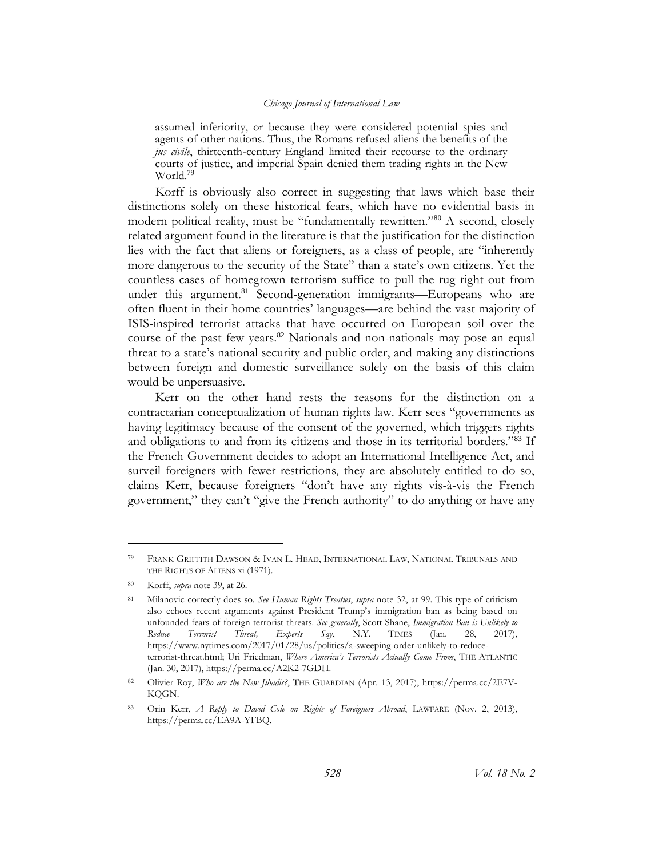assumed inferiority, or because they were considered potential spies and agents of other nations. Thus, the Romans refused aliens the benefits of the *jus civile*, thirteenth-century England limited their recourse to the ordinary courts of justice, and imperial Spain denied them trading rights in the New World.<sup>79</sup>

Korff is obviously also correct in suggesting that laws which base their distinctions solely on these historical fears, which have no evidential basis in modern political reality, must be "fundamentally rewritten."<sup>80</sup> A second, closely related argument found in the literature is that the justification for the distinction lies with the fact that aliens or foreigners, as a class of people, are "inherently more dangerous to the security of the State" than a state's own citizens. Yet the countless cases of homegrown terrorism suffice to pull the rug right out from under this argument.<sup>81</sup> Second-generation immigrants—Europeans who are often fluent in their home countries' languages—are behind the vast majority of ISIS-inspired terrorist attacks that have occurred on European soil over the course of the past few years. $82$  Nationals and non-nationals may pose an equal threat to a state's national security and public order, and making any distinctions between foreign and domestic surveillance solely on the basis of this claim would be unpersuasive.

Kerr on the other hand rests the reasons for the distinction on a contractarian conceptualization of human rights law. Kerr sees "governments as having legitimacy because of the consent of the governed, which triggers rights and obligations to and from its citizens and those in its territorial borders."<sup>83</sup> If the French Government decides to adopt an International Intelligence Act, and surveil foreigners with fewer restrictions, they are absolutely entitled to do so, claims Kerr, because foreigners "don't have any rights vis-à-vis the French government," they can't "give the French authority" to do anything or have any

FRANK GRIFFITH DAWSON & IVAN L. HEAD, INTERNATIONAL LAW, NATIONAL TRIBUNALS AND THE RIGHTS OF ALIENS xi (1971).

<sup>80</sup> Korff, *supra* note [39,](#page-15-1) at 26.

<sup>81</sup> Milanovic correctly does so. *See Human Rights Treaties*, *supra* note [32,](#page-12-0) at 99. This type of criticism also echoes recent arguments against President Trump's immigration ban as being based on unfounded fears of foreign terrorist threats. *See generally*, Scott Shane, *Immigration Ban is Unlikely to Reduce Terrorist Threat, Experts Say*, N.Y. TIMES (Jan. 28, 2017), https://www.nytimes.com/2017/01/28/us/politics/a-sweeping-order-unlikely-to-reduceterrorist-threat.html; Uri Friedman, *Where America's Terrorists Actually Come From*, THE ATLANTIC (Jan. 30, 2017), https://perma.cc/A2K2-7GDH.

<sup>82</sup> Olivier Roy, *Who are the New Jihadis?*, THE GUARDIAN (Apr. 13, 2017), https://perma.cc/2E7V-KQGN.

<sup>83</sup> Orin Kerr, *A Reply to David Cole on Rights of Foreigners Abroad*, LAWFARE (Nov. 2, 2013), https://perma.cc/EA9A-YFBQ.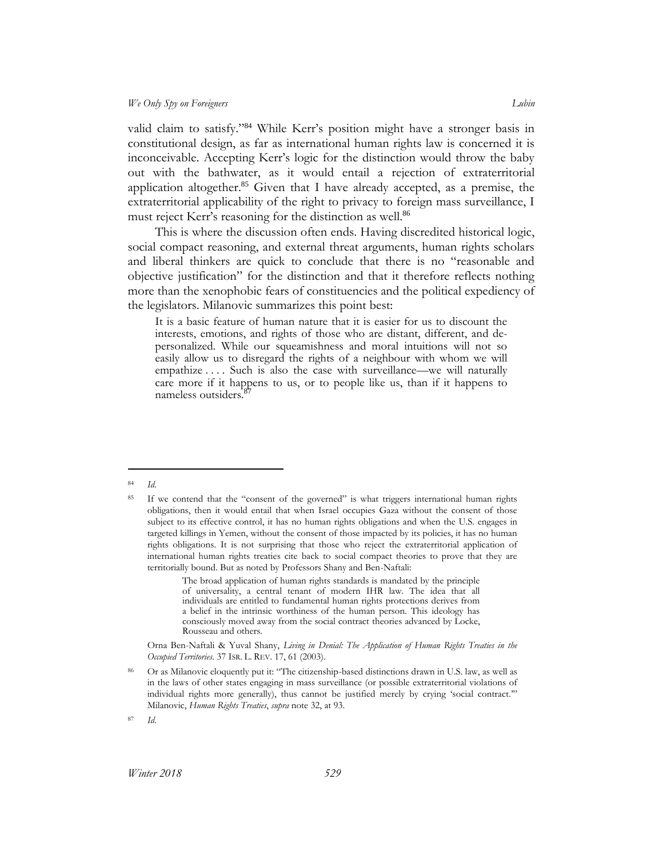valid claim to satisfy."<sup>84</sup> While Kerr's position might have a stronger basis in constitutional design, as far as international human rights law is concerned it is inconceivable. Accepting Kerr's logic for the distinction would throw the baby out with the bathwater, as it would entail a rejection of extraterritorial application altogether.<sup>85</sup> Given that I have already accepted, as a premise, the extraterritorial applicability of the right to privacy to foreign mass surveillance, I must reject Kerr's reasoning for the distinction as well.<sup>86</sup>

This is where the discussion often ends. Having discredited historical logic, social compact reasoning, and external threat arguments, human rights scholars and liberal thinkers are quick to conclude that there is no "reasonable and objective justification" for the distinction and that it therefore reflects nothing more than the xenophobic fears of constituencies and the political expediency of the legislators. Milanovic summarizes this point best:

It is a basic feature of human nature that it is easier for us to discount the interests, emotions, and rights of those who are distant, different, and depersonalized. While our squeamishness and moral intuitions will not so easily allow us to disregard the rights of a neighbour with whom we will empathize . . . . Such is also the case with surveillance—we will naturally care more if it happens to us, or to people like us, than if it happens to nameless outsiders.<sup>8</sup>

 $\overline{a}$ 

Orna Ben-Naftali & Yuval Shany, *Living in Denial: The Application of Human Rights Treaties in the Occupied Territories*. 37 ISR. L. REV. 17, 61 (2003).

<sup>84</sup> *Id*.

If we contend that the "consent of the governed" is what triggers international human rights obligations, then it would entail that when Israel occupies Gaza without the consent of those subject to its effective control, it has no human rights obligations and when the U.S. engages in targeted killings in Yemen, without the consent of those impacted by its policies, it has no human rights obligations. It is not surprising that those who reject the extraterritorial application of international human rights treaties cite back to social compact theories to prove that they are territorially bound. But as noted by Professors Shany and Ben-Naftali:

The broad application of human rights standards is mandated by the principle of universality, a central tenant of modern IHR law. The idea that all individuals are entitled to fundamental human rights protections derives from a belief in the intrinsic worthiness of the human person. This ideology has consciously moved away from the social contract theories advanced by Locke, Rousseau and others.

<sup>86</sup> Or as Milanovic eloquently put it: "The citizenship-based distinctions drawn in U.S. law, as well as in the laws of other states engaging in mass surveillance (or possible extraterritorial violations of individual rights more generally), thus cannot be justified merely by crying 'social contract.'" Milanovic, *Human Rights Treaties*, *supra* note [32,](#page-12-0) at 93.

<sup>87</sup> *Id*.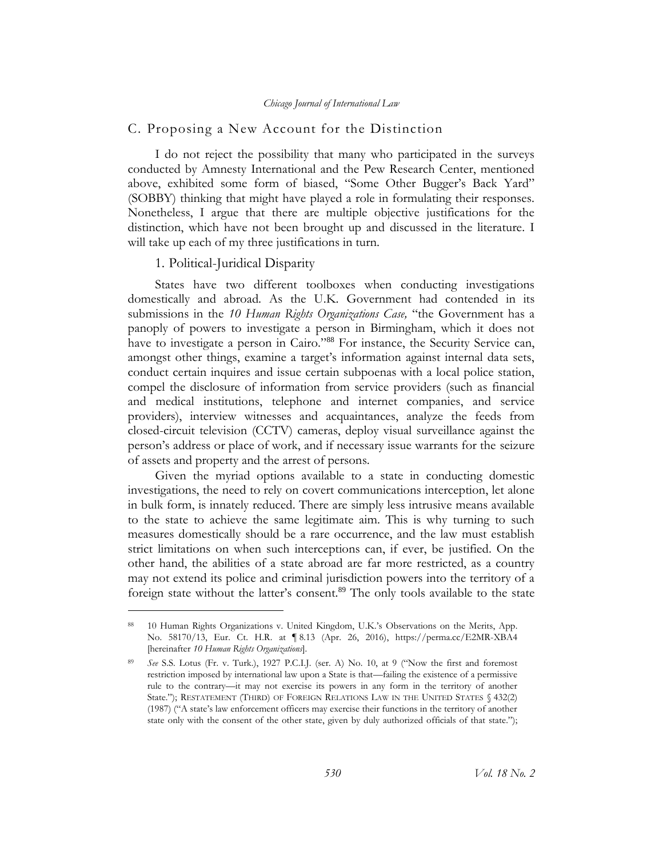## <span id="page-28-0"></span>C. Proposing a New Account for the Distinction

I do not reject the possibility that many who participated in the surveys conducted by Amnesty International and the Pew Research Center, mentioned above, exhibited some form of biased, "Some Other Bugger's Back Yard" (SOBBY) thinking that might have played a role in formulating their responses. Nonetheless, I argue that there are multiple objective justifications for the distinction, which have not been brought up and discussed in the literature. I will take up each of my three justifications in turn.

# <span id="page-28-2"></span>1. Political-Juridical Disparity

 $\overline{a}$ 

<span id="page-28-1"></span>States have two different toolboxes when conducting investigations domestically and abroad. As the U.K. Government had contended in its submissions in the *10 Human Rights Organizations Case,* "the Government has a panoply of powers to investigate a person in Birmingham, which it does not have to investigate a person in Cairo."<sup>88</sup> For instance, the Security Service can, amongst other things, examine a target's information against internal data sets, conduct certain inquires and issue certain subpoenas with a local police station, compel the disclosure of information from service providers (such as financial and medical institutions, telephone and internet companies, and service providers), interview witnesses and acquaintances, analyze the feeds from closed-circuit television (CCTV) cameras, deploy visual surveillance against the person's address or place of work, and if necessary issue warrants for the seizure of assets and property and the arrest of persons.

Given the myriad options available to a state in conducting domestic investigations, the need to rely on covert communications interception, let alone in bulk form, is innately reduced. There are simply less intrusive means available to the state to achieve the same legitimate aim. This is why turning to such measures domestically should be a rare occurrence, and the law must establish strict limitations on when such interceptions can, if ever, be justified. On the other hand, the abilities of a state abroad are far more restricted, as a country may not extend its police and criminal jurisdiction powers into the territory of a foreign state without the latter's consent.<sup>89</sup> The only tools available to the state

<sup>88 10</sup> Human Rights Organizations v. United Kingdom, U.K.'s Observations on the Merits, App. No. 58170/13, Eur. Ct. H.R. at ¶ 8.13 (Apr. 26, 2016), https://perma.cc/E2MR-XBA4 [hereinafter *10 Human Rights Organizations*].

See S.S. Lotus (Fr. v. Turk.), 1927 P.C.I.J. (ser. A) No. 10, at 9 ("Now the first and foremost restriction imposed by international law upon a State is that—failing the existence of a permissive rule to the contrary—it may not exercise its powers in any form in the territory of another State."); RESTATEMENT (THIRD) OF FOREIGN RELATIONS LAW IN THE UNITED STATES  $\S$  432(2) (1987) ("A state's law enforcement officers may exercise their functions in the territory of another state only with the consent of the other state, given by duly authorized officials of that state.");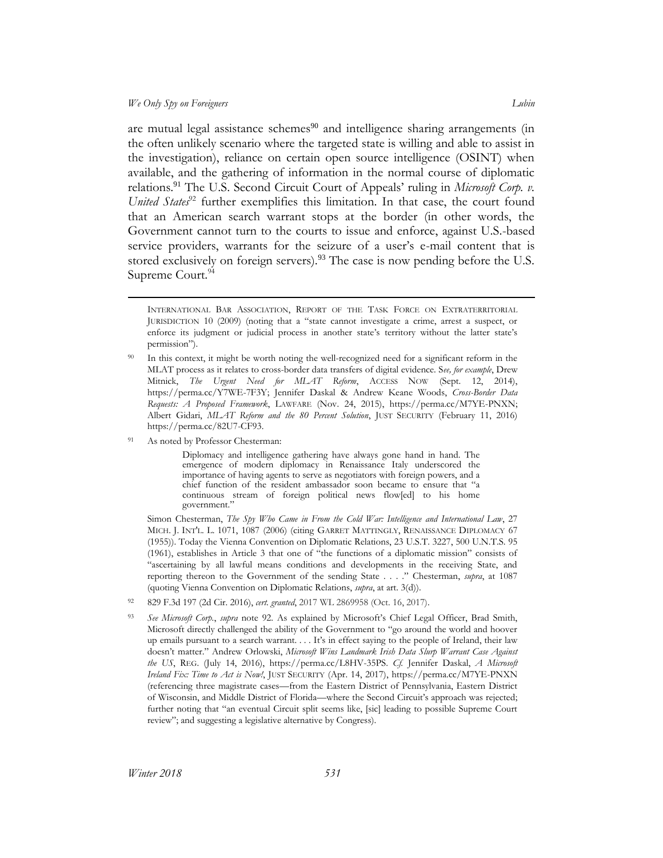-

<span id="page-29-0"></span>are mutual legal assistance schemes<sup>90</sup> and intelligence sharing arrangements (in the often unlikely scenario where the targeted state is willing and able to assist in the investigation), reliance on certain open source intelligence (OSINT) when available, and the gathering of information in the normal course of diplomatic relations.<sup>91</sup> The U.S. Second Circuit Court of Appeals' ruling in *Microsoft Corp. v. United States*<sup>92</sup> further exemplifies this limitation. In that case, the court found that an American search warrant stops at the border (in other words, the Government cannot turn to the courts to issue and enforce, against U.S.-based service providers, warrants for the seizure of a user's e-mail content that is stored exclusively on foreign servers).<sup>93</sup> The case is now pending before the U.S. Supreme Court.<sup>94</sup>

INTERNATIONAL BAR ASSOCIATION, REPORT OF THE TASK FORCE ON EXTRATERRITORIAL JURISDICTION 10 (2009) (noting that a "state cannot investigate a crime, arrest a suspect, or enforce its judgment or judicial process in another state's territory without the latter state's permission").

Diplomacy and intelligence gathering have always gone hand in hand. The emergence of modern diplomacy in Renaissance Italy underscored the importance of having agents to serve as negotiators with foreign powers, and a chief function of the resident ambassador soon became to ensure that "a continuous stream of foreign political news flow[ed] to his home government."

Simon Chesterman, *The Spy Who Came in From the Cold War: Intelligence and International Law*, 27 MICH. J. INT'L. L. 1071, 1087 (2006) (citing GARRET MATTINGLY, RENAISSANCE DIPLOMACY 67 (1955)). Today the Vienna Convention on Diplomatic Relations, 23 U.S.T. 3227, 500 U.N.T.S. 95 (1961), establishes in Article 3 that one of "the functions of a diplomatic mission" consists of "ascertaining by all lawful means conditions and developments in the receiving State, and reporting thereon to the Government of the sending State . . . ." Chesterman, *supra*, at 1087 (quoting Vienna Convention on Diplomatic Relations, *supra*, at art. 3(d)).

In this context, it might be worth noting the well-recognized need for a significant reform in the MLAT process as it relates to cross-border data transfers of digital evidence. S*ee, for example*, Drew Mitnick, *The Urgent Need for MLAT Reform*, ACCESS NOW (Sept. 12, 2014), https://perma.cc/Y7WE-7F3Y; Jennifer Daskal & Andrew Keane Woods, *Cross-Border Data Requests: A Proposed Framework*, LAWFARE (Nov. 24, 2015), https://perma.cc/M7YE-PNXN; Albert Gidari, *MLAT Reform and the 80 Percent Solution*, JUST SECURITY (February 11, 2016) https://perma.cc/82U7-CF93.

<sup>91</sup> As noted by Professor Chesterman:

<sup>92</sup> 829 F.3d 197 (2d Cir. 2016), *cert. granted*, 2017 WL 2869958 (Oct. 16, 2017).

<sup>93</sup> *See Microsoft Corp.*, *supra* note [92](#page-29-0). As explained by Microsoft's Chief Legal Officer, Brad Smith, Microsoft directly challenged the ability of the Government to "go around the world and hoover up emails pursuant to a search warrant. . . . It's in effect saying to the people of Ireland, their law doesn't matter." Andrew Orlowski, *Microsoft Wins Landmark Irish Data Slurp Warrant Case Against the US*, REG. (July 14, 2016), https://perma.cc/L8HV-35PS. *Cf.* Jennifer Daskal, *A Microsoft Ireland Fix: Time to Act is Now!*, JUST SECURITY (Apr. 14, 2017), https://perma.cc/M7YE-PNXN (referencing three magistrate cases—from the Eastern District of Pennsylvania, Eastern District of Wisconsin, and Middle District of Florida—where the Second Circuit's approach was rejected; further noting that "an eventual Circuit split seems like, [sic] leading to possible Supreme Court review"; and suggesting a legislative alternative by Congress).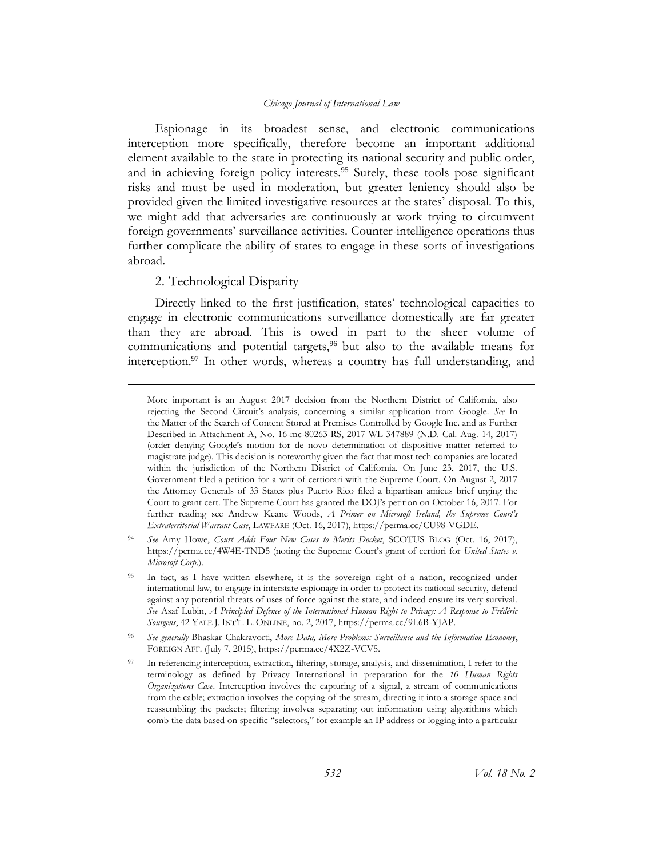Espionage in its broadest sense, and electronic communications interception more specifically, therefore become an important additional element available to the state in protecting its national security and public order, and in achieving foreign policy interests.<sup>95</sup> Surely, these tools pose significant risks and must be used in moderation, but greater leniency should also be provided given the limited investigative resources at the states' disposal. To this, we might add that adversaries are continuously at work trying to circumvent foreign governments' surveillance activities. Counter-intelligence operations thus further complicate the ability of states to engage in these sorts of investigations abroad.

# <span id="page-30-1"></span>2. Technological Disparity

<u>.</u>

<span id="page-30-0"></span>Directly linked to the first justification, states' technological capacities to engage in electronic communications surveillance domestically are far greater than they are abroad. This is owed in part to the sheer volume of communications and potential targets,  $96$  but also to the available means for interception.<sup>97</sup> In other words, whereas a country has full understanding, and

More important is an August 2017 decision from the Northern District of California, also rejecting the Second Circuit's analysis, concerning a similar application from Google. *See* In the Matter of the Search of Content Stored at Premises Controlled by Google Inc. and as Further Described in Attachment A, No. 16-mc-80263-RS, 2017 WL 347889 (N.D. Cal. Aug. 14, 2017) (order denying Google's motion for de novo determination of dispositive matter referred to magistrate judge). This decision is noteworthy given the fact that most tech companies are located within the jurisdiction of the Northern District of California. On June 23, 2017, the U.S. Government filed a petition for a writ of certiorari with the Supreme Court. On August 2, 2017 the Attorney Generals of 33 States plus Puerto Rico filed a bipartisan amicus brief urging the Court to grant cert. The Supreme Court has granted the DOJ's petition on October 16, 2017. For further reading see Andrew Keane Woods, *A Primer on Microsoft Ireland, the Supreme Court's Extraterritorial Warrant Case*, LAWFARE (Oct. 16, 2017), https://perma.cc/CU98-VGDE.

<sup>94</sup> *See* Amy Howe, *Court Adds Four New Cases to Merits Docket*, SCOTUS BLOG (Oct. 16, 2017), https://perma.cc/4W4E-TND5 (noting the Supreme Court's grant of certiori for *United States v. Microsoft Corp*.).

<sup>95</sup> In fact, as I have written elsewhere, it is the sovereign right of a nation, recognized under international law, to engage in interstate espionage in order to protect its national security, defend against any potential threats of uses of force against the state, and indeed ensure its very survival. *See* Asaf Lubin, *A Principled Defence of the International Human Right to Privacy: A Response to Frédéric Sourgens*, 42 YALE J. INT'L. L. ONLINE, no. 2, 2017, https://perma.cc/9L6B-YJAP.

<sup>96</sup> *See generally* Bhaskar Chakravorti, *More Data, More Problems: Surveillance and the Information Economy*, FOREIGN AFF. (July 7, 2015), https://perma.cc/4X2Z-VCV5.

In referencing interception, extraction, filtering, storage, analysis, and dissemination, I refer to the terminology as defined by Privacy International in preparation for the *10 Human Rights Organizations Case*. Interception involves the capturing of a signal, a stream of communications from the cable; extraction involves the copying of the stream, directing it into a storage space and reassembling the packets; filtering involves separating out information using algorithms which comb the data based on specific "selectors," for example an IP address or logging into a particular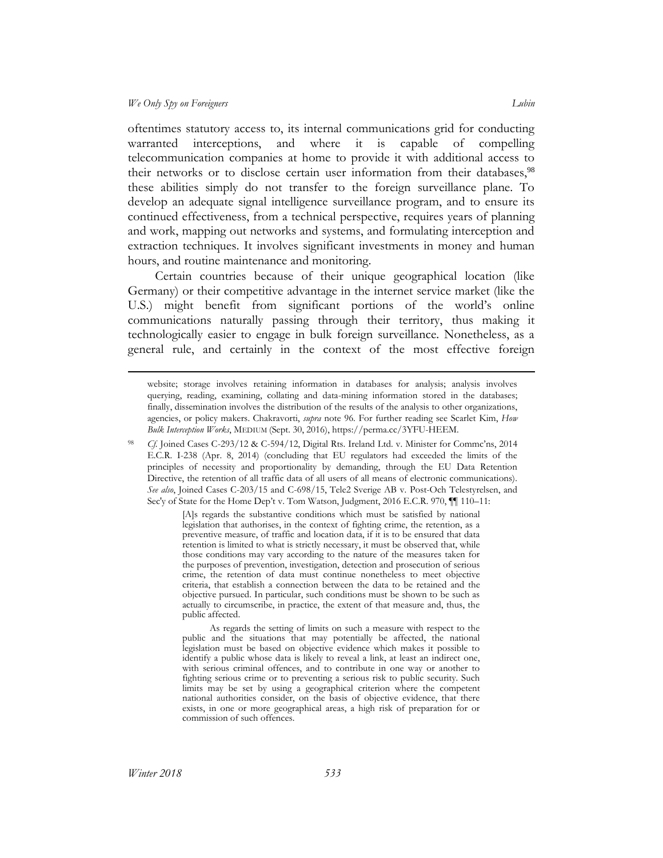-

oftentimes statutory access to, its internal communications grid for conducting warranted interceptions, and where it is capable of compelling telecommunication companies at home to provide it with additional access to their networks or to disclose certain user information from their databases,<sup>98</sup> these abilities simply do not transfer to the foreign surveillance plane. To develop an adequate signal intelligence surveillance program, and to ensure its continued effectiveness, from a technical perspective, requires years of planning and work, mapping out networks and systems, and formulating interception and extraction techniques. It involves significant investments in money and human hours, and routine maintenance and monitoring.

Certain countries because of their unique geographical location (like Germany) or their competitive advantage in the internet service market (like the U.S.) might benefit from significant portions of the world's online communications naturally passing through their territory, thus making it technologically easier to engage in bulk foreign surveillance. Nonetheless, as a general rule, and certainly in the context of the most effective foreign

[A]s regards the substantive conditions which must be satisfied by national legislation that authorises, in the context of fighting crime, the retention, as a preventive measure, of traffic and location data, if it is to be ensured that data retention is limited to what is strictly necessary, it must be observed that, while those conditions may vary according to the nature of the measures taken for the purposes of prevention, investigation, detection and prosecution of serious crime, the retention of data must continue nonetheless to meet objective criteria, that establish a connection between the data to be retained and the objective pursued. In particular, such conditions must be shown to be such as actually to circumscribe, in practice, the extent of that measure and, thus, the public affected.

As regards the setting of limits on such a measure with respect to the public and the situations that may potentially be affected, the national legislation must be based on objective evidence which makes it possible to identify a public whose data is likely to reveal a link, at least an indirect one, with serious criminal offences, and to contribute in one way or another to fighting serious crime or to preventing a serious risk to public security. Such limits may be set by using a geographical criterion where the competent national authorities consider, on the basis of objective evidence, that there exists, in one or more geographical areas, a high risk of preparation for or commission of such offences.

website; storage involves retaining information in databases for analysis; analysis involves querying, reading, examining, collating and data-mining information stored in the databases; finally, dissemination involves the distribution of the results of the analysis to other organizations, agencies, or policy makers. Chakravorti, *supra* note [96](#page-30-1)*.* For further reading see Scarlet Kim, *How Bulk Interception Works*, MEDIUM (Sept. 30, 2016), https://perma.cc/3YFU-HEEM.

<sup>98</sup> *Cf.* Joined Cases C-293/12 & C-594/12, Digital Rts. Ireland Ltd. v. Minister for Commc'ns, 2014 E.C.R. I-238 (Apr. 8, 2014) (concluding that EU regulators had exceeded the limits of the principles of necessity and proportionality by demanding, through the EU Data Retention Directive, the retention of all traffic data of all users of all means of electronic communications). *See also*, Joined Cases C-203/15 and C-698/15, Tele2 Sverige AB v. Post-Och Telestyrelsen, and Sec'y of State for the Home Dep't v. Tom Watson, Judgment, 2016 E.C.R. 970,  $\P$  110–11: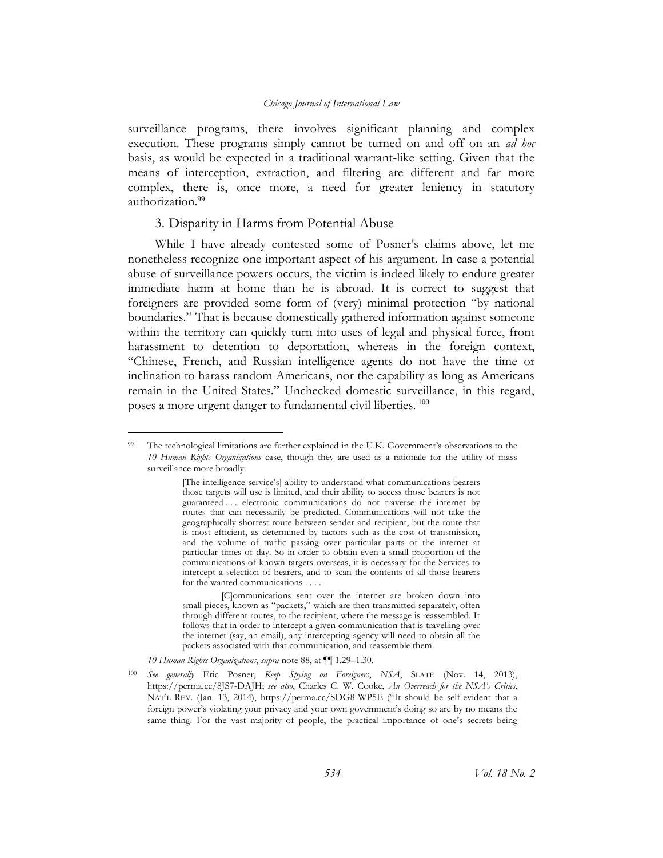surveillance programs, there involves significant planning and complex execution. These programs simply cannot be turned on and off on an *ad hoc*  basis, as would be expected in a traditional warrant-like setting. Given that the means of interception, extraction, and filtering are different and far more complex, there is, once more, a need for greater leniency in statutory authorization.<sup>99</sup>

### 3. Disparity in Harms from Potential Abuse

<span id="page-32-0"></span>While I have already contested some of Posner's claims above, let me nonetheless recognize one important aspect of his argument. In case a potential abuse of surveillance powers occurs, the victim is indeed likely to endure greater immediate harm at home than he is abroad. It is correct to suggest that foreigners are provided some form of (very) minimal protection "by national boundaries." That is because domestically gathered information against someone within the territory can quickly turn into uses of legal and physical force, from harassment to detention to deportation, whereas in the foreign context, "Chinese, French, and Russian intelligence agents do not have the time or inclination to harass random Americans, nor the capability as long as Americans remain in the United States." Unchecked domestic surveillance, in this regard, poses a more urgent danger to fundamental civil liberties.<sup>100</sup>

[C]ommunications sent over the internet are broken down into small pieces, known as "packets," which are then transmitted separately, often through different routes, to the recipient, where the message is reassembled. It follows that in order to intercept a given communication that is travelling over the internet (say, an email), any intercepting agency will need to obtain all the packets associated with that communication, and reassemble them.

*10 Human Rights Organizations*, *supra* note [88,](#page-28-2) at ¶¶ 1.29–1.30.

The technological limitations are further explained in the U.K. Government's observations to the *10 Human Rights Organizations* case, though they are used as a rationale for the utility of mass surveillance more broadly:

<sup>[</sup>The intelligence service's] ability to understand what communications bearers those targets will use is limited, and their ability to access those bearers is not guaranteed . . . electronic communications do not traverse the internet by routes that can necessarily be predicted. Communications will not take the geographically shortest route between sender and recipient, but the route that is most efficient, as determined by factors such as the cost of transmission, and the volume of traffic passing over particular parts of the internet at particular times of day. So in order to obtain even a small proportion of the communications of known targets overseas, it is necessary for the Services to intercept a selection of bearers, and to scan the contents of all those bearers for the wanted communications . . . .

<sup>100</sup> *See generally* Eric Posner, *Keep Spying on Foreigners*, *NSA*, SLATE (Nov. 14, 2013), https://perma.cc/8JS7-DAJH; *see also*, Charles C. W. Cooke, *An Overreach for the NSA's Critics*, NAT'L REV. (Jan. 13, 2014), https://perma.cc/SDG8-WP5E ("It should be self-evident that a foreign power's violating your privacy and your own government's doing so are by no means the same thing. For the vast majority of people, the practical importance of one's secrets being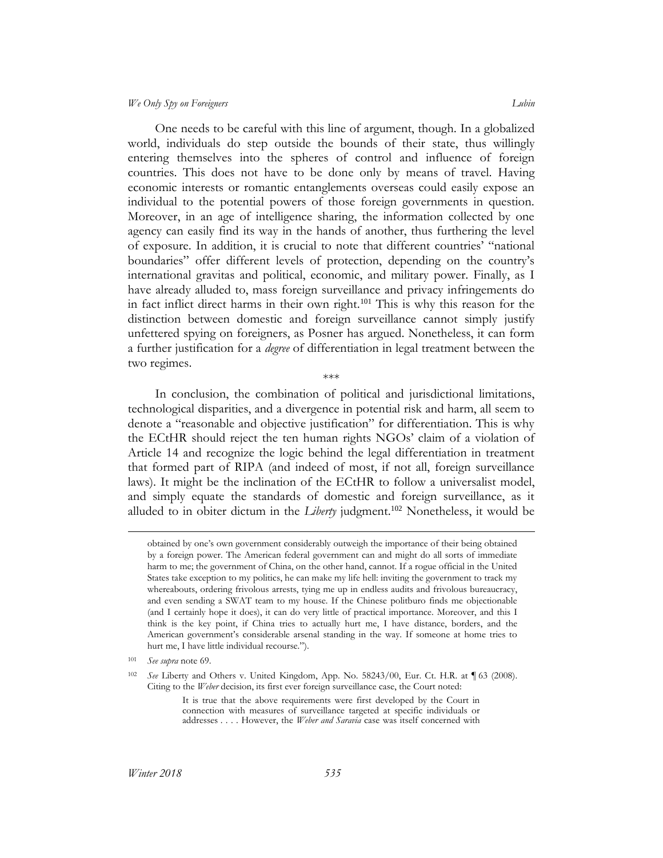#### *We Only Spy on Foreigners Lubin*

One needs to be careful with this line of argument, though. In a globalized world, individuals do step outside the bounds of their state, thus willingly entering themselves into the spheres of control and influence of foreign countries. This does not have to be done only by means of travel. Having economic interests or romantic entanglements overseas could easily expose an individual to the potential powers of those foreign governments in question. Moreover, in an age of intelligence sharing, the information collected by one agency can easily find its way in the hands of another, thus furthering the level of exposure. In addition, it is crucial to note that different countries' "national boundaries" offer different levels of protection, depending on the country's international gravitas and political, economic, and military power. Finally, as I have already alluded to, mass foreign surveillance and privacy infringements do in fact inflict direct harms in their own right.<sup>101</sup> This is why this reason for the distinction between domestic and foreign surveillance cannot simply justify unfettered spying on foreigners, as Posner has argued. Nonetheless, it can form a further justification for a *degree* of differentiation in legal treatment between the two regimes.

In conclusion, the combination of political and jurisdictional limitations, technological disparities, and a divergence in potential risk and harm, all seem to denote a "reasonable and objective justification" for differentiation. This is why the ECtHR should reject the ten human rights NGOs' claim of a violation of Article 14 and recognize the logic behind the legal differentiation in treatment that formed part of RIPA (and indeed of most, if not all, foreign surveillance laws). It might be the inclination of the ECtHR to follow a universalist model, and simply equate the standards of domestic and foreign surveillance, as it alluded to in obiter dictum in the *Liberty* judgment.<sup>102</sup> Nonetheless, it would be

\*\*\*

<u>.</u>

obtained by one's own government considerably outweigh the importance of their being obtained by a foreign power. The American federal government can and might do all sorts of immediate harm to me; the government of China, on the other hand, cannot. If a rogue official in the United States take exception to my politics, he can make my life hell: inviting the government to track my whereabouts, ordering frivolous arrests, tying me up in endless audits and frivolous bureaucracy, and even sending a SWAT team to my house. If the Chinese politburo finds me objectionable (and I certainly hope it does), it can do very little of practical importance. Moreover, and this I think is the key point, if China tries to actually hurt me, I have distance, borders, and the American government's considerable arsenal standing in the way. If someone at home tries to hurt me, I have little individual recourse.").

<sup>101</sup> *See supra* note [69.](#page-22-0)

<sup>102</sup> *See* Liberty and Others v. United Kingdom, App. No. 58243/00, Eur. Ct. H.R. at ¶ 63 (2008). Citing to the *Weber* decision, its first ever foreign surveillance case, the Court noted:

It is true that the above requirements were first developed by the Court in connection with measures of surveillance targeted at specific individuals or addresses . . . . However, the *Weber and Saravia* case was itself concerned with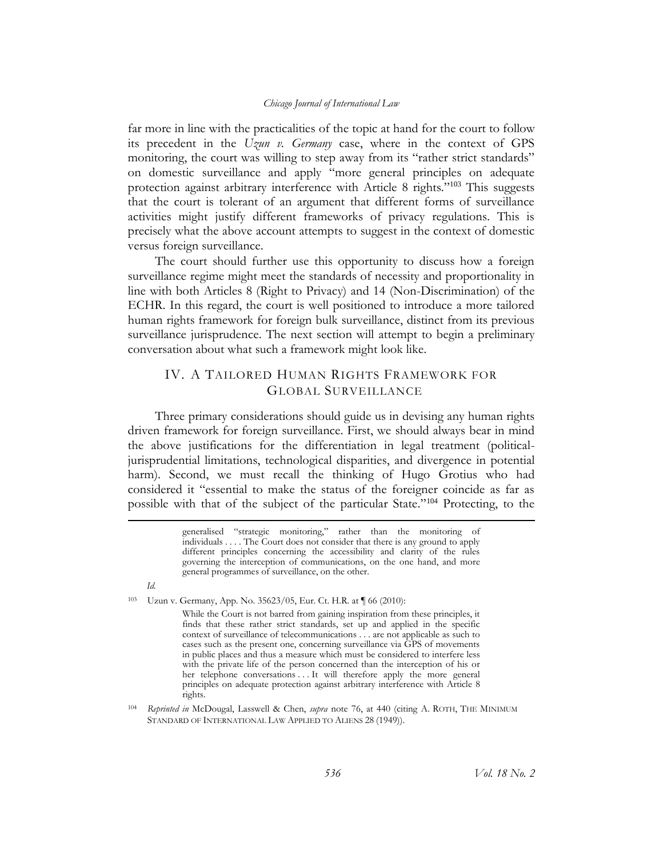far more in line with the practicalities of the topic at hand for the court to follow its precedent in the *Uzun v. Germany* case, where in the context of GPS monitoring, the court was willing to step away from its "rather strict standards" on domestic surveillance and apply "more general principles on adequate protection against arbitrary interference with Article 8 rights."<sup>103</sup> This suggests that the court is tolerant of an argument that different forms of surveillance activities might justify different frameworks of privacy regulations. This is precisely what the above account attempts to suggest in the context of domestic versus foreign surveillance.

The court should further use this opportunity to discuss how a foreign surveillance regime might meet the standards of necessity and proportionality in line with both Articles 8 (Right to Privacy) and 14 (Non-Discrimination) of the ECHR. In this regard, the court is well positioned to introduce a more tailored human rights framework for foreign bulk surveillance, distinct from its previous surveillance jurisprudence. The next section will attempt to begin a preliminary conversation about what such a framework might look like.

# <span id="page-34-0"></span>IV. A TAILORED HUMAN RIGHTS FRAMEWORK FOR GLOBAL SURVEILLANCE

Three primary considerations should guide us in devising any human rights driven framework for foreign surveillance. First, we should always bear in mind the above justifications for the differentiation in legal treatment (politicaljurisprudential limitations, technological disparities, and divergence in potential harm). Second, we must recall the thinking of Hugo Grotius who had considered it "essential to make the status of the foreigner coincide as far as possible with that of the subject of the particular State."<sup>104</sup> Protecting, to the

> generalised "strategic monitoring," rather than the monitoring of individuals . . . . The Court does not consider that there is any ground to apply different principles concerning the accessibility and clarity of the rules governing the interception of communications, on the one hand, and more general programmes of surveillance, on the other.

*Id.*

-

<sup>103</sup> Uzun v. Germany, App. No. 35623/05, Eur. Ct. H.R. at ¶ 66 (2010):

While the Court is not barred from gaining inspiration from these principles, it finds that these rather strict standards, set up and applied in the specific context of surveillance of telecommunications . . . are not applicable as such to cases such as the present one, concerning surveillance via GPS of movements in public places and thus a measure which must be considered to interfere less with the private life of the person concerned than the interception of his or her telephone conversations . . . It will therefore apply the more general principles on adequate protection against arbitrary interference with Article 8 rights.

<sup>104</sup> *Reprinted in* McDougal, Lasswell & Chen, *supra* note [76,](#page-25-0) at 440 (citing A. ROTH, THE MINIMUM STANDARD OF INTERNATIONAL LAW APPLIED TO ALIENS 28 (1949)).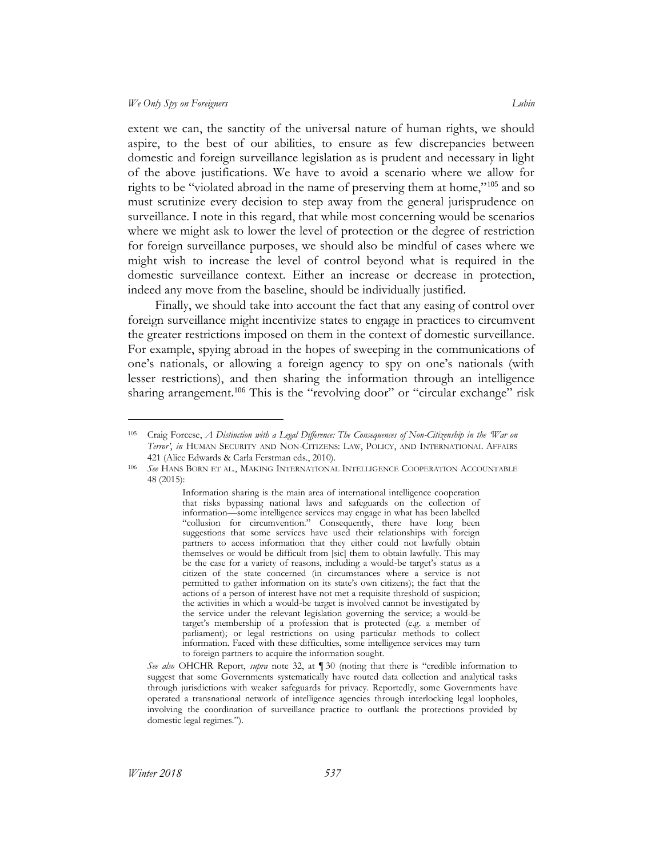extent we can, the sanctity of the universal nature of human rights, we should aspire, to the best of our abilities, to ensure as few discrepancies between domestic and foreign surveillance legislation as is prudent and necessary in light of the above justifications. We have to avoid a scenario where we allow for rights to be "violated abroad in the name of preserving them at home,"<sup>105</sup> and so must scrutinize every decision to step away from the general jurisprudence on surveillance. I note in this regard, that while most concerning would be scenarios where we might ask to lower the level of protection or the degree of restriction for foreign surveillance purposes, we should also be mindful of cases where we might wish to increase the level of control beyond what is required in the domestic surveillance context. Either an increase or decrease in protection, indeed any move from the baseline, should be individually justified.

Finally, we should take into account the fact that any easing of control over foreign surveillance might incentivize states to engage in practices to circumvent the greater restrictions imposed on them in the context of domestic surveillance. For example, spying abroad in the hopes of sweeping in the communications of one's nationals, or allowing a foreign agency to spy on one's nationals (with lesser restrictions), and then sharing the information through an intelligence sharing arrangement.<sup>106</sup> This is the "revolving door" or "circular exchange" risk

<span id="page-35-0"></span><sup>105</sup> Craig Forcese, *A Distinction with a Legal Difference: The Consequences of Non-Citizenship in the 'War on Terror'*, *in* HUMAN SECURITY AND NON-CITIZENS: LAW, POLICY, AND INTERNATIONAL AFFAIRS 421 (Alice Edwards & Carla Ferstman eds., 2010).

<sup>106</sup> *See* HANS BORN ET AL., MAKING INTERNATIONAL INTELLIGENCE COOPERATION ACCOUNTABLE 48 (2015):

Information sharing is the main area of international intelligence cooperation that risks bypassing national laws and safeguards on the collection of information—some intelligence services may engage in what has been labelled "collusion for circumvention." Consequently, there have long been suggestions that some services have used their relationships with foreign partners to access information that they either could not lawfully obtain themselves or would be difficult from [sic] them to obtain lawfully. This may be the case for a variety of reasons, including a would-be target's status as a citizen of the state concerned (in circumstances where a service is not permitted to gather information on its state's own citizens); the fact that the actions of a person of interest have not met a requisite threshold of suspicion; the activities in which a would-be target is involved cannot be investigated by the service under the relevant legislation governing the service; a would-be target's membership of a profession that is protected (e.g. a member of parliament); or legal restrictions on using particular methods to collect information. Faced with these difficulties, some intelligence services may turn to foreign partners to acquire the information sought.

*See also* OHCHR Report, *supra* note [32,](#page-12-0) at ¶ 30 (noting that there is "credible information to suggest that some Governments systematically have routed data collection and analytical tasks through jurisdictions with weaker safeguards for privacy. Reportedly, some Governments have operated a transnational network of intelligence agencies through interlocking legal loopholes, involving the coordination of surveillance practice to outflank the protections provided by domestic legal regimes.").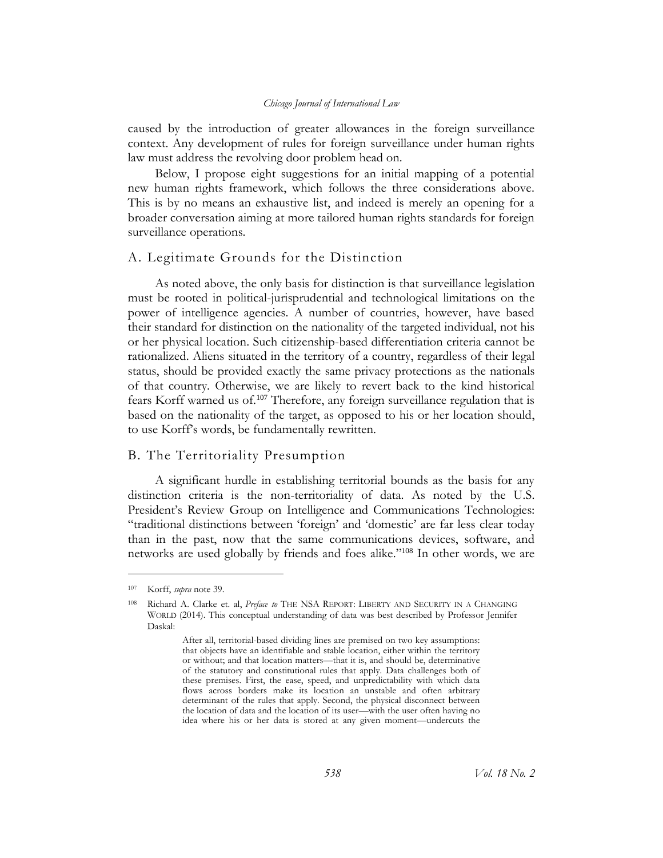caused by the introduction of greater allowances in the foreign surveillance context. Any development of rules for foreign surveillance under human rights law must address the revolving door problem head on.

Below, I propose eight suggestions for an initial mapping of a potential new human rights framework, which follows the three considerations above. This is by no means an exhaustive list, and indeed is merely an opening for a broader conversation aiming at more tailored human rights standards for foreign surveillance operations.

## <span id="page-36-0"></span>A. Legitimate Grounds for the Distinction

As noted above, the only basis for distinction is that surveillance legislation must be rooted in political-jurisprudential and technological limitations on the power of intelligence agencies. A number of countries, however, have based their standard for distinction on the nationality of the targeted individual, not his or her physical location. Such citizenship-based differentiation criteria cannot be rationalized. Aliens situated in the territory of a country, regardless of their legal status, should be provided exactly the same privacy protections as the nationals of that country. Otherwise, we are likely to revert back to the kind historical fears Korff warned us of.<sup>107</sup> Therefore, any foreign surveillance regulation that is based on the nationality of the target, as opposed to his or her location should, to use Korff's words, be fundamentally rewritten.

# <span id="page-36-1"></span>B. The Territoriality Presumption

A significant hurdle in establishing territorial bounds as the basis for any distinction criteria is the non-territoriality of data. As noted by the U.S. President's Review Group on Intelligence and Communications Technologies: "traditional distinctions between 'foreign' and 'domestic' are far less clear today than in the past, now that the same communications devices, software, and networks are used globally by friends and foes alike."<sup>108</sup> In other words, we are

<sup>107</sup> Korff, *supra* note [39.](#page-15-1)

<sup>108</sup> Richard A. Clarke et. al, *Preface to* THE NSA REPORT: LIBERTY AND SECURITY IN A CHANGING WORLD (2014). This conceptual understanding of data was best described by Professor Jennifer Daskal:

<span id="page-36-2"></span>After all, territorial-based dividing lines are premised on two key assumptions: that objects have an identifiable and stable location, either within the territory or without; and that location matters—that it is, and should be, determinative of the statutory and constitutional rules that apply. Data challenges both of these premises. First, the ease, speed, and unpredictability with which data flows across borders make its location an unstable and often arbitrary determinant of the rules that apply. Second, the physical disconnect between the location of data and the location of its user—with the user often having no idea where his or her data is stored at any given moment—undercuts the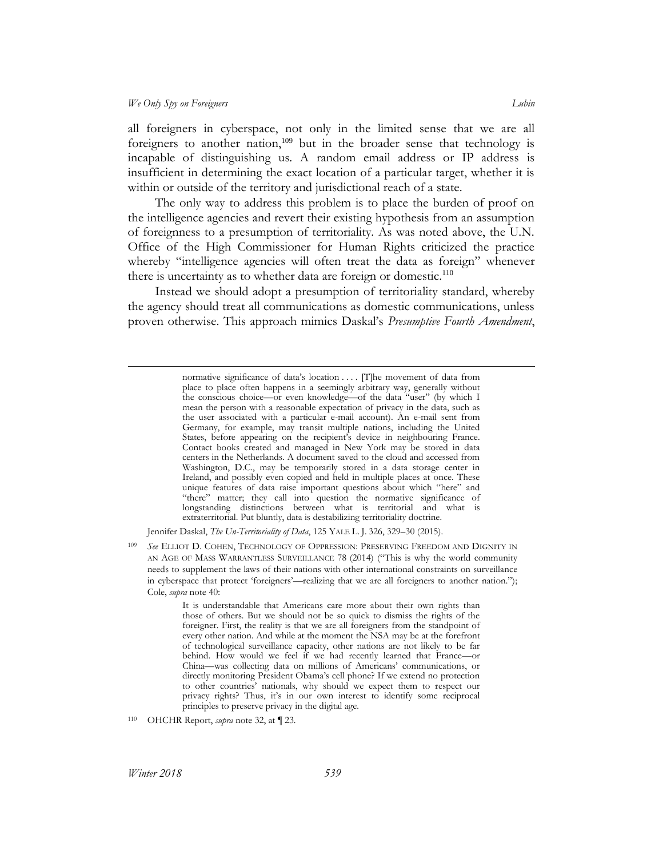#### *We Only Spy on Foreigners Lubin*

-

all foreigners in cyberspace, not only in the limited sense that we are all foreigners to another nation,<sup>109</sup> but in the broader sense that technology is incapable of distinguishing us. A random email address or IP address is insufficient in determining the exact location of a particular target, whether it is within or outside of the territory and jurisdictional reach of a state.

The only way to address this problem is to place the burden of proof on the intelligence agencies and revert their existing hypothesis from an assumption of foreignness to a presumption of territoriality. As was noted above, the U.N. Office of the High Commissioner for Human Rights criticized the practice whereby "intelligence agencies will often treat the data as foreign" whenever there is uncertainty as to whether data are foreign or domestic.<sup>110</sup>

Instead we should adopt a presumption of territoriality standard, whereby the agency should treat all communications as domestic communications, unless proven otherwise. This approach mimics Daskal's *Presumptive Fourth Amendment*,

> normative significance of data's location . . . . [T]he movement of data from place to place often happens in a seemingly arbitrary way, generally without the conscious choice—or even knowledge—of the data "user" (by which I mean the person with a reasonable expectation of privacy in the data, such as the user associated with a particular e-mail account). An e-mail sent from Germany, for example, may transit multiple nations, including the United States, before appearing on the recipient's device in neighbouring France. Contact books created and managed in New York may be stored in data centers in the Netherlands. A document saved to the cloud and accessed from Washington, D.C., may be temporarily stored in a data storage center in Ireland, and possibly even copied and held in multiple places at once. These unique features of data raise important questions about which "here" and "there" matter; they call into question the normative significance of longstanding distinctions between what is territorial and what is extraterritorial. Put bluntly, data is destabilizing territoriality doctrine.

Jennifer Daskal, *The Un-Territoriality of Data*, 125 YALE L. J. 326, 329–30 (2015).

<sup>109</sup> *See* ELLIOT D. COHEN, TECHNOLOGY OF OPPRESSION: PRESERVING FREEDOM AND DIGNITY IN AN AGE OF MASS WARRANTLESS SURVEILLANCE 78 (2014) ("This is why the world community needs to supplement the laws of their nations with other international constraints on surveillance in cyberspace that protect 'foreigners'—realizing that we are all foreigners to another nation."); Cole, *supra* note [40:](#page-15-2)

> It is understandable that Americans care more about their own rights than those of others. But we should not be so quick to dismiss the rights of the foreigner. First, the reality is that we are all foreigners from the standpoint of every other nation. And while at the moment the NSA may be at the forefront of technological surveillance capacity, other nations are not likely to be far behind. How would we feel if we had recently learned that France—or China—was collecting data on millions of Americans' communications, or directly monitoring President Obama's cell phone? If we extend no protection to other countries' nationals, why should we expect them to respect our privacy rights? Thus, it's in our own interest to identify some reciprocal principles to preserve privacy in the digital age.

<sup>110</sup> OHCHR Report, *supra* not[e 32,](#page-12-0) at ¶ 23.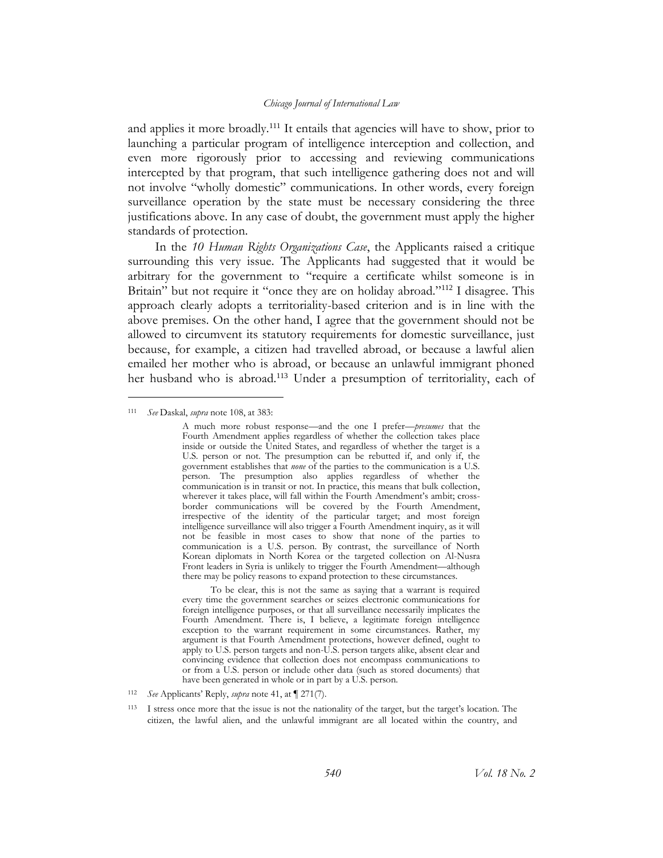and applies it more broadly.<sup>111</sup> It entails that agencies will have to show, prior to launching a particular program of intelligence interception and collection, and even more rigorously prior to accessing and reviewing communications intercepted by that program, that such intelligence gathering does not and will not involve "wholly domestic" communications. In other words, every foreign surveillance operation by the state must be necessary considering the three justifications above. In any case of doubt, the government must apply the higher standards of protection.

In the *10 Human Rights Organizations Case*, the Applicants raised a critique surrounding this very issue. The Applicants had suggested that it would be arbitrary for the government to "require a certificate whilst someone is in Britain" but not require it "once they are on holiday abroad."<sup>112</sup> I disagree. This approach clearly adopts a territoriality-based criterion and is in line with the above premises. On the other hand, I agree that the government should not be allowed to circumvent its statutory requirements for domestic surveillance, just because, for example, a citizen had travelled abroad, or because a lawful alien emailed her mother who is abroad, or because an unlawful immigrant phoned her husband who is abroad.<sup>113</sup> Under a presumption of territoriality, each of

 $\overline{a}$ 

To be clear, this is not the same as saying that a warrant is required every time the government searches or seizes electronic communications for foreign intelligence purposes, or that all surveillance necessarily implicates the Fourth Amendment. There is, I believe, a legitimate foreign intelligence exception to the warrant requirement in some circumstances. Rather, my argument is that Fourth Amendment protections, however defined, ought to apply to U.S. person targets and non-U.S. person targets alike, absent clear and convincing evidence that collection does not encompass communications to or from a U.S. person or include other data (such as stored documents) that have been generated in whole or in part by a U.S. person.

<sup>111</sup> *See* Daskal, *supra* note [108,](#page-36-2) at 383:

A much more robust response—and the one I prefer—*presumes* that the Fourth Amendment applies regardless of whether the collection takes place inside or outside the United States, and regardless of whether the target is a U.S. person or not. The presumption can be rebutted if, and only if, the government establishes that *none* of the parties to the communication is a U.S. person. The presumption also applies regardless of whether the communication is in transit or not. In practice, this means that bulk collection, wherever it takes place, will fall within the Fourth Amendment's ambit; crossborder communications will be covered by the Fourth Amendment, irrespective of the identity of the particular target; and most foreign intelligence surveillance will also trigger a Fourth Amendment inquiry, as it will not be feasible in most cases to show that none of the parties to communication is a U.S. person. By contrast, the surveillance of North Korean diplomats in North Korea or the targeted collection on Al-Nusra Front leaders in Syria is unlikely to trigger the Fourth Amendment—although there may be policy reasons to expand protection to these circumstances.

<sup>112</sup> *See* Applicants' Reply, *supra* note [41,](#page-15-0) at ¶ 271(7).

<sup>113</sup> I stress once more that the issue is not the nationality of the target, but the target's location. The citizen, the lawful alien, and the unlawful immigrant are all located within the country, and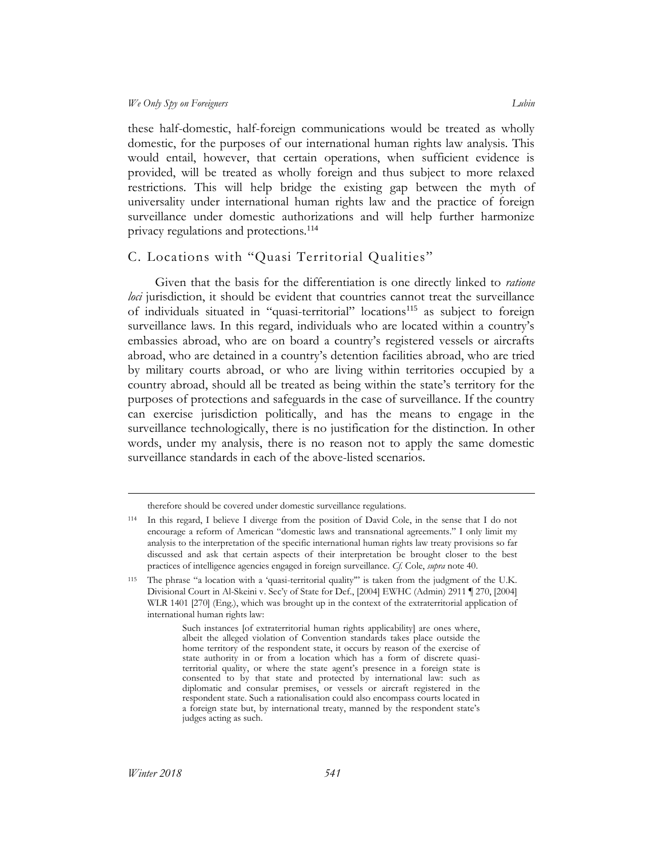these half-domestic, half-foreign communications would be treated as wholly domestic, for the purposes of our international human rights law analysis. This would entail, however, that certain operations, when sufficient evidence is provided, will be treated as wholly foreign and thus subject to more relaxed restrictions. This will help bridge the existing gap between the myth of universality under international human rights law and the practice of foreign surveillance under domestic authorizations and will help further harmonize privacy regulations and protections.<sup>114</sup>

# <span id="page-39-0"></span>C. Locations with "Quasi Territorial Qualities"

Given that the basis for the differentiation is one directly linked to *ratione loci* jurisdiction, it should be evident that countries cannot treat the surveillance of individuals situated in "quasi-territorial" locations<sup>115</sup> as subject to foreign surveillance laws. In this regard, individuals who are located within a country's embassies abroad, who are on board a country's registered vessels or aircrafts abroad, who are detained in a country's detention facilities abroad, who are tried by military courts abroad, or who are living within territories occupied by a country abroad, should all be treated as being within the state's territory for the purposes of protections and safeguards in the case of surveillance. If the country can exercise jurisdiction politically, and has the means to engage in the surveillance technologically, there is no justification for the distinction. In other words, under my analysis, there is no reason not to apply the same domestic surveillance standards in each of the above-listed scenarios.

<u>.</u>

therefore should be covered under domestic surveillance regulations.

<sup>114</sup> In this regard, I believe I diverge from the position of David Cole, in the sense that I do not encourage a reform of American "domestic laws and transnational agreements." I only limit my analysis to the interpretation of the specific international human rights law treaty provisions so far discussed and ask that certain aspects of their interpretation be brought closer to the best practices of intelligence agencies engaged in foreign surveillance. *Cf.* Cole, *supra* note [40.](#page-15-2)

<sup>115</sup> The phrase "a location with a 'quasi-territorial quality'" is taken from the judgment of the U.K. Divisional Court in Al-Skeini v. Sec'y of State for Def., [2004] EWHC (Admin) 2911 ¶ 270, [2004] WLR 1401 [270] (Eng.), which was brought up in the context of the extraterritorial application of international human rights law:

Such instances [of extraterritorial human rights applicability] are ones where, albeit the alleged violation of Convention standards takes place outside the home territory of the respondent state, it occurs by reason of the exercise of state authority in or from a location which has a form of discrete quasiterritorial quality, or where the state agent's presence in a foreign state is consented to by that state and protected by international law: such as diplomatic and consular premises, or vessels or aircraft registered in the respondent state. Such a rationalisation could also encompass courts located in a foreign state but, by international treaty, manned by the respondent state's judges acting as such.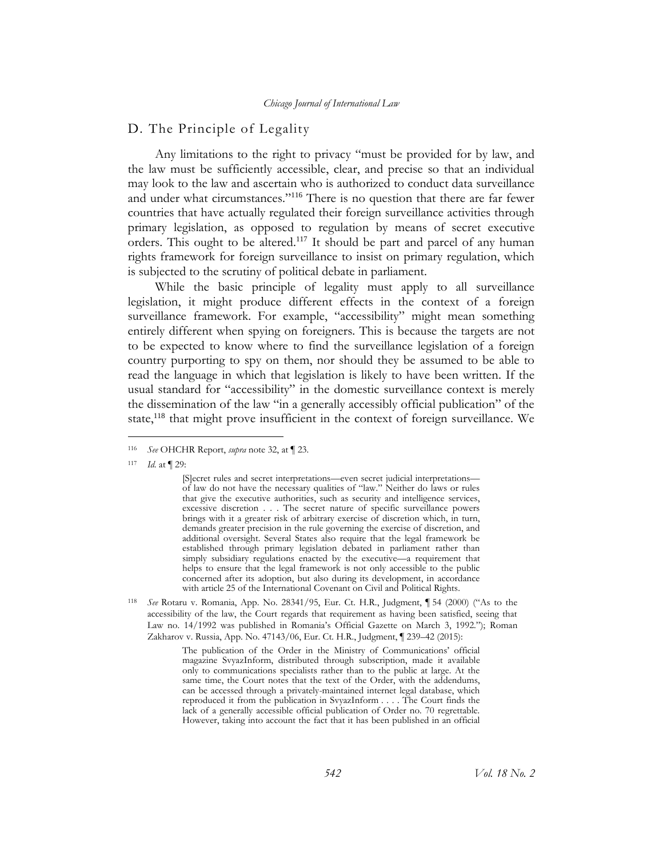# <span id="page-40-0"></span>D. The Principle of Legality

Any limitations to the right to privacy "must be provided for by law, and the law must be sufficiently accessible, clear, and precise so that an individual may look to the law and ascertain who is authorized to conduct data surveillance and under what circumstances."<sup>116</sup> There is no question that there are far fewer countries that have actually regulated their foreign surveillance activities through primary legislation, as opposed to regulation by means of secret executive orders. This ought to be altered.<sup>117</sup> It should be part and parcel of any human rights framework for foreign surveillance to insist on primary regulation, which is subjected to the scrutiny of political debate in parliament.

While the basic principle of legality must apply to all surveillance legislation, it might produce different effects in the context of a foreign surveillance framework. For example, "accessibility" might mean something entirely different when spying on foreigners. This is because the targets are not to be expected to know where to find the surveillance legislation of a foreign country purporting to spy on them, nor should they be assumed to be able to read the language in which that legislation is likely to have been written. If the usual standard for "accessibility" in the domestic surveillance context is merely the dissemination of the law "in a generally accessibly official publication" of the state,<sup>118</sup> that might prove insufficient in the context of foreign surveillance. We

<span id="page-40-1"></span> $\overline{a}$ 

<sup>118</sup> *See* Rotaru v. Romania, App. No. 28341/95, Eur. Ct. H.R., Judgment, ¶ 54 (2000) ("As to the accessibility of the law, the Court regards that requirement as having been satisfied, seeing that Law no. 14/1992 was published in Romania's Official Gazette on March 3, 1992."); Roman Zakharov v. Russia, App. No. 47143/06, Eur. Ct. H.R., Judgment, ¶ 239–42 (2015):

> The publication of the Order in the Ministry of Communications' official magazine SvyazInform, distributed through subscription, made it available only to communications specialists rather than to the public at large. At the same time, the Court notes that the text of the Order, with the addendums, can be accessed through a privately-maintained internet legal database, which reproduced it from the publication in SvyazInform . . . . The Court finds the lack of a generally accessible official publication of Order no. 70 regrettable. However, taking into account the fact that it has been published in an official

<sup>116</sup> *See* OHCHR Report, *supra* not[e 32,](#page-12-0) at ¶ 23.

<sup>117</sup> *Id.* at  $\P$  29:

<sup>[</sup>S]ecret rules and secret interpretations—even secret judicial interpretations of law do not have the necessary qualities of "law." Neither do laws or rules that give the executive authorities, such as security and intelligence services, excessive discretion . . . The secret nature of specific surveillance powers brings with it a greater risk of arbitrary exercise of discretion which, in turn, demands greater precision in the rule governing the exercise of discretion, and additional oversight. Several States also require that the legal framework be established through primary legislation debated in parliament rather than simply subsidiary regulations enacted by the executive—a requirement that helps to ensure that the legal framework is not only accessible to the public concerned after its adoption, but also during its development, in accordance with article 25 of the International Covenant on Civil and Political Rights.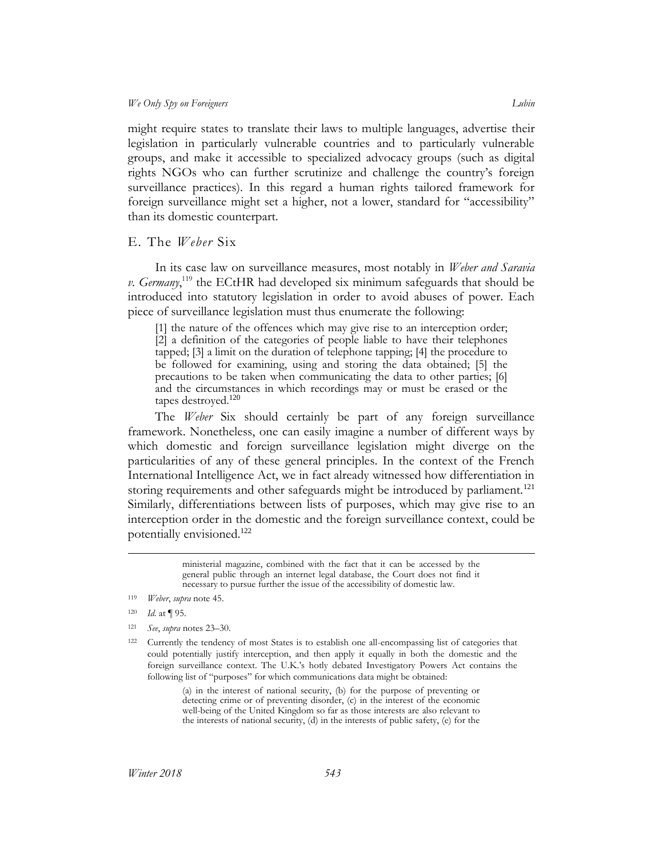might require states to translate their laws to multiple languages, advertise their legislation in particularly vulnerable countries and to particularly vulnerable groups, and make it accessible to specialized advocacy groups (such as digital rights NGOs who can further scrutinize and challenge the country's foreign surveillance practices). In this regard a human rights tailored framework for foreign surveillance might set a higher, not a lower, standard for "accessibility" than its domestic counterpart.

### <span id="page-41-0"></span>E. The *Weber* Six

In its case law on surveillance measures, most notably in *Weber and Saravia v. Germany*, <sup>119</sup> the ECtHR had developed six minimum safeguards that should be introduced into statutory legislation in order to avoid abuses of power. Each piece of surveillance legislation must thus enumerate the following:

[1] the nature of the offences which may give rise to an interception order; [2] a definition of the categories of people liable to have their telephones tapped; [3] a limit on the duration of telephone tapping; [4] the procedure to be followed for examining, using and storing the data obtained; [5] the precautions to be taken when communicating the data to other parties; [6] and the circumstances in which recordings may or must be erased or the tapes destroyed.<sup>120</sup>

The *Weber* Six should certainly be part of any foreign surveillance framework. Nonetheless, one can easily imagine a number of different ways by which domestic and foreign surveillance legislation might diverge on the particularities of any of these general principles. In the context of the French International Intelligence Act, we in fact already witnessed how differentiation in storing requirements and other safeguards might be introduced by parliament.<sup>121</sup> Similarly, differentiations between lists of purposes, which may give rise to an interception order in the domestic and the foreign surveillance context, could be potentially envisioned.<sup>122</sup>

<u>.</u>

(a) in the interest of national security, (b) for the purpose of preventing or detecting crime or of preventing disorder, (c) in the interest of the economic well-being of the United Kingdom so far as those interests are also relevant to the interests of national security, (d) in the interests of public safety, (e) for the

ministerial magazine, combined with the fact that it can be accessed by the general public through an internet legal database, the Court does not find it necessary to pursue further the issue of the accessibility of domestic law.

<sup>119</sup> *Weber*, *supra* not[e 45.](#page-16-1)

<sup>120</sup> *Id.* at ¶ 95.

<sup>121</sup> *See*, *supra* notes [23](#page-10-1)–[30.](#page-11-1)

<sup>122</sup> Currently the tendency of most States is to establish one all-encompassing list of categories that could potentially justify interception, and then apply it equally in both the domestic and the foreign surveillance context. The U.K.'s hotly debated Investigatory Powers Act contains the following list of "purposes" for which communications data might be obtained: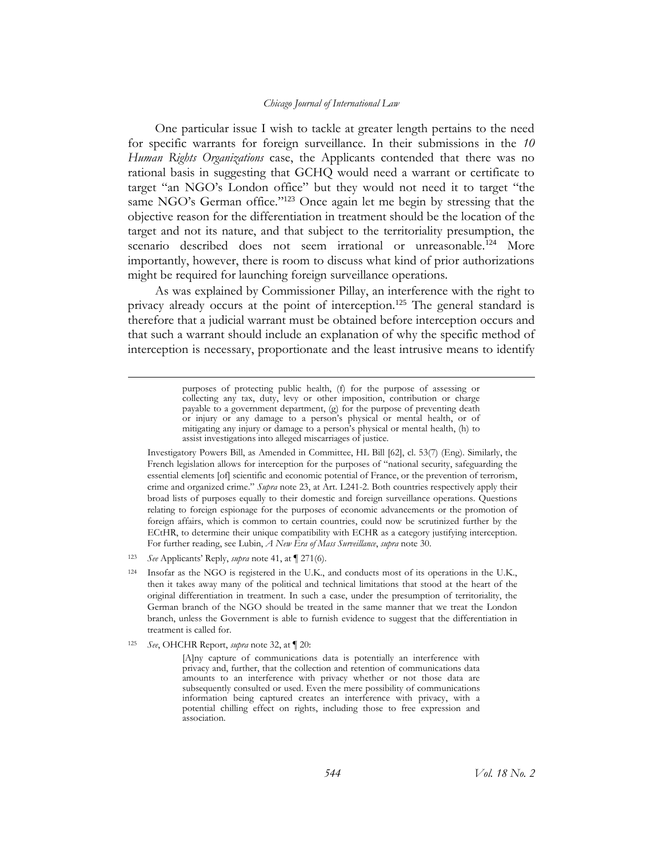One particular issue I wish to tackle at greater length pertains to the need for specific warrants for foreign surveillance. In their submissions in the *10 Human Rights Organizations* case, the Applicants contended that there was no rational basis in suggesting that GCHQ would need a warrant or certificate to target "an NGO's London office" but they would not need it to target "the same NGO's German office."<sup>123</sup> Once again let me begin by stressing that the objective reason for the differentiation in treatment should be the location of the target and not its nature, and that subject to the territoriality presumption, the scenario described does not seem irrational or unreasonable.<sup>124</sup> More importantly, however, there is room to discuss what kind of prior authorizations might be required for launching foreign surveillance operations.

As was explained by Commissioner Pillay, an interference with the right to privacy already occurs at the point of interception.<sup>125</sup> The general standard is therefore that a judicial warrant must be obtained before interception occurs and that such a warrant should include an explanation of why the specific method of interception is necessary, proportionate and the least intrusive means to identify

> purposes of protecting public health, (f) for the purpose of assessing or collecting any tax, duty, levy or other imposition, contribution or charge payable to a government department, (g) for the purpose of preventing death or injury or any damage to a person's physical or mental health, or of mitigating any injury or damage to a person's physical or mental health, (h) to assist investigations into alleged miscarriages of justice.

Investigatory Powers Bill, as Amended in Committee, HL Bill [62], cl. 53(7) (Eng). Similarly, the French legislation allows for interception for the purposes of "national security, safeguarding the essential elements [of] scientific and economic potential of France, or the prevention of terrorism, crime and organized crime." *Supra* not[e 23,](#page-10-1) at Art. L241-2. Both countries respectively apply their broad lists of purposes equally to their domestic and foreign surveillance operations. Questions relating to foreign espionage for the purposes of economic advancements or the promotion of foreign affairs, which is common to certain countries, could now be scrutinized further by the ECtHR, to determine their unique compatibility with ECHR as a category justifying interception. For further reading, see Lubin, *A New Era of Mass Surveillance*, *supra* note [30.](#page-11-1)

<sup>123</sup> *See* Applicants' Reply, *supra* note [41,](#page-15-0) at ¶ 271(6).

<u>.</u>

- <sup>124</sup> Insofar as the NGO is registered in the U.K., and conducts most of its operations in the U.K., then it takes away many of the political and technical limitations that stood at the heart of the original differentiation in treatment. In such a case, under the presumption of territoriality, the German branch of the NGO should be treated in the same manner that we treat the London branch, unless the Government is able to furnish evidence to suggest that the differentiation in treatment is called for.
- <sup>125</sup> *See*, OHCHR Report, *supra* not[e 32,](#page-12-0) at ¶ 20:

[A]ny capture of communications data is potentially an interference with privacy and, further, that the collection and retention of communications data amounts to an interference with privacy whether or not those data are subsequently consulted or used. Even the mere possibility of communications information being captured creates an interference with privacy, with a potential chilling effect on rights, including those to free expression and association.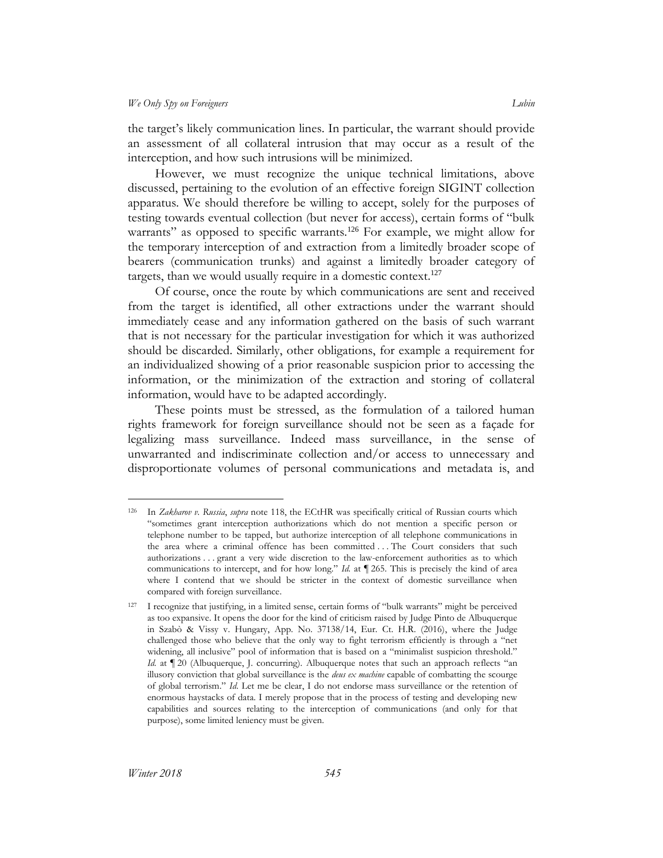#### *We Only Spy on Foreigners Lubin*

the target's likely communication lines. In particular, the warrant should provide an assessment of all collateral intrusion that may occur as a result of the interception, and how such intrusions will be minimized.

However, we must recognize the unique technical limitations, above discussed, pertaining to the evolution of an effective foreign SIGINT collection apparatus. We should therefore be willing to accept, solely for the purposes of testing towards eventual collection (but never for access), certain forms of "bulk warrants" as opposed to specific warrants.<sup>126</sup> For example, we might allow for the temporary interception of and extraction from a limitedly broader scope of bearers (communication trunks) and against a limitedly broader category of targets, than we would usually require in a domestic context.<sup>127</sup>

<span id="page-43-0"></span>Of course, once the route by which communications are sent and received from the target is identified, all other extractions under the warrant should immediately cease and any information gathered on the basis of such warrant that is not necessary for the particular investigation for which it was authorized should be discarded. Similarly, other obligations, for example a requirement for an individualized showing of a prior reasonable suspicion prior to accessing the information, or the minimization of the extraction and storing of collateral information, would have to be adapted accordingly.

These points must be stressed, as the formulation of a tailored human rights framework for foreign surveillance should not be seen as a façade for legalizing mass surveillance. Indeed mass surveillance, in the sense of unwarranted and indiscriminate collection and/or access to unnecessary and disproportionate volumes of personal communications and metadata is, and

<sup>126</sup> In *Zakharov v. Russia*, *supra* note [118,](#page-40-1) the ECtHR was specifically critical of Russian courts which "sometimes grant interception authorizations which do not mention a specific person or telephone number to be tapped, but authorize interception of all telephone communications in the area where a criminal offence has been committed . . . The Court considers that such authorizations . . . grant a very wide discretion to the law-enforcement authorities as to which communications to intercept, and for how long." *Id.* at ¶ 265. This is precisely the kind of area where I contend that we should be stricter in the context of domestic surveillance when compared with foreign surveillance.

<sup>127</sup> I recognize that justifying, in a limited sense, certain forms of "bulk warrants" might be perceived as too expansive. It opens the door for the kind of criticism raised by Judge Pinto de Albuquerque in Szabò & Vissy v. Hungary, App. No. 37138/14, Eur. Ct. H.R. (2016), where the Judge challenged those who believe that the only way to fight terrorism efficiently is through a "net widening, all inclusive" pool of information that is based on a "minimalist suspicion threshold." *Id.* at  $\P$  20 (Albuquerque, J. concurring). Albuquerque notes that such an approach reflects "an illusory conviction that global surveillance is the *deus ex machine* capable of combatting the scourge of global terrorism." *Id*. Let me be clear, I do not endorse mass surveillance or the retention of enormous haystacks of data. I merely propose that in the process of testing and developing new capabilities and sources relating to the interception of communications (and only for that purpose), some limited leniency must be given.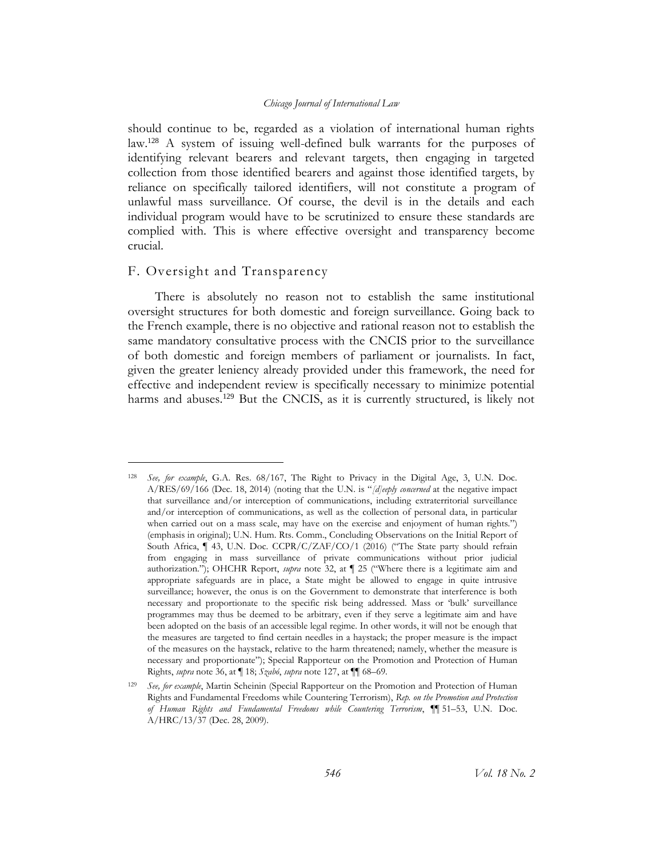should continue to be, regarded as a violation of international human rights law.<sup>128</sup> A system of issuing well-defined bulk warrants for the purposes of identifying relevant bearers and relevant targets, then engaging in targeted collection from those identified bearers and against those identified targets, by reliance on specifically tailored identifiers, will not constitute a program of unlawful mass surveillance. Of course, the devil is in the details and each individual program would have to be scrutinized to ensure these standards are complied with. This is where effective oversight and transparency become crucial.

# <span id="page-44-0"></span>F. Oversight and Transparency

<span id="page-44-1"></span> $\overline{a}$ 

There is absolutely no reason not to establish the same institutional oversight structures for both domestic and foreign surveillance. Going back to the French example, there is no objective and rational reason not to establish the same mandatory consultative process with the CNCIS prior to the surveillance of both domestic and foreign members of parliament or journalists. In fact, given the greater leniency already provided under this framework, the need for effective and independent review is specifically necessary to minimize potential harms and abuses.<sup>129</sup> But the CNCIS, as it is currently structured, is likely not

See, for example, G.A. Res. 68/167, The Right to Privacy in the Digital Age, 3, U.N. Doc. A/RES/69/166 (Dec. 18, 2014) (noting that the U.N. is "*[d]eeply concerned* at the negative impact that surveillance and/or interception of communications, including extraterritorial surveillance and/or interception of communications, as well as the collection of personal data, in particular when carried out on a mass scale, may have on the exercise and enjoyment of human rights.") (emphasis in original); U.N. Hum. Rts. Comm., Concluding Observations on the Initial Report of South Africa, ¶ 43, U.N. Doc. CCPR/C/ZAF/CO/1 (2016) ("The State party should refrain from engaging in mass surveillance of private communications without prior judicial authorization."); OHCHR Report, *supra* note [32](#page-12-0), at ¶ 25 ("Where there is a legitimate aim and appropriate safeguards are in place, a State might be allowed to engage in quite intrusive surveillance; however, the onus is on the Government to demonstrate that interference is both necessary and proportionate to the specific risk being addressed. Mass or 'bulk' surveillance programmes may thus be deemed to be arbitrary, even if they serve a legitimate aim and have been adopted on the basis of an accessible legal regime. In other words, it will not be enough that the measures are targeted to find certain needles in a haystack; the proper measure is the impact of the measures on the haystack, relative to the harm threatened; namely, whether the measure is necessary and proportionate"); Special Rapporteur on the Promotion and Protection of Human Rights, *supra* note [36,](#page-14-1) at ¶ 18; *Szabó*, *supra* not[e 127,](#page-43-0) at ¶¶ 68–69.

<sup>129</sup> *See, for example*, Martin Scheinin (Special Rapporteur on the Promotion and Protection of Human Rights and Fundamental Freedoms while Countering Terrorism), *Rep. on the Promotion and Protection of Human Rights and Fundamental Freedoms while Countering Terrorism*, ¶¶ 51–53, U.N. Doc. A/HRC/13/37 (Dec. 28, 2009).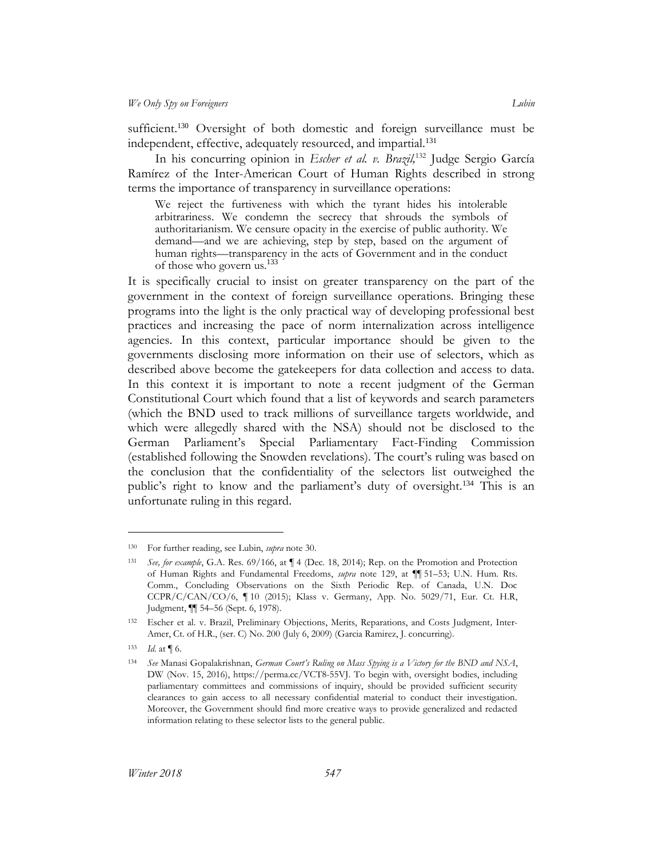sufficient.<sup>130</sup> Oversight of both domestic and foreign surveillance must be independent, effective, adequately resourced, and impartial.<sup>131</sup>

In his concurring opinion in *Escher et al. v. Brazil,*<sup>132</sup> Judge Sergio García Ramírez of the Inter-American Court of Human Rights described in strong terms the importance of transparency in surveillance operations:

We reject the furtiveness with which the tyrant hides his intolerable arbitrariness. We condemn the secrecy that shrouds the symbols of authoritarianism. We censure opacity in the exercise of public authority. We demand—and we are achieving, step by step, based on the argument of human rights—transparency in the acts of Government and in the conduct of those who govern us.<sup>133</sup>

It is specifically crucial to insist on greater transparency on the part of the government in the context of foreign surveillance operations. Bringing these programs into the light is the only practical way of developing professional best practices and increasing the pace of norm internalization across intelligence agencies. In this context, particular importance should be given to the governments disclosing more information on their use of selectors, which as described above become the gatekeepers for data collection and access to data. In this context it is important to note a recent judgment of the German Constitutional Court which found that a list of keywords and search parameters (which the BND used to track millions of surveillance targets worldwide, and which were allegedly shared with the NSA) should not be disclosed to the German Parliament's Special Parliamentary Fact-Finding Commission (established following the Snowden revelations). The court's ruling was based on the conclusion that the confidentiality of the selectors list outweighed the public's right to know and the parliament's duty of oversight.<sup>134</sup> This is an unfortunate ruling in this regard.

<sup>130</sup> For further reading, see Lubin, *supra* note [30.](#page-11-1)

<sup>131</sup> *See, for example*, G.A. Res. 69/166, at ¶ 4 (Dec. 18, 2014); Rep. on the Promotion and Protection of Human Rights and Fundamental Freedoms, *supra* note [129,](#page-44-1) at ¶¶ 51–53; U.N. Hum. Rts. Comm., Concluding Observations on the Sixth Periodic Rep. of Canada, U.N. Doc CCPR/C/CAN/CO/6, ¶ 10 (2015); Klass v. Germany, App. No. 5029/71, Eur. Ct. H.R, Judgment, ¶¶ 54–56 (Sept. 6, 1978).

<sup>132</sup> Escher et al. v. Brazil, Preliminary Objections, Merits, Reparations, and Costs Judgment*,* Inter-Amer, Ct. of H.R., (ser. C) No. 200 (July 6, 2009) (Garcia Ramirez, J. concurring).

<sup>133</sup> *Id.* at ¶ 6.

<sup>134</sup> *See* Manasi Gopalakrishnan, *German Court's Ruling on Mass Spying is a Victory for the BND and NSA*, DW (Nov. 15, 2016), https://perma.cc/VCT8-55VJ. To begin with, oversight bodies, including parliamentary committees and commissions of inquiry, should be provided sufficient security clearances to gain access to all necessary confidential material to conduct their investigation. Moreover, the Government should find more creative ways to provide generalized and redacted information relating to these selector lists to the general public.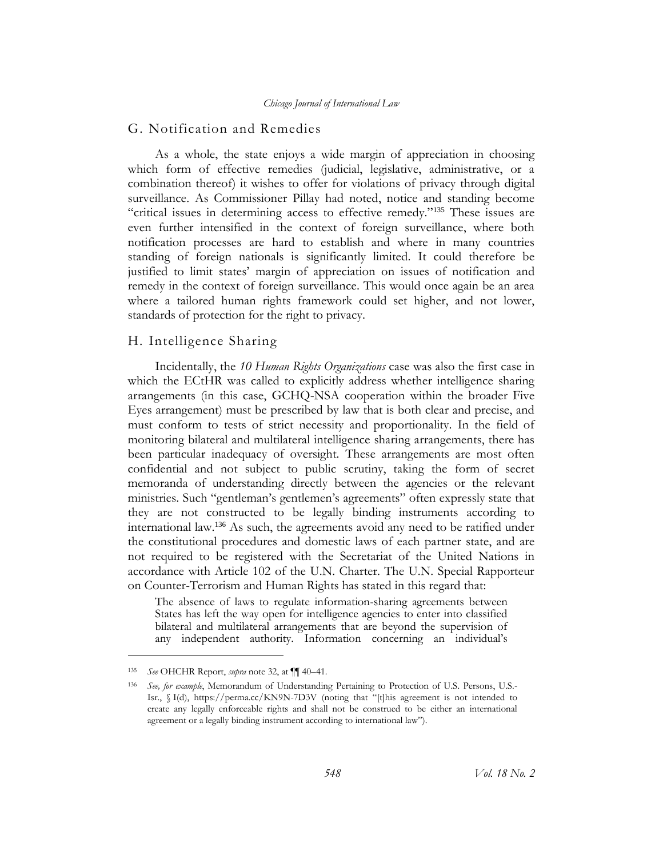### <span id="page-46-0"></span>G. Notification and Remedies

As a whole, the state enjoys a wide margin of appreciation in choosing which form of effective remedies (judicial, legislative, administrative, or a combination thereof) it wishes to offer for violations of privacy through digital surveillance. As Commissioner Pillay had noted, notice and standing become "critical issues in determining access to effective remedy."<sup>135</sup> These issues are even further intensified in the context of foreign surveillance, where both notification processes are hard to establish and where in many countries standing of foreign nationals is significantly limited. It could therefore be justified to limit states' margin of appreciation on issues of notification and remedy in the context of foreign surveillance. This would once again be an area where a tailored human rights framework could set higher, and not lower, standards of protection for the right to privacy.

# <span id="page-46-1"></span>H. Intelligence Sharing

Incidentally, the *10 Human Rights Organizations* case was also the first case in which the ECtHR was called to explicitly address whether intelligence sharing arrangements (in this case, GCHQ-NSA cooperation within the broader Five Eyes arrangement) must be prescribed by law that is both clear and precise, and must conform to tests of strict necessity and proportionality. In the field of monitoring bilateral and multilateral intelligence sharing arrangements, there has been particular inadequacy of oversight. These arrangements are most often confidential and not subject to public scrutiny, taking the form of secret memoranda of understanding directly between the agencies or the relevant ministries. Such "gentleman's gentlemen's agreements" often expressly state that they are not constructed to be legally binding instruments according to international law.<sup>136</sup> As such, the agreements avoid any need to be ratified under the constitutional procedures and domestic laws of each partner state, and are not required to be registered with the Secretariat of the United Nations in accordance with Article 102 of the U.N. Charter. The U.N. Special Rapporteur on Counter-Terrorism and Human Rights has stated in this regard that:

The absence of laws to regulate information-sharing agreements between States has left the way open for intelligence agencies to enter into classified bilateral and multilateral arrangements that are beyond the supervision of any independent authority. Information concerning an individual's

<sup>135</sup> *See* OHCHR Report, *supra* not[e 32,](#page-12-0) at ¶¶ 40–41.

<sup>136</sup> *See, for example*, Memorandum of Understanding Pertaining to Protection of U.S. Persons, U.S.- Isr.,  $\int I(d)$ , https://perma.cc/KN9N-7D3V (noting that "[t]his agreement is not intended to create any legally enforceable rights and shall not be construed to be either an international agreement or a legally binding instrument according to international law").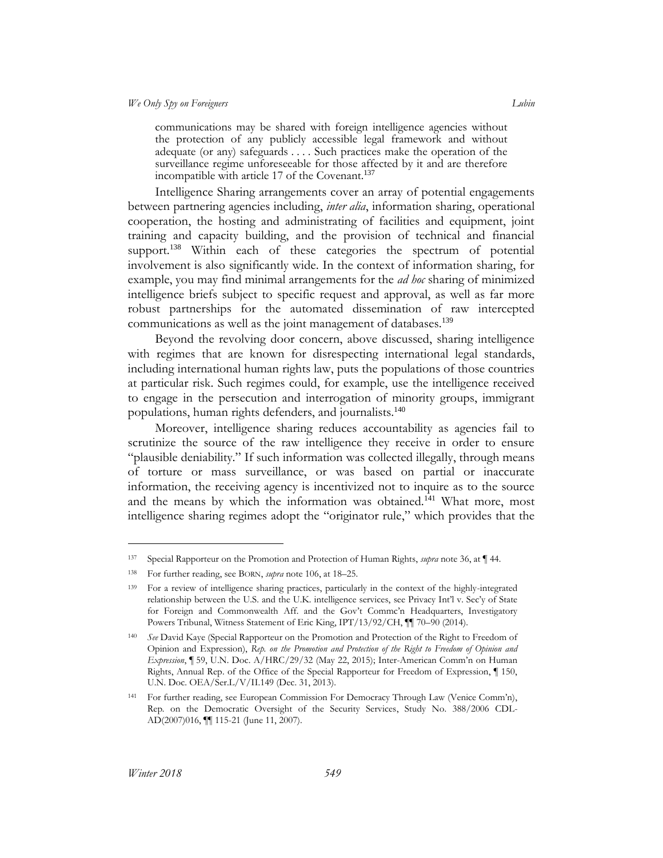#### *We Only Spy on Foreigners Lubin*

communications may be shared with foreign intelligence agencies without the protection of any publicly accessible legal framework and without adequate (or any) safeguards . . . . Such practices make the operation of the surveillance regime unforeseeable for those affected by it and are therefore incompatible with article 17 of the Covenant.<sup>137</sup>

Intelligence Sharing arrangements cover an array of potential engagements between partnering agencies including, *inter alia*, information sharing, operational cooperation, the hosting and administrating of facilities and equipment, joint training and capacity building, and the provision of technical and financial support.<sup>138</sup> Within each of these categories the spectrum of potential involvement is also significantly wide. In the context of information sharing, for example, you may find minimal arrangements for the *ad hoc* sharing of minimized intelligence briefs subject to specific request and approval, as well as far more robust partnerships for the automated dissemination of raw intercepted communications as well as the joint management of databases.<sup>139</sup>

Beyond the revolving door concern, above discussed, sharing intelligence with regimes that are known for disrespecting international legal standards, including international human rights law, puts the populations of those countries at particular risk. Such regimes could, for example, use the intelligence received to engage in the persecution and interrogation of minority groups, immigrant populations, human rights defenders, and journalists.<sup>140</sup>

Moreover, intelligence sharing reduces accountability as agencies fail to scrutinize the source of the raw intelligence they receive in order to ensure "plausible deniability." If such information was collected illegally, through means of torture or mass surveillance, or was based on partial or inaccurate information, the receiving agency is incentivized not to inquire as to the source and the means by which the information was obtained.<sup>141</sup> What more, most intelligence sharing regimes adopt the "originator rule," which provides that the

<sup>137</sup> Special Rapporteur on the Promotion and Protection of Human Rights, *supra* note [36,](#page-14-1) at ¶ 44.

<sup>138</sup> For further reading, see BORN, *supra* note [106,](#page-35-0) at 18–25.

<sup>139</sup> For a review of intelligence sharing practices, particularly in the context of the highly-integrated relationship between the U.S. and the U.K. intelligence services, see Privacy Int'l v. Sec'y of State for Foreign and Commonwealth Aff. and the Gov't Commc'n Headquarters, Investigatory Powers Tribunal, Witness Statement of Eric King, IPT/13/92/CH, ¶¶ 70–90 (2014).

<sup>140</sup> *See* David Kaye (Special Rapporteur on the Promotion and Protection of the Right to Freedom of Opinion and Expression), *Rep. on the Promotion and Protection of the Right to Freedom of Opinion and Expression*, ¶ 59, U.N. Doc. A/HRC/29/32 (May 22, 2015); Inter-American Comm'n on Human Rights, Annual Rep. of the Office of the Special Rapporteur for Freedom of Expression, ¶ 150, U.N. Doc. OEA/Ser.L/V/II.149 (Dec. 31, 2013).

<sup>141</sup> For further reading, see European Commission For Democracy Through Law (Venice Comm'n), Rep*.* on the Democratic Oversight of the Security Services, Study No. 388/2006 CDL-AD(2007)016, ¶¶ 115-21 (June 11, 2007).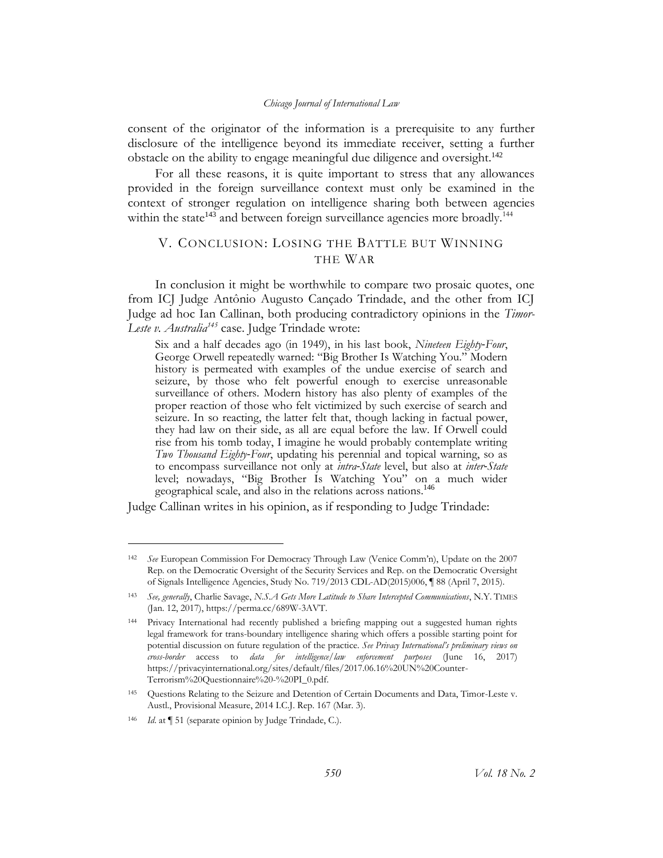consent of the originator of the information is a prerequisite to any further disclosure of the intelligence beyond its immediate receiver, setting a further obstacle on the ability to engage meaningful due diligence and oversight.<sup>142</sup>

For all these reasons, it is quite important to stress that any allowances provided in the foreign surveillance context must only be examined in the context of stronger regulation on intelligence sharing both between agencies within the state<sup>143</sup> and between foreign surveillance agencies more broadly.<sup>144</sup>

# <span id="page-48-0"></span>V. CONCLUSION: LOSING THE BATTLE BUT WINNING THE WAR

In conclusion it might be worthwhile to compare two prosaic quotes, one from ICJ Judge Antônio Augusto Cançado Trindade, and the other from ICJ Judge ad hoc Ian Callinan, both producing contradictory opinions in the *Timor-Leste v. Australia<sup>145</sup>* case. Judge Trindade wrote:

Six and a half decades ago (in 1949), in his last book, *Nineteen Eighty‐Four*, George Orwell repeatedly warned: "Big Brother Is Watching You." Modern history is permeated with examples of the undue exercise of search and seizure, by those who felt powerful enough to exercise unreasonable surveillance of others. Modern history has also plenty of examples of the proper reaction of those who felt victimized by such exercise of search and seizure. In so reacting, the latter felt that, though lacking in factual power, they had law on their side, as all are equal before the law. If Orwell could rise from his tomb today, I imagine he would probably contemplate writing *Two Thousand Eighty‐Four*, updating his perennial and topical warning, so as to encompass surveillance not only at *intra‐State* level, but also at *inter‐State* level; nowadays, "Big Brother Is Watching You" on a much wider geographical scale, and also in the relations across nations.<sup>146</sup>

Judge Callinan writes in his opinion, as if responding to Judge Trindade:

<sup>142</sup> *See* European Commission For Democracy Through Law (Venice Comm'n), Update on the 2007 Rep*.* on the Democratic Oversight of the Security Services and Rep. on the Democratic Oversight of Signals Intelligence Agencies, Study No. 719/2013 CDL-AD(2015)006, ¶ 88 (April 7, 2015).

<sup>143</sup> *See, generally*, Charlie Savage, *N.S.A Gets More Latitude to Share Intercepted Communications*, N.Y. TIMES (Jan. 12, 2017), https://perma.cc/689W-3AVT.

<sup>144</sup> Privacy International had recently published a briefing mapping out a suggested human rights legal framework for trans-boundary intelligence sharing which offers a possible starting point for potential discussion on future regulation of the practice. *See Privacy International's preliminary views on cross-border* access to *data for intelligence/law enforcement purposes* (June 16, 2017) https://privacyinternational.org/sites/default/files/2017.06.16%20UN%20Counter-Terrorism%20Questionnaire%20-%20PI\_0.pdf.

<sup>145</sup> Questions Relating to the Seizure and Detention of Certain Documents and Data, Timor-Leste v. Austl., Provisional Measure, 2014 I.C.J. Rep. 167 (Mar. 3).

<sup>146</sup> *Id*. at ¶ 51 (separate opinion by Judge Trindade, C.).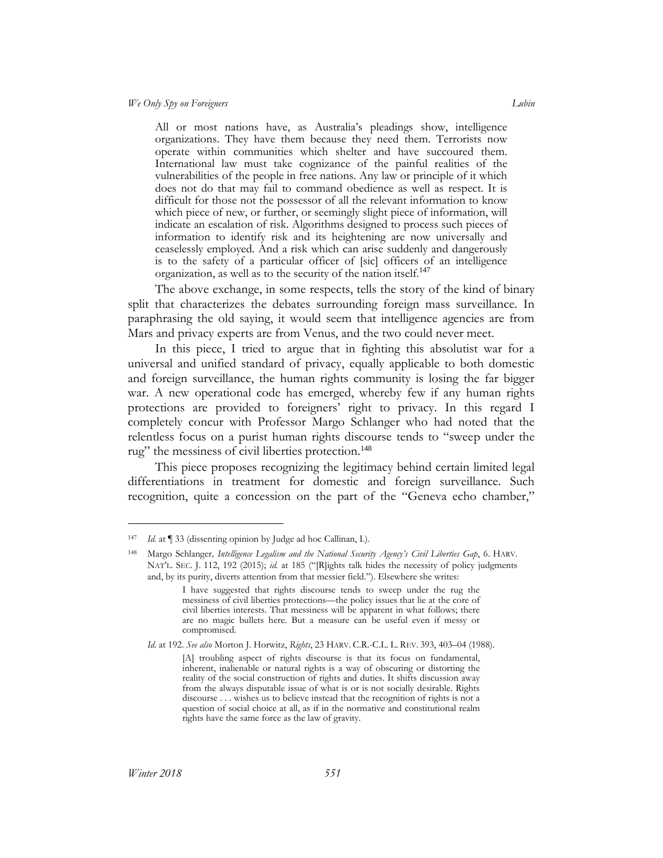All or most nations have, as Australia's pleadings show, intelligence organizations. They have them because they need them. Terrorists now operate within communities which shelter and have succoured them. International law must take cognizance of the painful realities of the vulnerabilities of the people in free nations. Any law or principle of it which does not do that may fail to command obedience as well as respect. It is difficult for those not the possessor of all the relevant information to know which piece of new, or further, or seemingly slight piece of information, will indicate an escalation of risk. Algorithms designed to process such pieces of information to identify risk and its heightening are now universally and ceaselessly employed. And a risk which can arise suddenly and dangerously is to the safety of a particular officer of [sic] officers of an intelligence organization, as well as to the security of the nation itself.<sup>147</sup>

The above exchange, in some respects, tells the story of the kind of binary split that characterizes the debates surrounding foreign mass surveillance. In paraphrasing the old saying, it would seem that intelligence agencies are from Mars and privacy experts are from Venus, and the two could never meet.

In this piece, I tried to argue that in fighting this absolutist war for a universal and unified standard of privacy, equally applicable to both domestic and foreign surveillance, the human rights community is losing the far bigger war. A new operational code has emerged, whereby few if any human rights protections are provided to foreigners' right to privacy. In this regard I completely concur with Professor Margo Schlanger who had noted that the relentless focus on a purist human rights discourse tends to "sweep under the rug" the messiness of civil liberties protection.<sup>148</sup>

This piece proposes recognizing the legitimacy behind certain limited legal differentiations in treatment for domestic and foreign surveillance. Such recognition, quite a concession on the part of the "Geneva echo chamber,"

*Id.* at 192. *See also* Morton J. Horwitz, *Rights*, 23 HARV. C.R.-C.L. L. REV. 393, 403–04 (1988).

<sup>147</sup> *Id.* at ¶ 33 (dissenting opinion by Judge ad hoc Callinan, I.).

<sup>148</sup> Margo Schlanger*, Intelligence Legalism and the National Security Agency's Civil Liberties Gap*, 6. HARV. NAT'L. SEC. J. 112, 192 (2015); *id.* at 185 ("[R]ights talk hides the necessity of policy judgments and, by its purity, diverts attention from that messier field."). Elsewhere she writes:

<span id="page-49-0"></span>I have suggested that rights discourse tends to sweep under the rug the messiness of civil liberties protections—the policy issues that lie at the core of civil liberties interests. That messiness will be apparent in what follows; there are no magic bullets here. But a measure can be useful even if messy or compromised.

<sup>[</sup>A] troubling aspect of rights discourse is that its focus on fundamental, inherent, inalienable or natural rights is a way of obscuring or distorting the reality of the social construction of rights and duties. It shifts discussion away from the always disputable issue of what is or is not socially desirable. Rights discourse . . . wishes us to believe instead that the recognition of rights is not a question of social choice at all, as if in the normative and constitutional realm rights have the same force as the law of gravity.